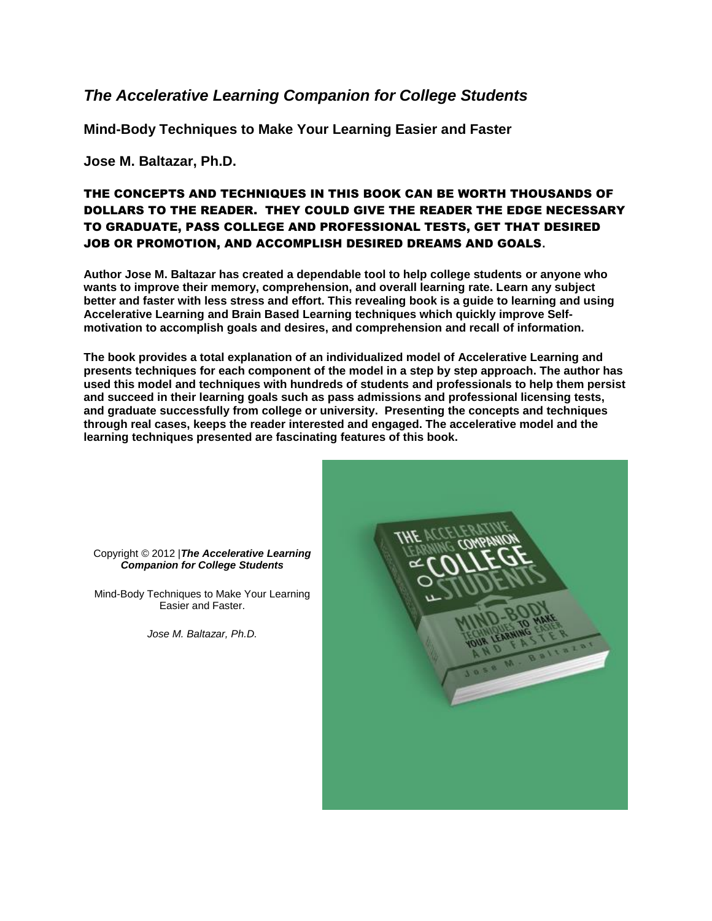#### *The Accelerative Learning Companion for College Students*

**Mind-Body Techniques to Make Your Learning Easier and Faster**

**Jose M. Baltazar, Ph.D.**

#### THE CONCEPTS AND TECHNIQUES IN THIS BOOK CAN BE WORTH THOUSANDS OF DOLLARS TO THE READER. THEY COULD GIVE THE READER THE EDGE NECESSARY TO GRADUATE, PASS COLLEGE AND PROFESSIONAL TESTS, GET THAT DESIRED JOB OR PROMOTION, AND ACCOMPLISH DESIRED DREAMS AND GOALS**.**

**Author Jose M. Baltazar has created a dependable tool to help college students or anyone who wants to improve their memory, comprehension, and overall learning rate. Learn any subject better and faster with less stress and effort. This revealing book is a guide to learning and using Accelerative Learning and Brain Based Learning techniques which quickly improve Selfmotivation to accomplish goals and desires, and comprehension and recall of information.** 

**The book provides a total explanation of an individualized model of Accelerative Learning and presents techniques for each component of the model in a step by step approach. The author has used this model and techniques with hundreds of students and professionals to help them persist and succeed in their learning goals such as pass admissions and professional licensing tests, and graduate successfully from college or university. Presenting the concepts and techniques through real cases, keeps the reader interested and engaged. The accelerative model and the learning techniques presented are fascinating features of this book.**



Copyright © 2012 |*The Accelerative Learning Companion for College Students*

Mind-Body Techniques to Make Your Learning Easier and Faster.

*Jose M. Baltazar, Ph.D.*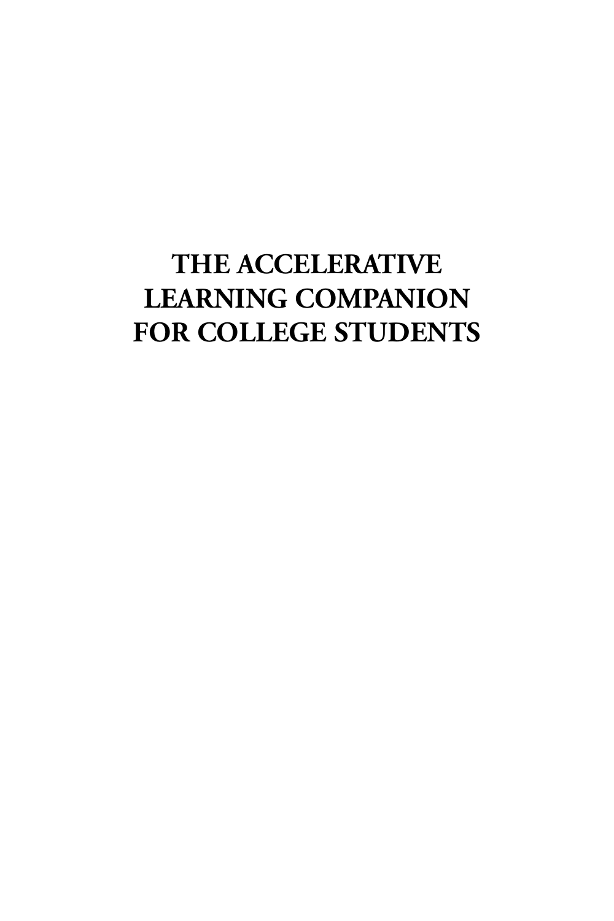# **THE ACCELERATIVE LEARNING COMPANION FOR COLLEGE STUDENTS**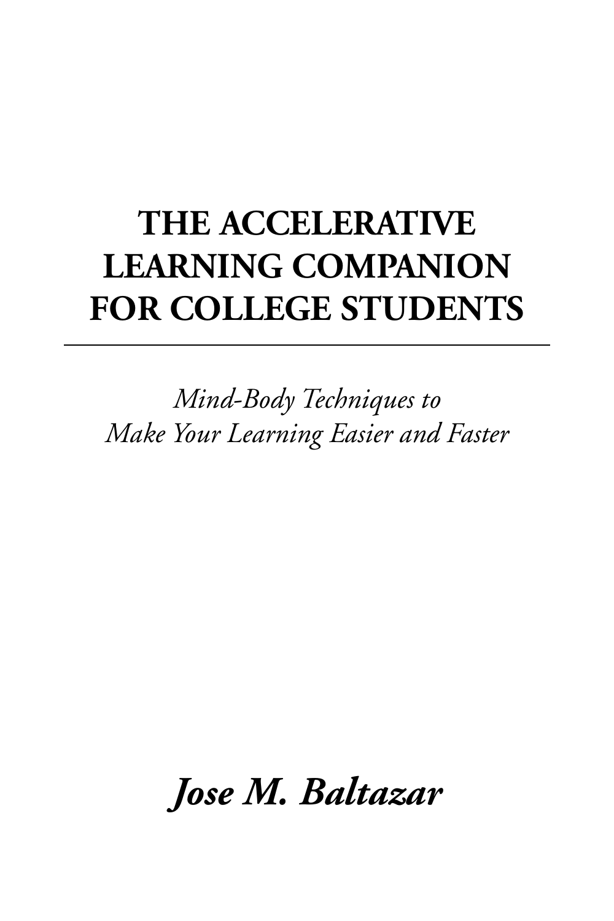# **THE ACCELERATIVE LEARNING COMPANION FOR COLLEGE STUDENTS**

*Mind-Body Techniques to Make Your Learning Easier and Faster*

*Jose M. Baltazar*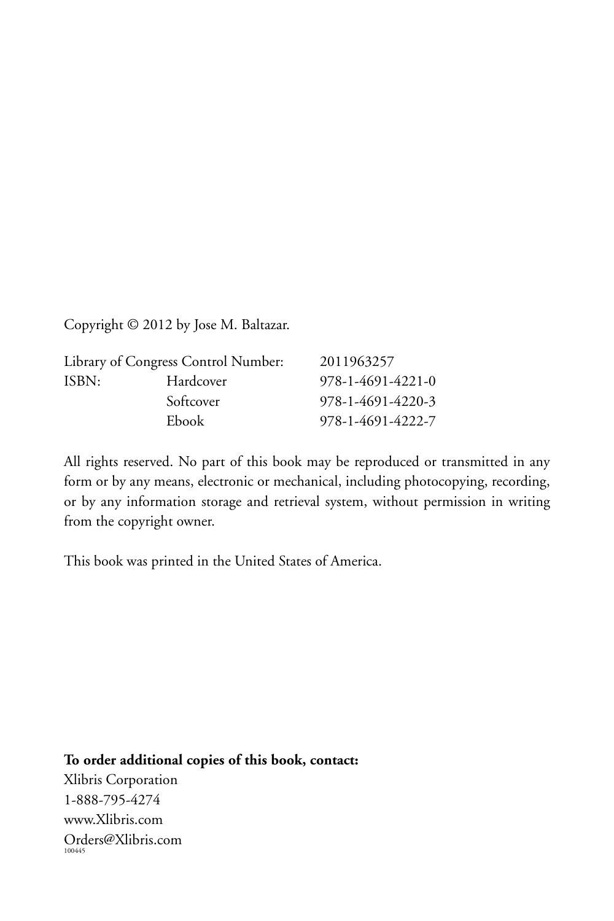Copyright © 2012 by Jose M. Baltazar.

| Library of Congress Control Number: |           | 2011963257        |
|-------------------------------------|-----------|-------------------|
| ISBN:                               | Hardcover | 978-1-4691-4221-0 |
|                                     | Softcover | 978-1-4691-4220-3 |
|                                     | Ebook     | 978-1-4691-4222-7 |

All rights reserved. No part of this book may be reproduced or transmitted in any form or by any means, electronic or mechanical, including photocopying, recording, or by any information storage and retrieval system, without permission in writing from the copyright owner.

This book was printed in the United States of America.

**To order additional copies of this book, contact:** Xlibris Corporation 1-888-795-4274 www.Xlibris.com Orders@Xlibris.com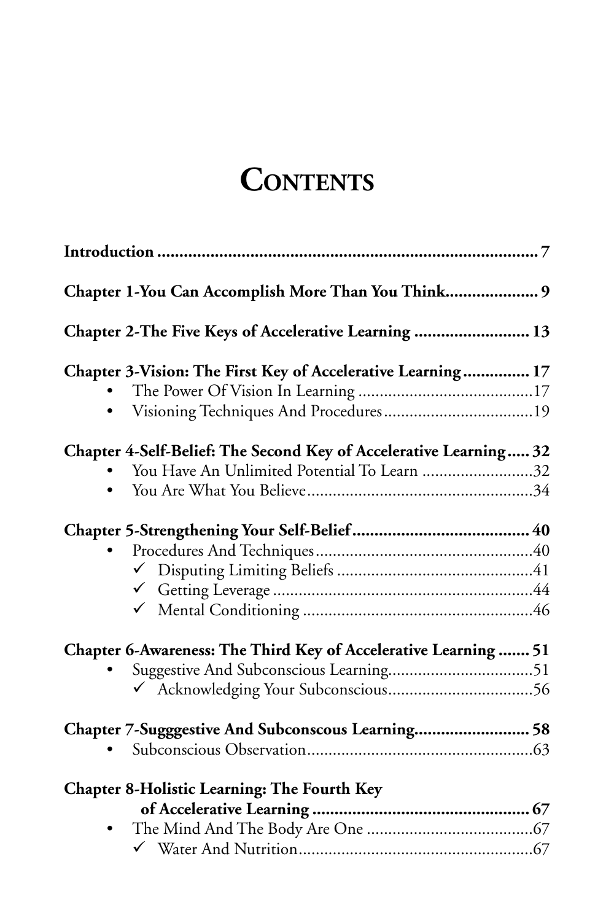# **CONTENTS**

| Chapter 1-You Can Accomplish More Than You Think 9                |  |
|-------------------------------------------------------------------|--|
| Chapter 2-The Five Keys of Accelerative Learning  13              |  |
| Chapter 3-Vision: The First Key of Accelerative Learning 17       |  |
|                                                                   |  |
|                                                                   |  |
| Chapter 4-Self-Belief: The Second Key of Accelerative Learning 32 |  |
| You Have An Unlimited Potential To Learn 32                       |  |
| $\bullet$                                                         |  |
|                                                                   |  |
|                                                                   |  |
|                                                                   |  |
|                                                                   |  |
|                                                                   |  |
| Chapter 6-Awareness: The Third Key of Accelerative Learning  51   |  |
|                                                                   |  |
|                                                                   |  |
| Chapter 7-Sugggestive And Subconscous Learning 58                 |  |
|                                                                   |  |
| <b>Chapter 8-Holistic Learning: The Fourth Key</b>                |  |
|                                                                   |  |
| $\bullet$                                                         |  |
|                                                                   |  |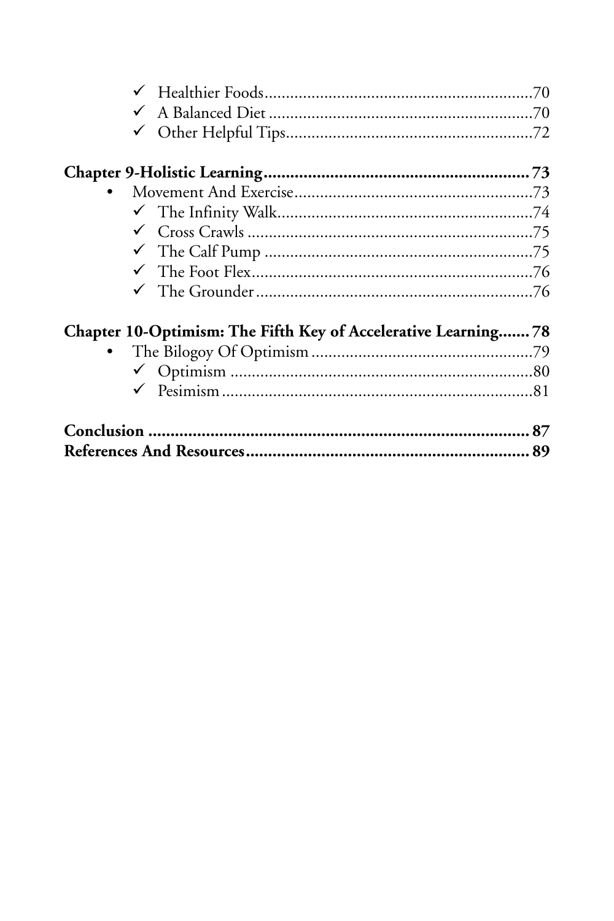| Chapter 10-Optimism: The Fifth Key of Accelerative Learning 78 |  |
|----------------------------------------------------------------|--|
|                                                                |  |
|                                                                |  |
|                                                                |  |
|                                                                |  |
|                                                                |  |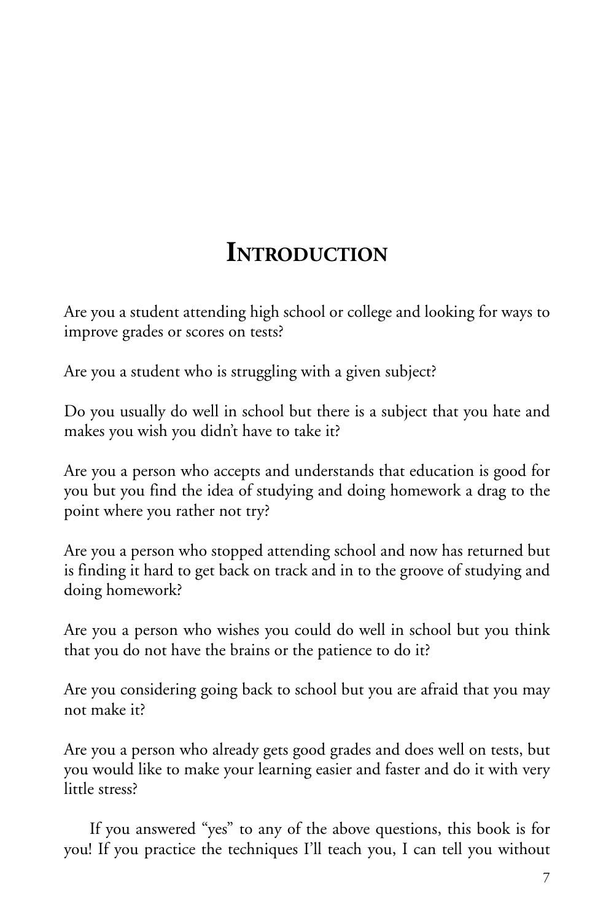### **INTRODUCTION**

Are you a student attending high school or college and looking for ways to improve grades or scores on tests?

Are you a student who is struggling with a given subject?

Do you usually do well in school but there is a subject that you hate and makes you wish you didn't have to take it?

Are you a person who accepts and understands that education is good for you but you find the idea of studying and doing homework a drag to the point where you rather not try?

Are you a person who stopped attending school and now has returned but is finding it hard to get back on track and in to the groove of studying and doing homework?

Are you a person who wishes you could do well in school but you think that you do not have the brains or the patience to do it?

Are you considering going back to school but you are afraid that you may not make it?

Are you a person who already gets good grades and does well on tests, but you would like to make your learning easier and faster and do it with very little stress?

If you answered "yes" to any of the above questions, this book is for you! If you practice the techniques I'll teach you, I can tell you without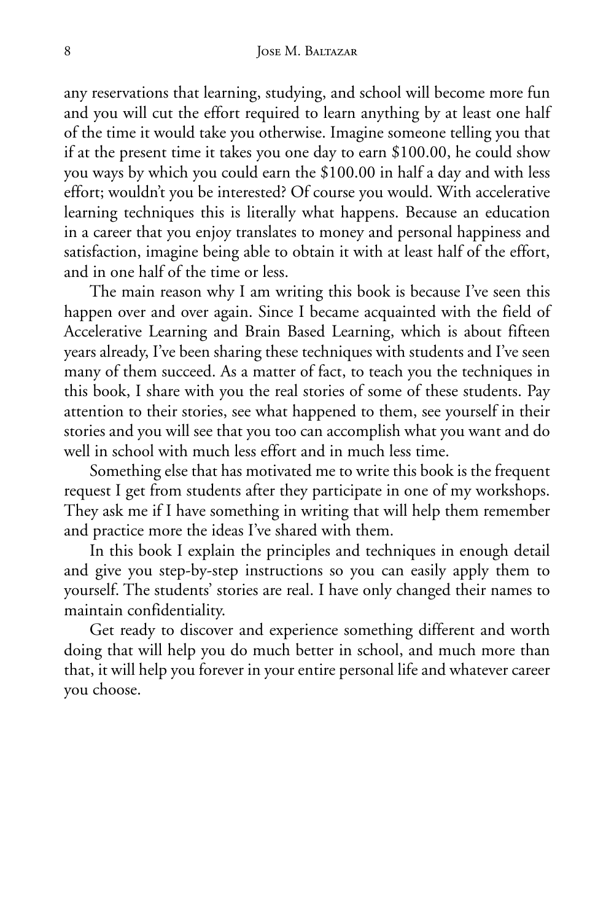any reservations that learning, studying, and school will become more fun and you will cut the effort required to learn anything by at least one half of the time it would take you otherwise. Imagine someone telling you that if at the present time it takes you one day to earn \$100.00, he could show you ways by which you could earn the \$100.00 in half a day and with less effort; wouldn't you be interested? Of course you would. With accelerative learning techniques this is literally what happens. Because an education in a career that you enjoy translates to money and personal happiness and satisfaction, imagine being able to obtain it with at least half of the effort, and in one half of the time or less.

The main reason why I am writing this book is because I've seen this happen over and over again. Since I became acquainted with the field of Accelerative Learning and Brain Based Learning, which is about fifteen years already, I've been sharing these techniques with students and I've seen many of them succeed. As a matter of fact, to teach you the techniques in this book, I share with you the real stories of some of these students. Pay attention to their stories, see what happened to them, see yourself in their stories and you will see that you too can accomplish what you want and do well in school with much less effort and in much less time.

Something else that has motivated me to write this book is the frequent request I get from students after they participate in one of my workshops. They ask me if I have something in writing that will help them remember and practice more the ideas I've shared with them.

In this book I explain the principles and techniques in enough detail and give you step-by-step instructions so you can easily apply them to yourself. The students' stories are real. I have only changed their names to maintain confidentiality.

Get ready to discover and experience something different and worth doing that will help you do much better in school, and much more than that, it will help you forever in your entire personal life and whatever career you choose.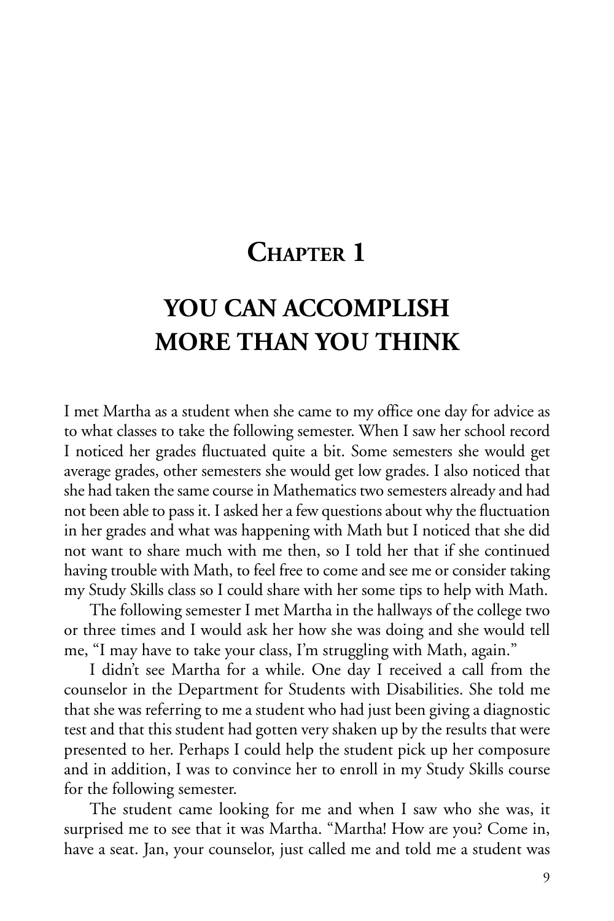### **CHAPTER 1**

### **YOU CAN ACCOMPLISH MORE THAN YOU THINK**

I met Martha as a student when she came to my office one day for advice as to what classes to take the following semester. When I saw her school record I noticed her grades fluctuated quite a bit. Some semesters she would get average grades, other semesters she would get low grades. I also noticed that she had taken the same course in Mathematics two semesters already and had not been able to pass it. I asked her a few questions about why the fluctuation in her grades and what was happening with Math but I noticed that she did not want to share much with me then, so I told her that if she continued having trouble with Math, to feel free to come and see me or consider taking my Study Skills class so I could share with her some tips to help with Math.

The following semester I met Martha in the hallways of the college two or three times and I would ask her how she was doing and she would tell me, "I may have to take your class, I'm struggling with Math, again."

I didn't see Martha for a while. One day I received a call from the counselor in the Department for Students with Disabilities. She told me that she was referring to me a student who had just been giving a diagnostic test and that this student had gotten very shaken up by the results that were presented to her. Perhaps I could help the student pick up her composure and in addition, I was to convince her to enroll in my Study Skills course for the following semester.

The student came looking for me and when I saw who she was, it surprised me to see that it was Martha. "Martha! How are you? Come in, have a seat. Jan, your counselor, just called me and told me a student was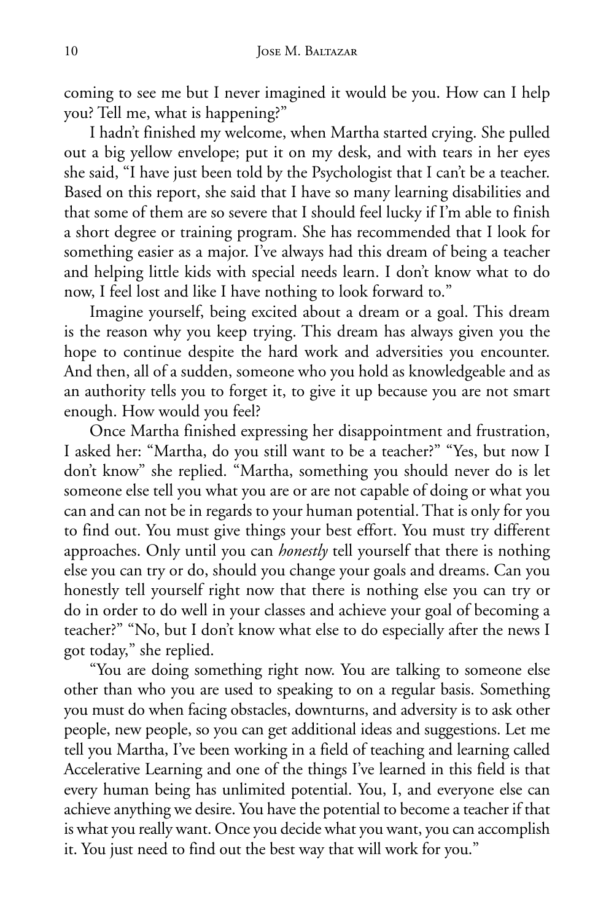coming to see me but I never imagined it would be you. How can I help you? Tell me, what is happening?"

I hadn't finished my welcome, when Martha started crying. She pulled out a big yellow envelope; put it on my desk, and with tears in her eyes she said, "I have just been told by the Psychologist that I can't be a teacher. Based on this report, she said that I have so many learning disabilities and that some of them are so severe that I should feel lucky if I'm able to finish a short degree or training program. She has recommended that I look for something easier as a major. I've always had this dream of being a teacher and helping little kids with special needs learn. I don't know what to do now, I feel lost and like I have nothing to look forward to."

Imagine yourself, being excited about a dream or a goal. This dream is the reason why you keep trying. This dream has always given you the hope to continue despite the hard work and adversities you encounter. And then, all of a sudden, someone who you hold as knowledgeable and as an authority tells you to forget it, to give it up because you are not smart enough. How would you feel?

Once Martha finished expressing her disappointment and frustration, I asked her: "Martha, do you still want to be a teacher?" "Yes, but now I don't know" she replied. "Martha, something you should never do is let someone else tell you what you are or are not capable of doing or what you can and can not be in regards to your human potential. That is only for you to find out. You must give things your best effort. You must try different approaches. Only until you can *honestly* tell yourself that there is nothing else you can try or do, should you change your goals and dreams. Can you honestly tell yourself right now that there is nothing else you can try or do in order to do well in your classes and achieve your goal of becoming a teacher?" "No, but I don't know what else to do especially after the news I got today," she replied.

"You are doing something right now. You are talking to someone else other than who you are used to speaking to on a regular basis. Something you must do when facing obstacles, downturns, and adversity is to ask other people, new people, so you can get additional ideas and suggestions. Let me tell you Martha, I've been working in a field of teaching and learning called Accelerative Learning and one of the things I've learned in this field is that every human being has unlimited potential. You, I, and everyone else can achieve anything we desire. You have the potential to become a teacher if that is what you really want. Once you decide what you want, you can accomplish it. You just need to find out the best way that will work for you."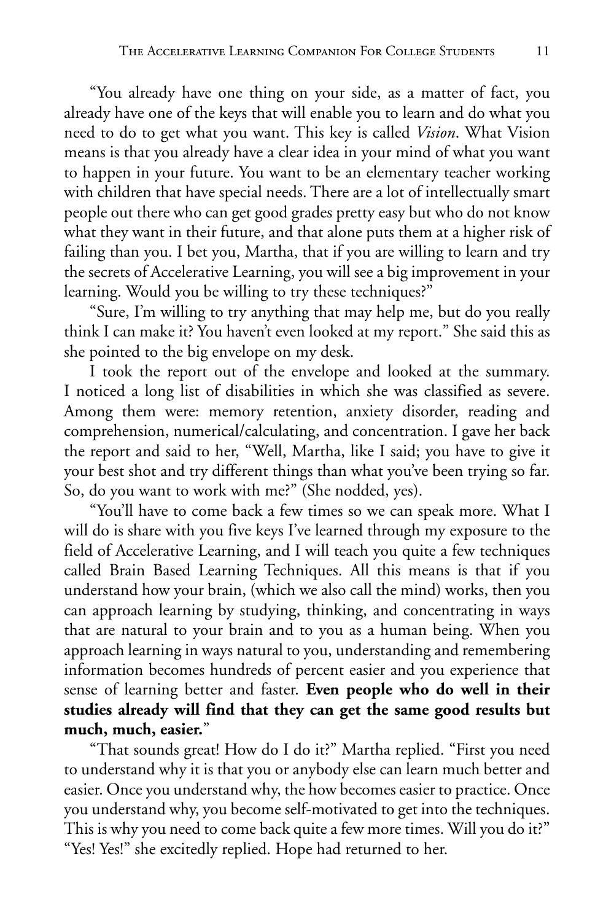"You already have one thing on your side, as a matter of fact, you already have one of the keys that will enable you to learn and do what you need to do to get what you want. This key is called *Vision*. What Vision means is that you already have a clear idea in your mind of what you want to happen in your future. You want to be an elementary teacher working with children that have special needs. There are a lot of intellectually smart people out there who can get good grades pretty easy but who do not know what they want in their future, and that alone puts them at a higher risk of failing than you. I bet you, Martha, that if you are willing to learn and try the secrets of Accelerative Learning, you will see a big improvement in your learning. Would you be willing to try these techniques?"

"Sure, I'm willing to try anything that may help me, but do you really think I can make it? You haven't even looked at my report." She said this as she pointed to the big envelope on my desk.

I took the report out of the envelope and looked at the summary. I noticed a long list of disabilities in which she was classified as severe. Among them were: memory retention, anxiety disorder, reading and comprehension, numerical/calculating, and concentration. I gave her back the report and said to her, "Well, Martha, like I said; you have to give it your best shot and try different things than what you've been trying so far. So, do you want to work with me?" (She nodded, yes).

"You'll have to come back a few times so we can speak more. What I will do is share with you five keys I've learned through my exposure to the field of Accelerative Learning, and I will teach you quite a few techniques called Brain Based Learning Techniques. All this means is that if you understand how your brain, (which we also call the mind) works, then you can approach learning by studying, thinking, and concentrating in ways that are natural to your brain and to you as a human being. When you approach learning in ways natural to you, understanding and remembering information becomes hundreds of percent easier and you experience that sense of learning better and faster. **Even people who do well in their studies already will find that they can get the same good results but much, much, easier.**"

"That sounds great! How do I do it?" Martha replied. "First you need to understand why it is that you or anybody else can learn much better and easier. Once you understand why, the how becomes easier to practice. Once you understand why, you become self-motivated to get into the techniques. This is why you need to come back quite a few more times. Will you do it?" "Yes! Yes!" she excitedly replied. Hope had returned to her.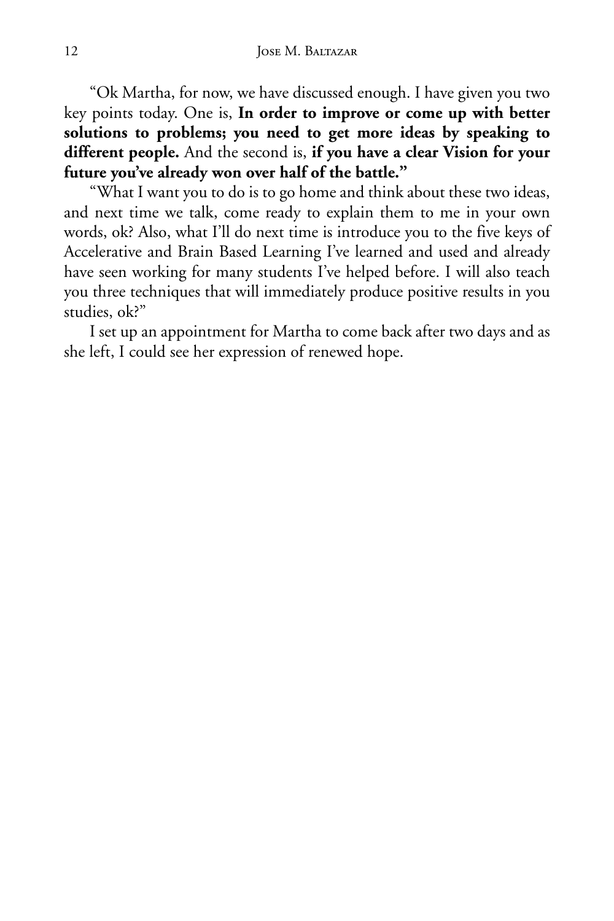"Ok Martha, for now, we have discussed enough. I have given you two key points today. One is, **In order to improve or come up with better solutions to problems; you need to get more ideas by speaking to different people.** And the second is, **if you have a clear Vision for your future you've already won over half of the battle."**

"What I want you to do is to go home and think about these two ideas, and next time we talk, come ready to explain them to me in your own words, ok? Also, what I'll do next time is introduce you to the five keys of Accelerative and Brain Based Learning I've learned and used and already have seen working for many students I've helped before. I will also teach you three techniques that will immediately produce positive results in you studies, ok?"

I set up an appointment for Martha to come back after two days and as she left, I could see her expression of renewed hope.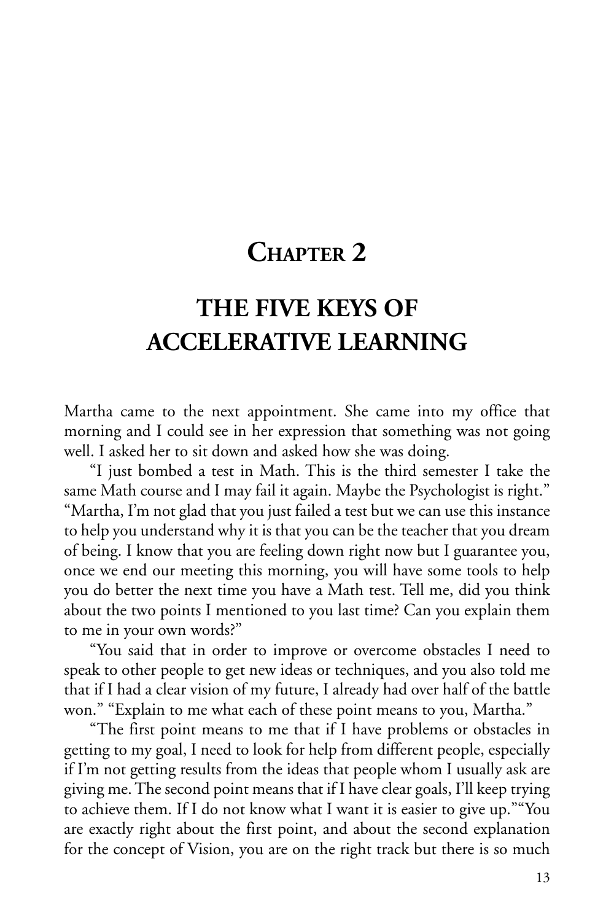### **CHAPTER 2**

### **THE FIVE KEYS OF ACCELERATIVE LEARNING**

Martha came to the next appointment. She came into my office that morning and I could see in her expression that something was not going well. I asked her to sit down and asked how she was doing.

"I just bombed a test in Math. This is the third semester I take the same Math course and I may fail it again. Maybe the Psychologist is right." "Martha, I'm not glad that you just failed a test but we can use this instance to help you understand why it is that you can be the teacher that you dream of being. I know that you are feeling down right now but I guarantee you, once we end our meeting this morning, you will have some tools to help you do better the next time you have a Math test. Tell me, did you think about the two points I mentioned to you last time? Can you explain them to me in your own words?"

"You said that in order to improve or overcome obstacles I need to speak to other people to get new ideas or techniques, and you also told me that if I had a clear vision of my future, I already had over half of the battle won." "Explain to me what each of these point means to you, Martha."

"The first point means to me that if I have problems or obstacles in getting to my goal, I need to look for help from different people, especially if I'm not getting results from the ideas that people whom I usually ask are giving me. The second point means that if I have clear goals, I'll keep trying to achieve them. If I do not know what I want it is easier to give up.""You are exactly right about the first point, and about the second explanation for the concept of Vision, you are on the right track but there is so much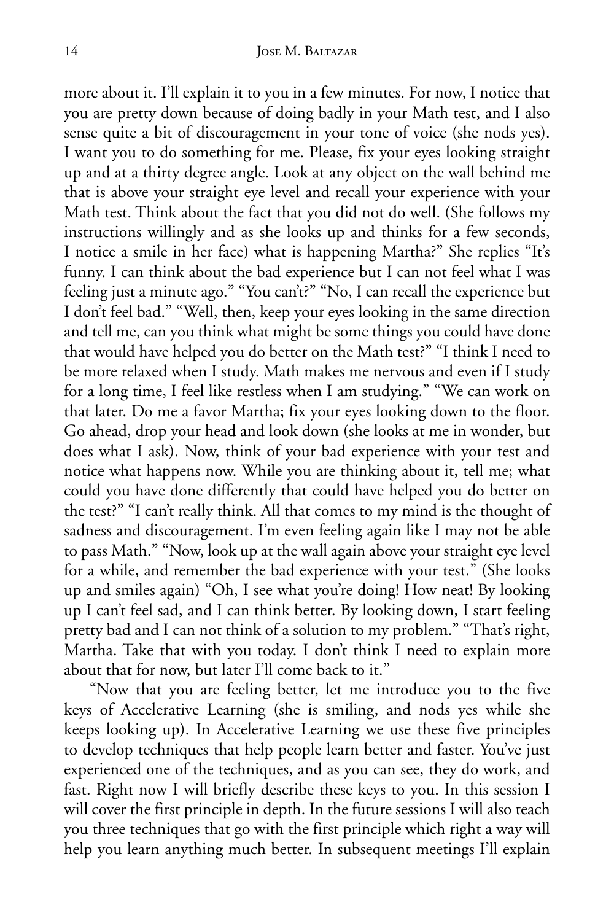more about it. I'll explain it to you in a few minutes. For now, I notice that you are pretty down because of doing badly in your Math test, and I also sense quite a bit of discouragement in your tone of voice (she nods yes). I want you to do something for me. Please, fix your eyes looking straight up and at a thirty degree angle. Look at any object on the wall behind me that is above your straight eye level and recall your experience with your Math test. Think about the fact that you did not do well. (She follows my instructions willingly and as she looks up and thinks for a few seconds, I notice a smile in her face) what is happening Martha?" She replies "It's funny. I can think about the bad experience but I can not feel what I was feeling just a minute ago." "You can't?" "No, I can recall the experience but I don't feel bad." "Well, then, keep your eyes looking in the same direction and tell me, can you think what might be some things you could have done that would have helped you do better on the Math test?" "I think I need to be more relaxed when I study. Math makes me nervous and even if I study for a long time, I feel like restless when I am studying." "We can work on that later. Do me a favor Martha; fix your eyes looking down to the floor. Go ahead, drop your head and look down (she looks at me in wonder, but does what I ask). Now, think of your bad experience with your test and notice what happens now. While you are thinking about it, tell me; what could you have done differently that could have helped you do better on the test?" "I can't really think. All that comes to my mind is the thought of sadness and discouragement. I'm even feeling again like I may not be able to pass Math." "Now, look up at the wall again above your straight eye level for a while, and remember the bad experience with your test." (She looks up and smiles again) "Oh, I see what you're doing! How neat! By looking up I can't feel sad, and I can think better. By looking down, I start feeling pretty bad and I can not think of a solution to my problem." "That's right, Martha. Take that with you today. I don't think I need to explain more about that for now, but later I'll come back to it."

"Now that you are feeling better, let me introduce you to the five keys of Accelerative Learning (she is smiling, and nods yes while she keeps looking up). In Accelerative Learning we use these five principles to develop techniques that help people learn better and faster. You've just experienced one of the techniques, and as you can see, they do work, and fast. Right now I will briefly describe these keys to you. In this session I will cover the first principle in depth. In the future sessions I will also teach you three techniques that go with the first principle which right a way will help you learn anything much better. In subsequent meetings I'll explain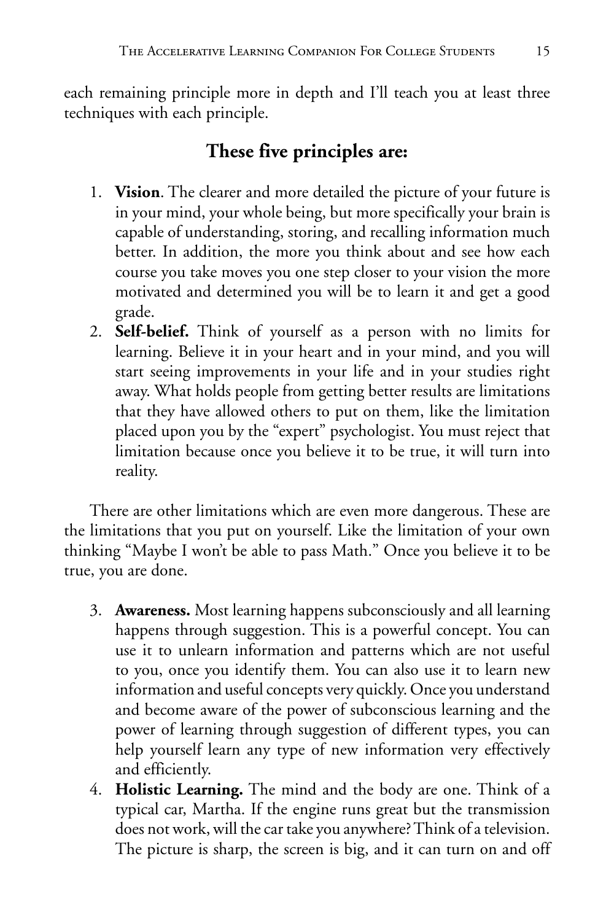each remaining principle more in depth and I'll teach you at least three techniques with each principle.

#### **These five principles are:**

- 1. **Vision**. The clearer and more detailed the picture of your future is in your mind, your whole being, but more specifically your brain is capable of understanding, storing, and recalling information much better. In addition, the more you think about and see how each course you take moves you one step closer to your vision the more motivated and determined you will be to learn it and get a good grade.
- 2. **Self-belief.** Think of yourself as a person with no limits for learning. Believe it in your heart and in your mind, and you will start seeing improvements in your life and in your studies right away. What holds people from getting better results are limitations that they have allowed others to put on them, like the limitation placed upon you by the "expert" psychologist. You must reject that limitation because once you believe it to be true, it will turn into reality.

There are other limitations which are even more dangerous. These are the limitations that you put on yourself. Like the limitation of your own thinking "Maybe I won't be able to pass Math." Once you believe it to be true, you are done.

- 3. **Awareness.** Most learning happens subconsciously and all learning happens through suggestion. This is a powerful concept. You can use it to unlearn information and patterns which are not useful to you, once you identify them. You can also use it to learn new information and useful concepts very quickly. Once you understand and become aware of the power of subconscious learning and the power of learning through suggestion of different types, you can help yourself learn any type of new information very effectively and efficiently.
- 4. **Holistic Learning.** The mind and the body are one. Think of a typical car, Martha. If the engine runs great but the transmission does not work, will the car take you anywhere? Think of a television. The picture is sharp, the screen is big, and it can turn on and off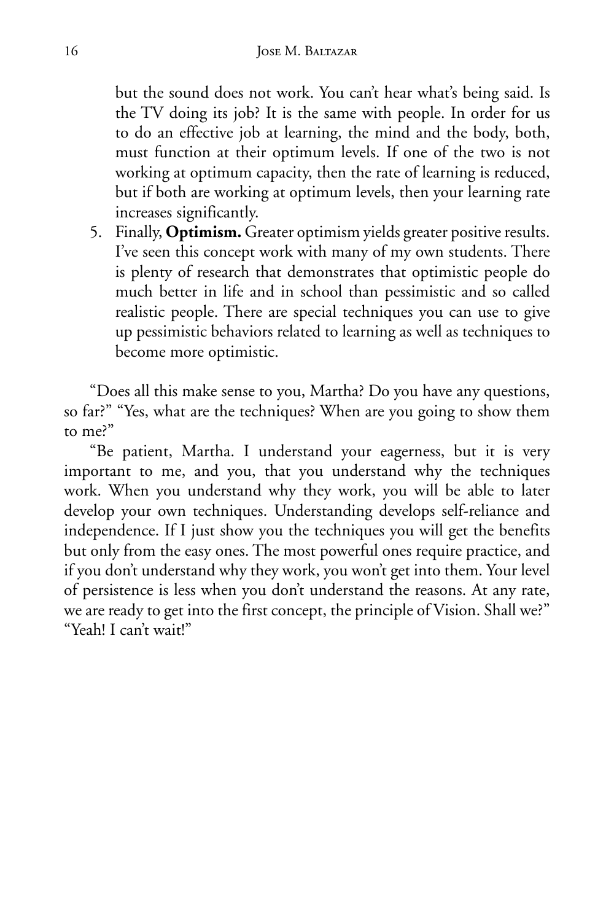but the sound does not work. You can't hear what's being said. Is the TV doing its job? It is the same with people. In order for us to do an effective job at learning, the mind and the body, both, must function at their optimum levels. If one of the two is not working at optimum capacity, then the rate of learning is reduced, but if both are working at optimum levels, then your learning rate increases significantly.

5. Finally, **Optimism.** Greater optimism yields greater positive results. I've seen this concept work with many of my own students. There is plenty of research that demonstrates that optimistic people do much better in life and in school than pessimistic and so called realistic people. There are special techniques you can use to give up pessimistic behaviors related to learning as well as techniques to become more optimistic.

"Does all this make sense to you, Martha? Do you have any questions, so far?" "Yes, what are the techniques? When are you going to show them to me?"

"Be patient, Martha. I understand your eagerness, but it is very important to me, and you, that you understand why the techniques work. When you understand why they work, you will be able to later develop your own techniques. Understanding develops self-reliance and independence. If I just show you the techniques you will get the benefits but only from the easy ones. The most powerful ones require practice, and if you don't understand why they work, you won't get into them. Your level of persistence is less when you don't understand the reasons. At any rate, we are ready to get into the first concept, the principle of Vision. Shall we?" "Yeah! I can't wait!"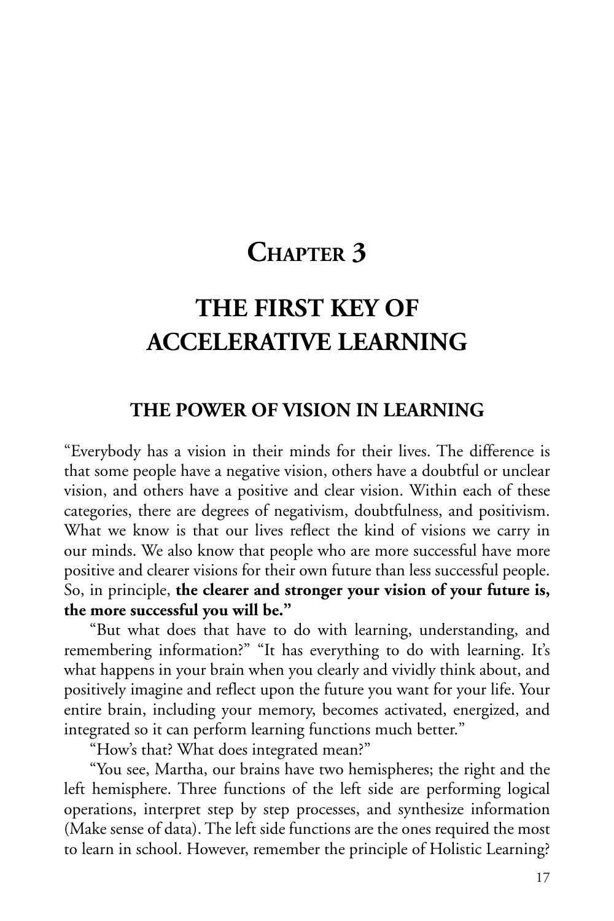### **CHAPTER 3**

### **THE FIRST KEY OF ACCELERATIVE LEARNING**

#### **THE POWER OF VISION IN LEARNING**

"Everybody has a vision in their minds for their lives. The difference is that some people have a negative vision, others have a doubtful or unclear vision, and others have a positive and clear vision. Within each of these categories, there are degrees of negativism, doubtfulness, and positivism. What we know is that our lives reflect the kind of visions we carry in our minds. We also know that people who are more successful have more positive and clearer visions for their own future than less successful people. So, in principle, **the clearer and stronger your vision of your future is, the more successful you will be."**

"But what does that have to do with learning, understanding, and remembering information?" "It has everything to do with learning. It's what happens in your brain when you clearly and vividly think about, and positively imagine and reflect upon the future you want for your life. Your entire brain, including your memory, becomes activated, energized, and integrated so it can perform learning functions much better."

"How's that? What does integrated mean?"

"You see, Martha, our brains have two hemispheres; the right and the left hemisphere. Three functions of the left side are performing logical operations, interpret step by step processes, and synthesize information (Make sense of data). The left side functions are the ones required the most to learn in school. However, remember the principle of Holistic Learning?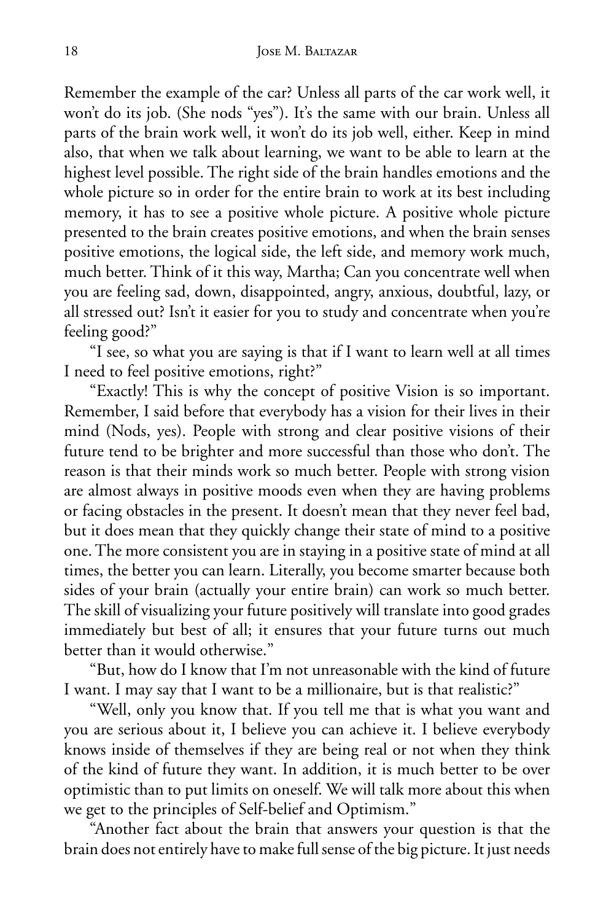Remember the example of the car? Unless all parts of the car work well, it won't do its job. (She nods "yes"). It's the same with our brain. Unless all parts of the brain work well, it won't do its job well, either. Keep in mind also, that when we talk about learning, we want to be able to learn at the highest level possible. The right side of the brain handles emotions and the whole picture so in order for the entire brain to work at its best including memory, it has to see a positive whole picture. A positive whole picture presented to the brain creates positive emotions, and when the brain senses positive emotions, the logical side, the left side, and memory work much, much better. Think of it this way, Martha; Can you concentrate well when you are feeling sad, down, disappointed, angry, anxious, doubtful, lazy, or all stressed out? Isn't it easier for you to study and concentrate when you're feeling good?"

"I see, so what you are saying is that if I want to learn well at all times I need to feel positive emotions, right?"

"Exactly! This is why the concept of positive Vision is so important. Remember, I said before that everybody has a vision for their lives in their mind (Nods, yes). People with strong and clear positive visions of their future tend to be brighter and more successful than those who don't. The reason is that their minds work so much better. People with strong vision are almost always in positive moods even when they are having problems or facing obstacles in the present. It doesn't mean that they never feel bad, but it does mean that they quickly change their state of mind to a positive one. The more consistent you are in staying in a positive state of mind at all times, the better you can learn. Literally, you become smarter because both sides of your brain (actually your entire brain) can work so much better. The skill of visualizing your future positively will translate into good grades immediately but best of all; it ensures that your future turns out much better than it would otherwise."

"But, how do I know that I'm not unreasonable with the kind of future I want. I may say that I want to be a millionaire, but is that realistic?"

"Well, only you know that. If you tell me that is what you want and you are serious about it, I believe you can achieve it. I believe everybody knows inside of themselves if they are being real or not when they think of the kind of future they want. In addition, it is much better to be over optimistic than to put limits on oneself. We will talk more about this when we get to the principles of Self-belief and Optimism."

"Another fact about the brain that answers your question is that the brain does not entirely have to make full sense of the big picture. It just needs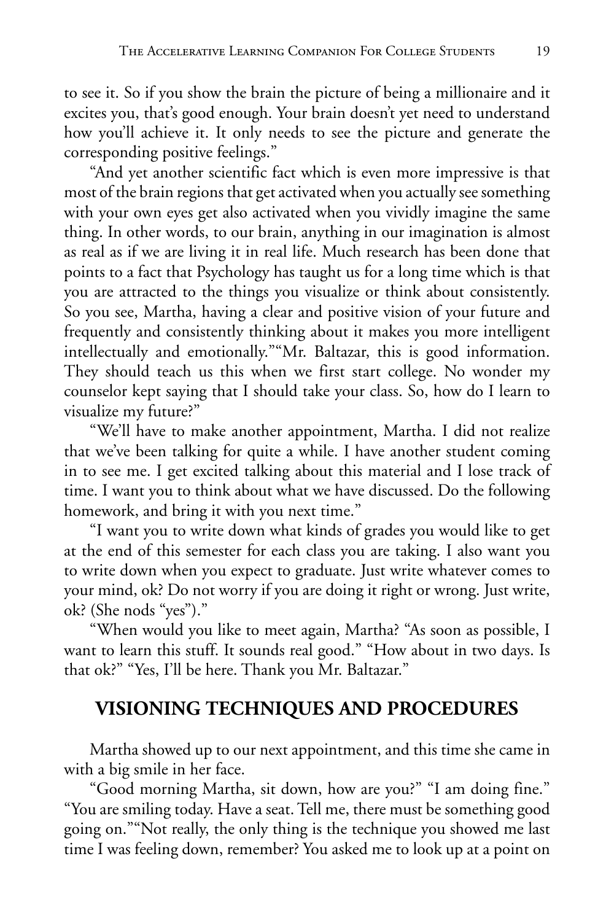to see it. So if you show the brain the picture of being a millionaire and it excites you, that's good enough. Your brain doesn't yet need to understand how you'll achieve it. It only needs to see the picture and generate the corresponding positive feelings."

"And yet another scientific fact which is even more impressive is that most of the brain regions that get activated when you actually see something with your own eyes get also activated when you vividly imagine the same thing. In other words, to our brain, anything in our imagination is almost as real as if we are living it in real life. Much research has been done that points to a fact that Psychology has taught us for a long time which is that you are attracted to the things you visualize or think about consistently. So you see, Martha, having a clear and positive vision of your future and frequently and consistently thinking about it makes you more intelligent intellectually and emotionally.""Mr. Baltazar, this is good information. They should teach us this when we first start college. No wonder my counselor kept saying that I should take your class. So, how do I learn to visualize my future?"

"We'll have to make another appointment, Martha. I did not realize that we've been talking for quite a while. I have another student coming in to see me. I get excited talking about this material and I lose track of time. I want you to think about what we have discussed. Do the following homework, and bring it with you next time."

"I want you to write down what kinds of grades you would like to get at the end of this semester for each class you are taking. I also want you to write down when you expect to graduate. Just write whatever comes to your mind, ok? Do not worry if you are doing it right or wrong. Just write, ok? (She nods "yes")."

"When would you like to meet again, Martha? "As soon as possible, I want to learn this stuff. It sounds real good." "How about in two days. Is that ok?" "Yes, I'll be here. Thank you Mr. Baltazar."

#### **VISIONING TECHNIQUES AND PROCEDURES**

Martha showed up to our next appointment, and this time she came in with a big smile in her face.

"Good morning Martha, sit down, how are you?" "I am doing fine." "You are smiling today. Have a seat. Tell me, there must be something good going on.""Not really, the only thing is the technique you showed me last time I was feeling down, remember? You asked me to look up at a point on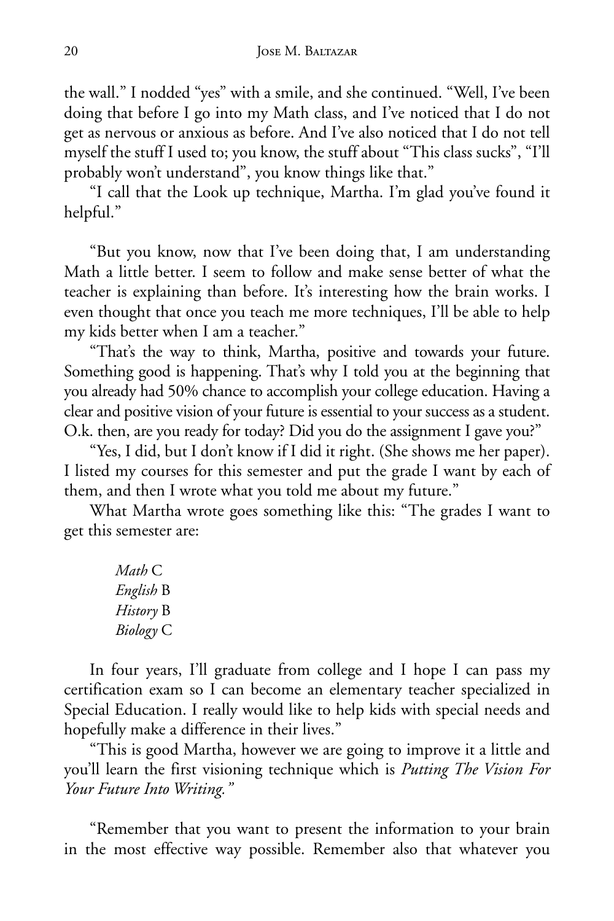the wall." I nodded "yes" with a smile, and she continued. "Well, I've been doing that before I go into my Math class, and I've noticed that I do not get as nervous or anxious as before. And I've also noticed that I do not tell myself the stuff I used to; you know, the stuff about "This class sucks", "I'll probably won't understand", you know things like that."

"I call that the Look up technique, Martha. I'm glad you've found it helpful."

"But you know, now that I've been doing that, I am understanding Math a little better. I seem to follow and make sense better of what the teacher is explaining than before. It's interesting how the brain works. I even thought that once you teach me more techniques, I'll be able to help my kids better when I am a teacher."

"That's the way to think, Martha, positive and towards your future. Something good is happening. That's why I told you at the beginning that you already had 50% chance to accomplish your college education. Having a clear and positive vision of your future is essential to your success as a student. O.k. then, are you ready for today? Did you do the assignment I gave you?"

"Yes, I did, but I don't know if I did it right. (She shows me her paper). I listed my courses for this semester and put the grade I want by each of them, and then I wrote what you told me about my future."

What Martha wrote goes something like this: "The grades I want to get this semester are:

> *Math* C *English* B *History* B *Biology* C

In four years, I'll graduate from college and I hope I can pass my certification exam so I can become an elementary teacher specialized in Special Education. I really would like to help kids with special needs and hopefully make a difference in their lives."

"This is good Martha, however we are going to improve it a little and you'll learn the first visioning technique which is *Putting The Vision For Your Future Into Writing."*

"Remember that you want to present the information to your brain in the most effective way possible. Remember also that whatever you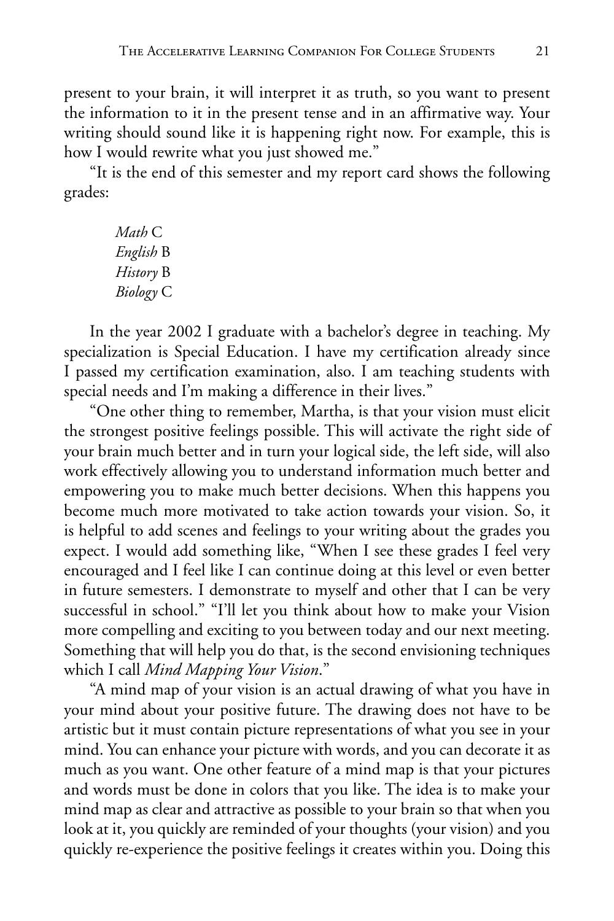present to your brain, it will interpret it as truth, so you want to present the information to it in the present tense and in an affirmative way. Your writing should sound like it is happening right now. For example, this is how I would rewrite what you just showed me."

"It is the end of this semester and my report card shows the following grades:

> *Math* C *English* B *History* B *Biology* C

In the year 2002 I graduate with a bachelor's degree in teaching. My specialization is Special Education. I have my certification already since I passed my certification examination, also. I am teaching students with special needs and I'm making a difference in their lives."

"One other thing to remember, Martha, is that your vision must elicit the strongest positive feelings possible. This will activate the right side of your brain much better and in turn your logical side, the left side, will also work effectively allowing you to understand information much better and empowering you to make much better decisions. When this happens you become much more motivated to take action towards your vision. So, it is helpful to add scenes and feelings to your writing about the grades you expect. I would add something like, "When I see these grades I feel very encouraged and I feel like I can continue doing at this level or even better in future semesters. I demonstrate to myself and other that I can be very successful in school." "I'll let you think about how to make your Vision more compelling and exciting to you between today and our next meeting. Something that will help you do that, is the second envisioning techniques which I call *Mind Mapping Your Vision*."

"A mind map of your vision is an actual drawing of what you have in your mind about your positive future. The drawing does not have to be artistic but it must contain picture representations of what you see in your mind. You can enhance your picture with words, and you can decorate it as much as you want. One other feature of a mind map is that your pictures and words must be done in colors that you like. The idea is to make your mind map as clear and attractive as possible to your brain so that when you look at it, you quickly are reminded of your thoughts (your vision) and you quickly re-experience the positive feelings it creates within you. Doing this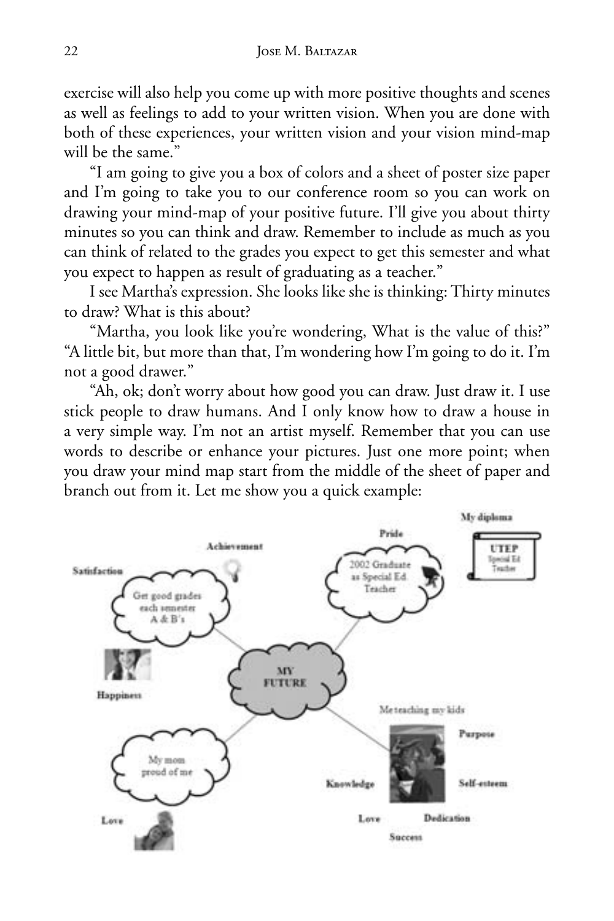exercise will also help you come up with more positive thoughts and scenes as well as feelings to add to your written vision. When you are done with both of these experiences, your written vision and your vision mind-map will be the same."

"I am going to give you a box of colors and a sheet of poster size paper and I'm going to take you to our conference room so you can work on drawing your mind-map of your positive future. I'll give you about thirty minutes so you can think and draw. Remember to include as much as you can think of related to the grades you expect to get this semester and what you expect to happen as result of graduating as a teacher."

I see Martha's expression. She looks like she is thinking: Thirty minutes to draw? What is this about?

"Martha, you look like you're wondering, What is the value of this?" "A little bit, but more than that, I'm wondering how I'm going to do it. I'm not a good drawer."

"Ah, ok; don't worry about how good you can draw. Just draw it. I use stick people to draw humans. And I only know how to draw a house in a very simple way. I'm not an artist myself. Remember that you can use words to describe or enhance your pictures. Just one more point; when you draw your mind map start from the middle of the sheet of paper and branch out from it. Let me show you a quick example:

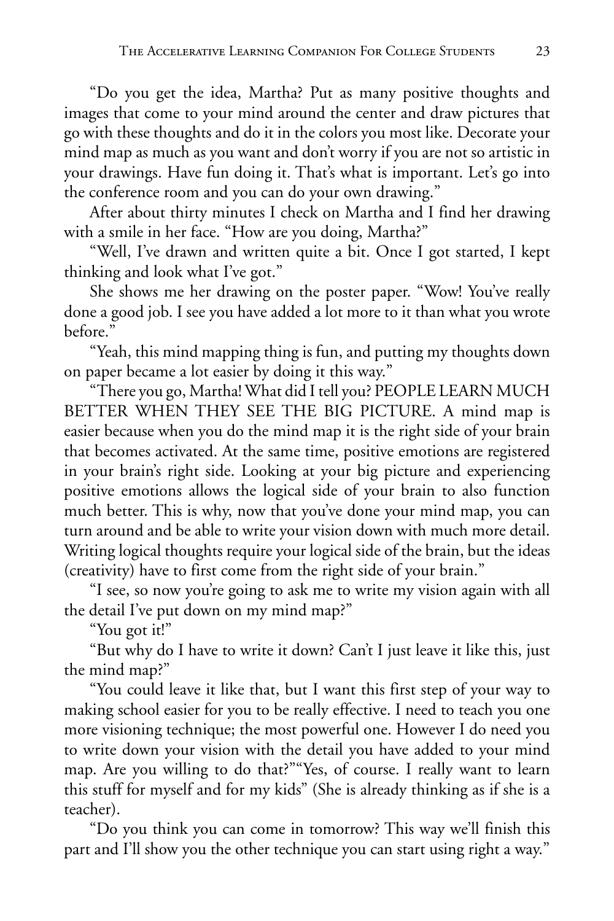"Do you get the idea, Martha? Put as many positive thoughts and images that come to your mind around the center and draw pictures that go with these thoughts and do it in the colors you most like. Decorate your mind map as much as you want and don't worry if you are not so artistic in your drawings. Have fun doing it. That's what is important. Let's go into the conference room and you can do your own drawing."

After about thirty minutes I check on Martha and I find her drawing with a smile in her face. "How are you doing, Martha?"

"Well, I've drawn and written quite a bit. Once I got started, I kept thinking and look what I've got."

She shows me her drawing on the poster paper. "Wow! You've really done a good job. I see you have added a lot more to it than what you wrote before."

"Yeah, this mind mapping thing is fun, and putting my thoughts down on paper became a lot easier by doing it this way."

"There you go, Martha! What did I tell you? PEOPLE LEARN MUCH BETTER WHEN THEY SEE THE BIG PICTURE. A mind map is easier because when you do the mind map it is the right side of your brain that becomes activated. At the same time, positive emotions are registered in your brain's right side. Looking at your big picture and experiencing positive emotions allows the logical side of your brain to also function much better. This is why, now that you've done your mind map, you can turn around and be able to write your vision down with much more detail. Writing logical thoughts require your logical side of the brain, but the ideas (creativity) have to first come from the right side of your brain."

"I see, so now you're going to ask me to write my vision again with all the detail I've put down on my mind map?"

"You got it!"

"But why do I have to write it down? Can't I just leave it like this, just the mind map?"

"You could leave it like that, but I want this first step of your way to making school easier for you to be really effective. I need to teach you one more visioning technique; the most powerful one. However I do need you to write down your vision with the detail you have added to your mind map. Are you willing to do that?""Yes, of course. I really want to learn this stuff for myself and for my kids" (She is already thinking as if she is a teacher).

"Do you think you can come in tomorrow? This way we'll finish this part and I'll show you the other technique you can start using right a way."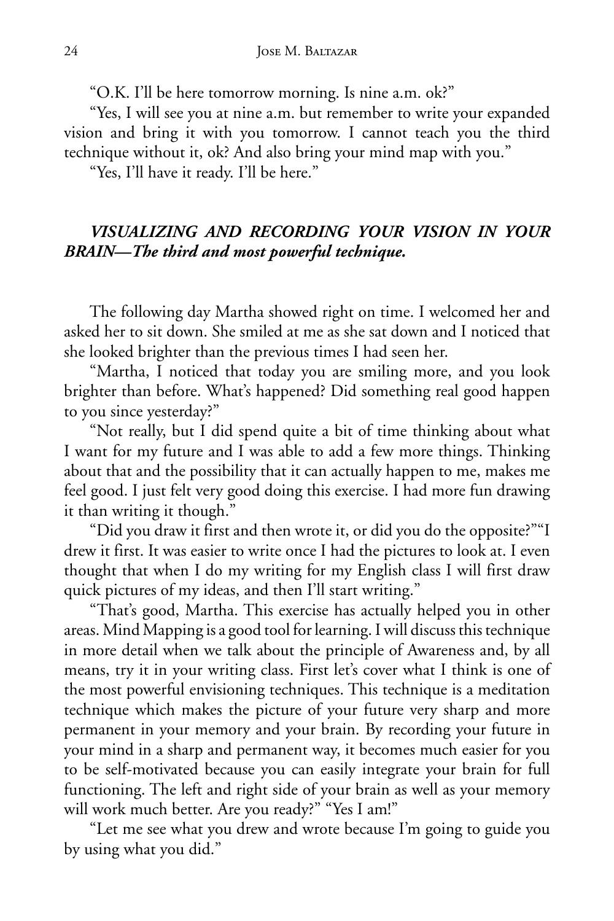"O.K. I'll be here tomorrow morning. Is nine a.m. ok?"

"Yes, I will see you at nine a.m. but remember to write your expanded vision and bring it with you tomorrow. I cannot teach you the third technique without it, ok? And also bring your mind map with you."

"Yes, I'll have it ready. I'll be here."

#### *VISUALIZING AND RECORDING YOUR VISION IN YOUR BRAIN—The third and most powerful technique.*

The following day Martha showed right on time. I welcomed her and asked her to sit down. She smiled at me as she sat down and I noticed that she looked brighter than the previous times I had seen her.

"Martha, I noticed that today you are smiling more, and you look brighter than before. What's happened? Did something real good happen to you since yesterday?"

"Not really, but I did spend quite a bit of time thinking about what I want for my future and I was able to add a few more things. Thinking about that and the possibility that it can actually happen to me, makes me feel good. I just felt very good doing this exercise. I had more fun drawing it than writing it though."

"Did you draw it first and then wrote it, or did you do the opposite?""I drew it first. It was easier to write once I had the pictures to look at. I even thought that when I do my writing for my English class I will first draw quick pictures of my ideas, and then I'll start writing."

"That's good, Martha. This exercise has actually helped you in other areas. Mind Mapping is a good tool for learning. I will discuss this technique in more detail when we talk about the principle of Awareness and, by all means, try it in your writing class. First let's cover what I think is one of the most powerful envisioning techniques. This technique is a meditation technique which makes the picture of your future very sharp and more permanent in your memory and your brain. By recording your future in your mind in a sharp and permanent way, it becomes much easier for you to be self-motivated because you can easily integrate your brain for full functioning. The left and right side of your brain as well as your memory will work much better. Are you ready?" "Yes I am!"

"Let me see what you drew and wrote because I'm going to guide you by using what you did."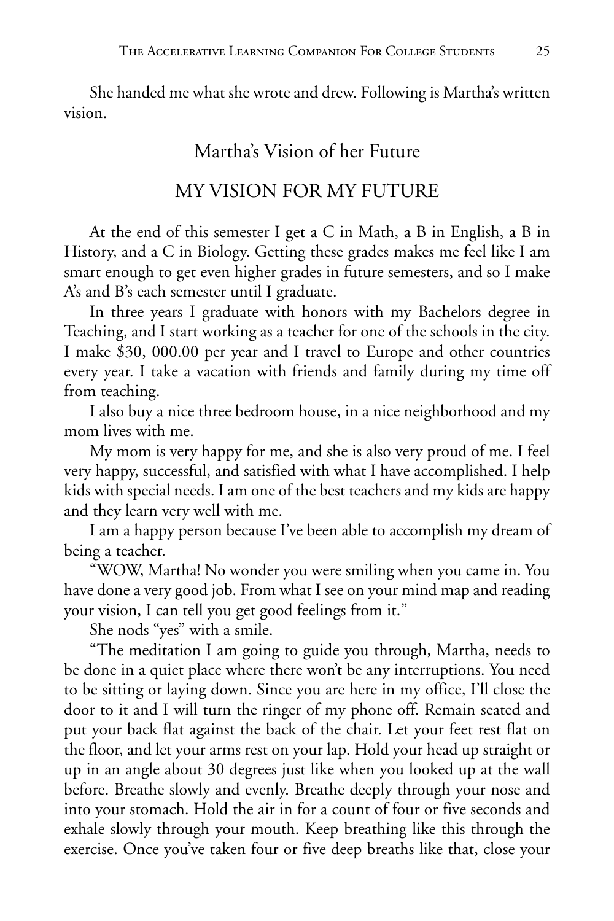She handed me what she wrote and drew. Following is Martha's written vision.

#### Martha's Vision of her Future

#### MY VISION FOR MY FUTURE

At the end of this semester I get a C in Math, a B in English, a B in History, and a C in Biology. Getting these grades makes me feel like I am smart enough to get even higher grades in future semesters, and so I make A's and B's each semester until I graduate.

In three years I graduate with honors with my Bachelors degree in Teaching, and I start working as a teacher for one of the schools in the city. I make \$30, 000.00 per year and I travel to Europe and other countries every year. I take a vacation with friends and family during my time off from teaching.

I also buy a nice three bedroom house, in a nice neighborhood and my mom lives with me.

My mom is very happy for me, and she is also very proud of me. I feel very happy, successful, and satisfied with what I have accomplished. I help kids with special needs. I am one of the best teachers and my kids are happy and they learn very well with me.

I am a happy person because I've been able to accomplish my dream of being a teacher.

"WOW, Martha! No wonder you were smiling when you came in. You have done a very good job. From what I see on your mind map and reading your vision, I can tell you get good feelings from it."

She nods "yes" with a smile.

"The meditation I am going to guide you through, Martha, needs to be done in a quiet place where there won't be any interruptions. You need to be sitting or laying down. Since you are here in my office, I'll close the door to it and I will turn the ringer of my phone off. Remain seated and put your back flat against the back of the chair. Let your feet rest flat on the floor, and let your arms rest on your lap. Hold your head up straight or up in an angle about 30 degrees just like when you looked up at the wall before. Breathe slowly and evenly. Breathe deeply through your nose and into your stomach. Hold the air in for a count of four or five seconds and exhale slowly through your mouth. Keep breathing like this through the exercise. Once you've taken four or five deep breaths like that, close your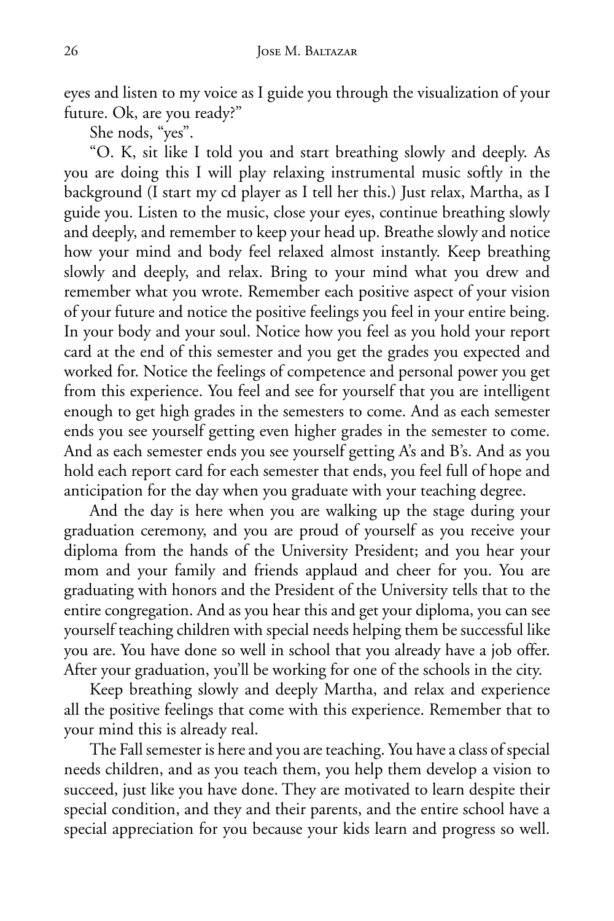eyes and listen to my voice as I guide you through the visualization of your future. Ok, are you ready?"

She nods, "yes".

"O. K, sit like I told you and start breathing slowly and deeply. As you are doing this I will play relaxing instrumental music softly in the background (I start my cd player as I tell her this.) Just relax, Martha, as I guide you. Listen to the music, close your eyes, continue breathing slowly and deeply, and remember to keep your head up. Breathe slowly and notice how your mind and body feel relaxed almost instantly. Keep breathing slowly and deeply, and relax. Bring to your mind what you drew and remember what you wrote. Remember each positive aspect of your vision of your future and notice the positive feelings you feel in your entire being. In your body and your soul. Notice how you feel as you hold your report card at the end of this semester and you get the grades you expected and worked for. Notice the feelings of competence and personal power you get from this experience. You feel and see for yourself that you are intelligent enough to get high grades in the semesters to come. And as each semester ends you see yourself getting even higher grades in the semester to come. And as each semester ends you see yourself getting A's and B's. And as you hold each report card for each semester that ends, you feel full of hope and anticipation for the day when you graduate with your teaching degree.

And the day is here when you are walking up the stage during your graduation ceremony, and you are proud of yourself as you receive your diploma from the hands of the University President; and you hear your mom and your family and friends applaud and cheer for you. You are graduating with honors and the President of the University tells that to the entire congregation. And as you hear this and get your diploma, you can see yourself teaching children with special needs helping them be successful like you are. You have done so well in school that you already have a job offer. After your graduation, you'll be working for one of the schools in the city.

Keep breathing slowly and deeply Martha, and relax and experience all the positive feelings that come with this experience. Remember that to your mind this is already real.

The Fall semester is here and you are teaching. You have a class of special needs children, and as you teach them, you help them develop a vision to succeed, just like you have done. They are motivated to learn despite their special condition, and they and their parents, and the entire school have a special appreciation for you because your kids learn and progress so well.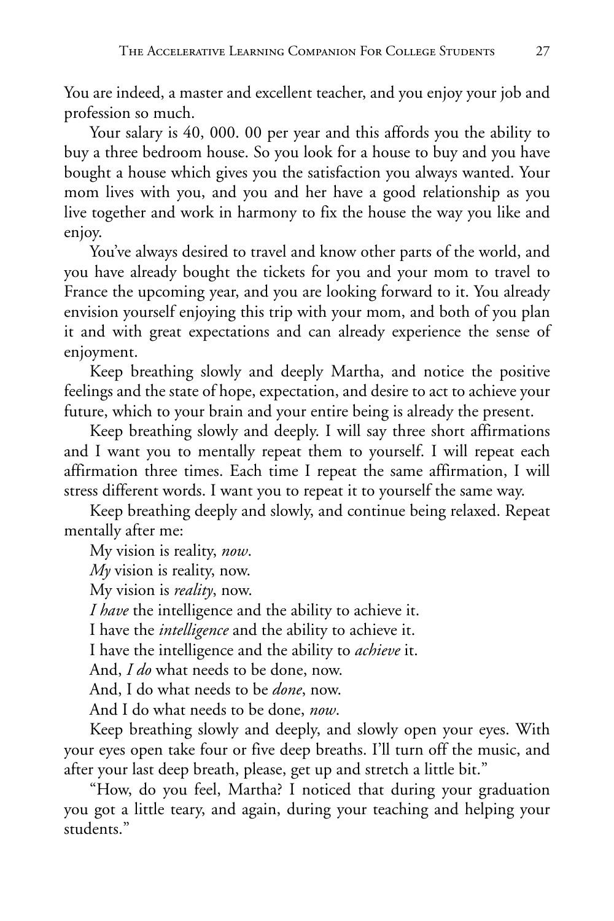You are indeed, a master and excellent teacher, and you enjoy your job and profession so much.

Your salary is 40, 000. 00 per year and this affords you the ability to buy a three bedroom house. So you look for a house to buy and you have bought a house which gives you the satisfaction you always wanted. Your mom lives with you, and you and her have a good relationship as you live together and work in harmony to fix the house the way you like and enjoy.

You've always desired to travel and know other parts of the world, and you have already bought the tickets for you and your mom to travel to France the upcoming year, and you are looking forward to it. You already envision yourself enjoying this trip with your mom, and both of you plan it and with great expectations and can already experience the sense of enjoyment.

Keep breathing slowly and deeply Martha, and notice the positive feelings and the state of hope, expectation, and desire to act to achieve your future, which to your brain and your entire being is already the present.

Keep breathing slowly and deeply. I will say three short affirmations and I want you to mentally repeat them to yourself. I will repeat each affirmation three times. Each time I repeat the same affirmation, I will stress different words. I want you to repeat it to yourself the same way.

Keep breathing deeply and slowly, and continue being relaxed. Repeat mentally after me:

My vision is reality, *now*.

*My* vision is reality, now.

My vision is *reality*, now.

*I have* the intelligence and the ability to achieve it.

I have the *intelligence* and the ability to achieve it.

I have the intelligence and the ability to *achieve* it.

And, *I do* what needs to be done, now.

And, I do what needs to be *done*, now.

And I do what needs to be done, *now*.

Keep breathing slowly and deeply, and slowly open your eyes. With your eyes open take four or five deep breaths. I'll turn off the music, and after your last deep breath, please, get up and stretch a little bit."

"How, do you feel, Martha? I noticed that during your graduation you got a little teary, and again, during your teaching and helping your students."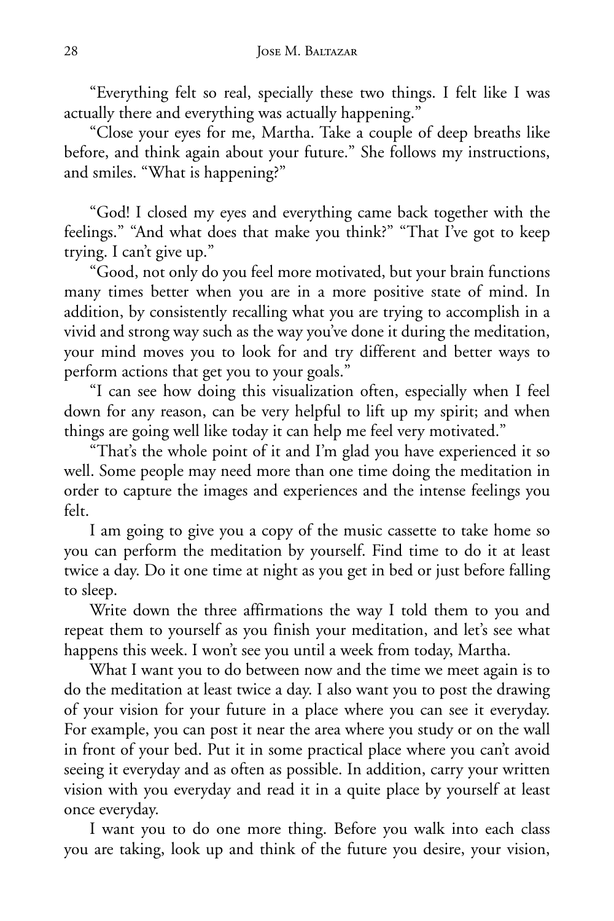"Everything felt so real, specially these two things. I felt like I was actually there and everything was actually happening."

"Close your eyes for me, Martha. Take a couple of deep breaths like before, and think again about your future." She follows my instructions, and smiles. "What is happening?"

"God! I closed my eyes and everything came back together with the feelings." "And what does that make you think?" "That I've got to keep trying. I can't give up."

"Good, not only do you feel more motivated, but your brain functions many times better when you are in a more positive state of mind. In addition, by consistently recalling what you are trying to accomplish in a vivid and strong way such as the way you've done it during the meditation, your mind moves you to look for and try different and better ways to perform actions that get you to your goals."

"I can see how doing this visualization often, especially when I feel down for any reason, can be very helpful to lift up my spirit; and when things are going well like today it can help me feel very motivated."

"That's the whole point of it and I'm glad you have experienced it so well. Some people may need more than one time doing the meditation in order to capture the images and experiences and the intense feelings you felt.

I am going to give you a copy of the music cassette to take home so you can perform the meditation by yourself. Find time to do it at least twice a day. Do it one time at night as you get in bed or just before falling to sleep.

Write down the three affirmations the way I told them to you and repeat them to yourself as you finish your meditation, and let's see what happens this week. I won't see you until a week from today, Martha.

What I want you to do between now and the time we meet again is to do the meditation at least twice a day. I also want you to post the drawing of your vision for your future in a place where you can see it everyday. For example, you can post it near the area where you study or on the wall in front of your bed. Put it in some practical place where you can't avoid seeing it everyday and as often as possible. In addition, carry your written vision with you everyday and read it in a quite place by yourself at least once everyday.

I want you to do one more thing. Before you walk into each class you are taking, look up and think of the future you desire, your vision,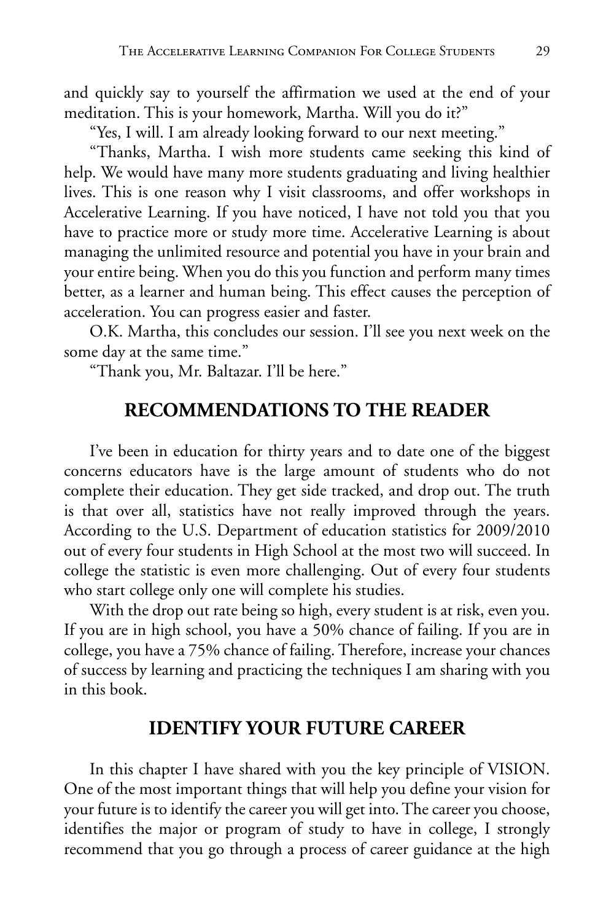and quickly say to yourself the affirmation we used at the end of your meditation. This is your homework, Martha. Will you do it?"

"Yes, I will. I am already looking forward to our next meeting."

"Thanks, Martha. I wish more students came seeking this kind of help. We would have many more students graduating and living healthier lives. This is one reason why I visit classrooms, and offer workshops in Accelerative Learning. If you have noticed, I have not told you that you have to practice more or study more time. Accelerative Learning is about managing the unlimited resource and potential you have in your brain and your entire being. When you do this you function and perform many times better, as a learner and human being. This effect causes the perception of acceleration. You can progress easier and faster.

O.K. Martha, this concludes our session. I'll see you next week on the some day at the same time."

"Thank you, Mr. Baltazar. I'll be here."

#### **RECOMMENDATIONS TO THE READER**

I've been in education for thirty years and to date one of the biggest concerns educators have is the large amount of students who do not complete their education. They get side tracked, and drop out. The truth is that over all, statistics have not really improved through the years. According to the U.S. Department of education statistics for 2009/2010 out of every four students in High School at the most two will succeed. In college the statistic is even more challenging. Out of every four students who start college only one will complete his studies.

With the drop out rate being so high, every student is at risk, even you. If you are in high school, you have a 50% chance of failing. If you are in college, you have a 75% chance of failing. Therefore, increase your chances of success by learning and practicing the techniques I am sharing with you in this book.

#### **IDENTIFY YOUR FUTURE CAREER**

In this chapter I have shared with you the key principle of VISION. One of the most important things that will help you define your vision for your future is to identify the career you will get into. The career you choose, identifies the major or program of study to have in college, I strongly recommend that you go through a process of career guidance at the high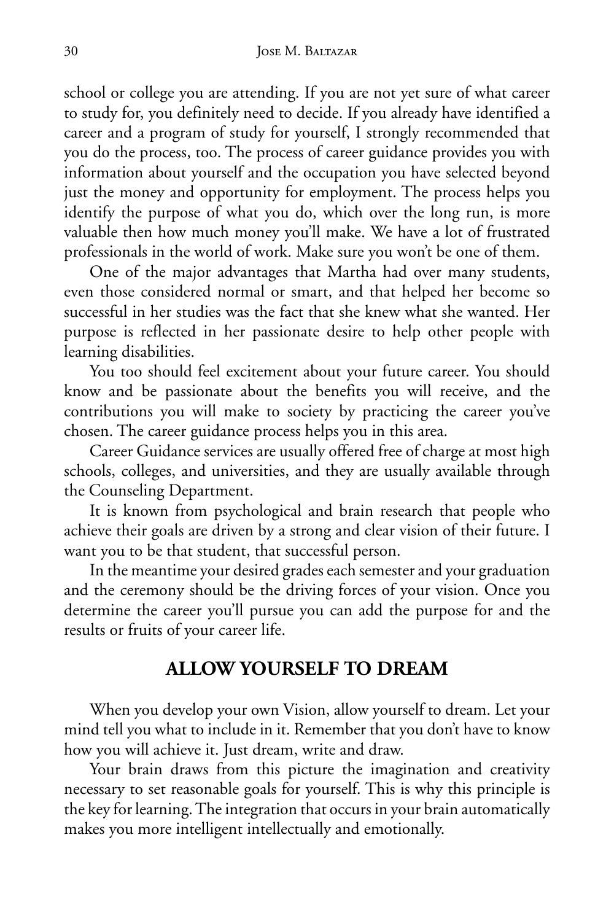school or college you are attending. If you are not yet sure of what career to study for, you definitely need to decide. If you already have identified a career and a program of study for yourself, I strongly recommended that you do the process, too. The process of career guidance provides you with information about yourself and the occupation you have selected beyond just the money and opportunity for employment. The process helps you identify the purpose of what you do, which over the long run, is more valuable then how much money you'll make. We have a lot of frustrated professionals in the world of work. Make sure you won't be one of them.

One of the major advantages that Martha had over many students, even those considered normal or smart, and that helped her become so successful in her studies was the fact that she knew what she wanted. Her purpose is reflected in her passionate desire to help other people with learning disabilities.

You too should feel excitement about your future career. You should know and be passionate about the benefits you will receive, and the contributions you will make to society by practicing the career you've chosen. The career guidance process helps you in this area.

Career Guidance services are usually offered free of charge at most high schools, colleges, and universities, and they are usually available through the Counseling Department.

It is known from psychological and brain research that people who achieve their goals are driven by a strong and clear vision of their future. I want you to be that student, that successful person.

In the meantime your desired grades each semester and your graduation and the ceremony should be the driving forces of your vision. Once you determine the career you'll pursue you can add the purpose for and the results or fruits of your career life.

#### **ALLOW YOURSELF TO DREAM**

When you develop your own Vision, allow yourself to dream. Let your mind tell you what to include in it. Remember that you don't have to know how you will achieve it. Just dream, write and draw.

Your brain draws from this picture the imagination and creativity necessary to set reasonable goals for yourself. This is why this principle is the key for learning. The integration that occurs in your brain automatically makes you more intelligent intellectually and emotionally.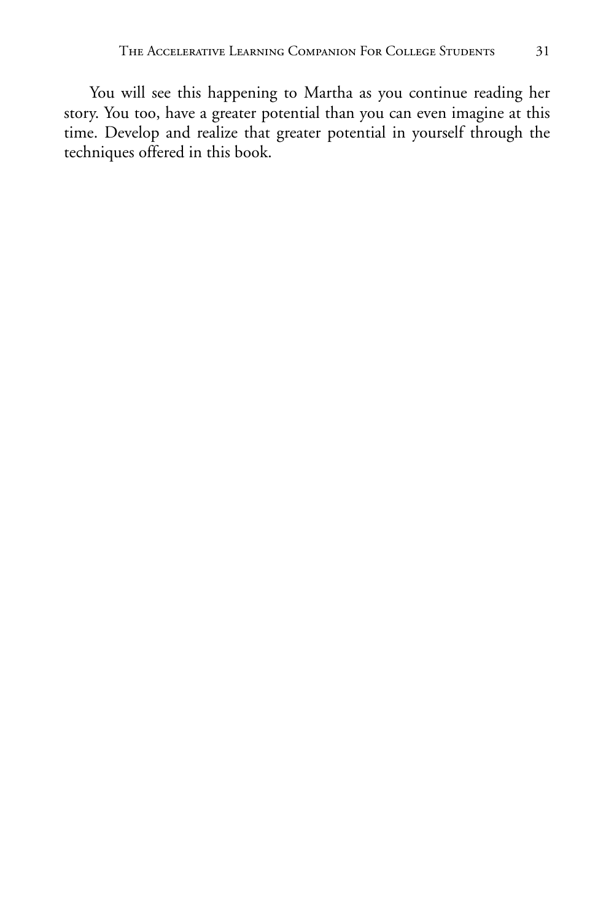You will see this happening to Martha as you continue reading her story. You too, have a greater potential than you can even imagine at this time. Develop and realize that greater potential in yourself through the techniques offered in this book.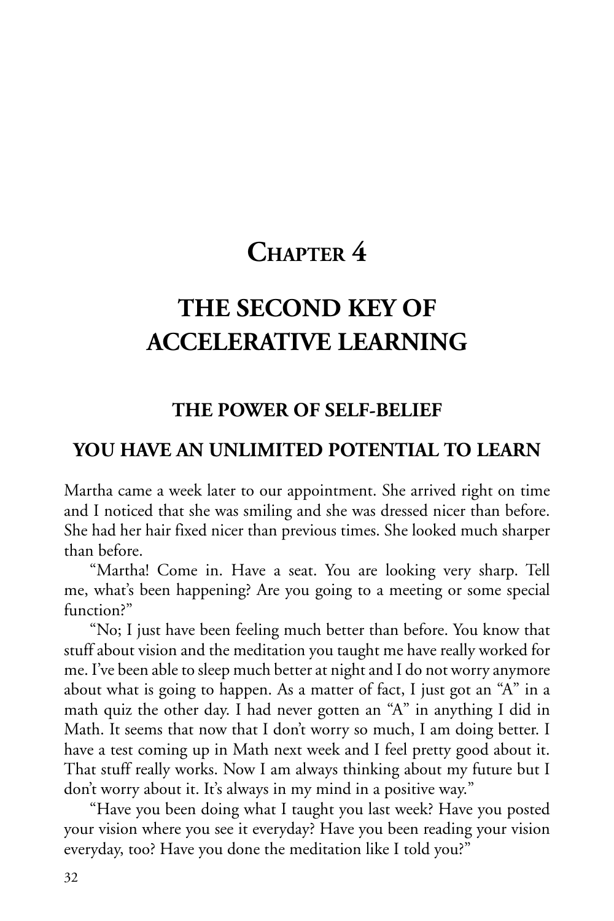### **CHAPTER 4**

### **THE SECOND KEY OF ACCELERATIVE LEARNING**

#### **THE POWER OF SELF-BELIEF**

#### **YOU HAVE AN UNLIMITED POTENTIAL TO LEARN**

Martha came a week later to our appointment. She arrived right on time and I noticed that she was smiling and she was dressed nicer than before. She had her hair fixed nicer than previous times. She looked much sharper than before.

"Martha! Come in. Have a seat. You are looking very sharp. Tell me, what's been happening? Are you going to a meeting or some special function?"

"No; I just have been feeling much better than before. You know that stuff about vision and the meditation you taught me have really worked for me. I've been able to sleep much better at night and I do not worry anymore about what is going to happen. As a matter of fact, I just got an "A" in a math quiz the other day. I had never gotten an "A" in anything I did in Math. It seems that now that I don't worry so much, I am doing better. I have a test coming up in Math next week and I feel pretty good about it. That stuff really works. Now I am always thinking about my future but I don't worry about it. It's always in my mind in a positive way."

"Have you been doing what I taught you last week? Have you posted your vision where you see it everyday? Have you been reading your vision everyday, too? Have you done the meditation like I told you?"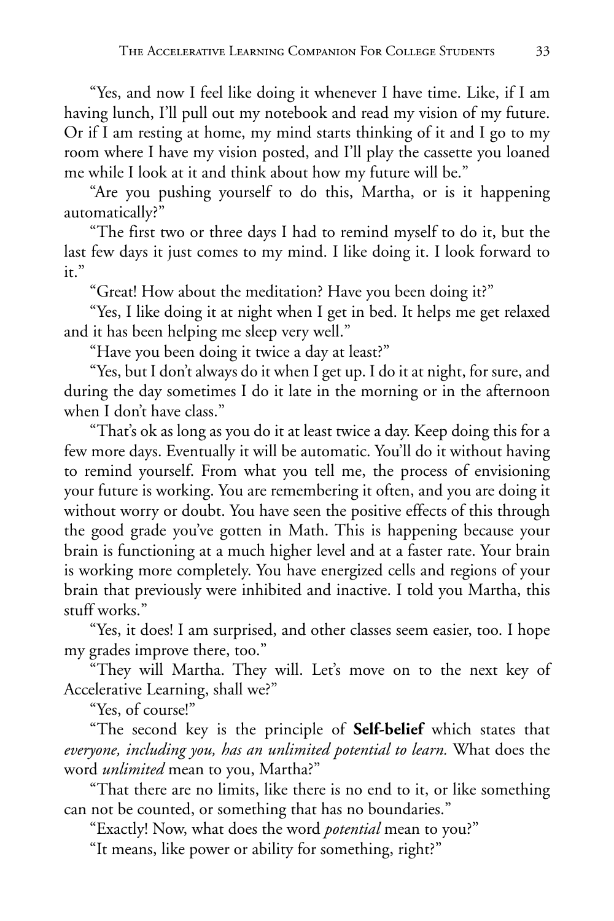"Yes, and now I feel like doing it whenever I have time. Like, if I am having lunch, I'll pull out my notebook and read my vision of my future. Or if I am resting at home, my mind starts thinking of it and I go to my room where I have my vision posted, and I'll play the cassette you loaned me while I look at it and think about how my future will be."

"Are you pushing yourself to do this, Martha, or is it happening automatically?"

"The first two or three days I had to remind myself to do it, but the last few days it just comes to my mind. I like doing it. I look forward to it."

"Great! How about the meditation? Have you been doing it?"

"Yes, I like doing it at night when I get in bed. It helps me get relaxed and it has been helping me sleep very well."

"Have you been doing it twice a day at least?"

"Yes, but I don't always do it when I get up. I do it at night, for sure, and during the day sometimes I do it late in the morning or in the afternoon when I don't have class."

"That's ok as long as you do it at least twice a day. Keep doing this for a few more days. Eventually it will be automatic. You'll do it without having to remind yourself. From what you tell me, the process of envisioning your future is working. You are remembering it often, and you are doing it without worry or doubt. You have seen the positive effects of this through the good grade you've gotten in Math. This is happening because your brain is functioning at a much higher level and at a faster rate. Your brain is working more completely. You have energized cells and regions of your brain that previously were inhibited and inactive. I told you Martha, this stuff works."

"Yes, it does! I am surprised, and other classes seem easier, too. I hope my grades improve there, too."

"They will Martha. They will. Let's move on to the next key of Accelerative Learning, shall we?"

"Yes, of course!"

"The second key is the principle of **Self-belief** which states that *everyone, including you, has an unlimited potential to learn.* What does the word *unlimited* mean to you, Martha?"

"That there are no limits, like there is no end to it, or like something can not be counted, or something that has no boundaries."

"Exactly! Now, what does the word *potential* mean to you?"

"It means, like power or ability for something, right?"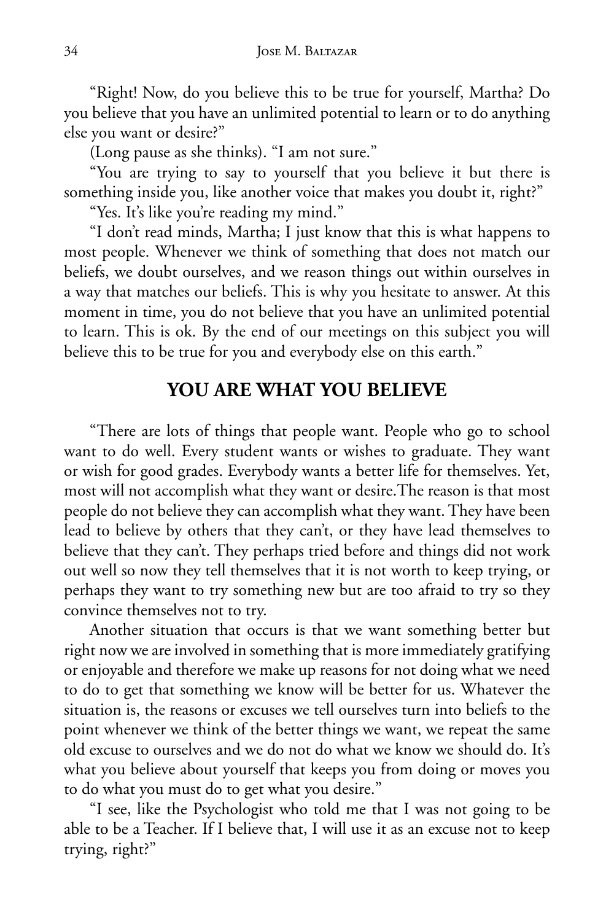"Right! Now, do you believe this to be true for yourself, Martha? Do you believe that you have an unlimited potential to learn or to do anything else you want or desire?"

(Long pause as she thinks). "I am not sure."

"You are trying to say to yourself that you believe it but there is something inside you, like another voice that makes you doubt it, right?"

"Yes. It's like you're reading my mind."

"I don't read minds, Martha; I just know that this is what happens to most people. Whenever we think of something that does not match our beliefs, we doubt ourselves, and we reason things out within ourselves in a way that matches our beliefs. This is why you hesitate to answer. At this moment in time, you do not believe that you have an unlimited potential to learn. This is ok. By the end of our meetings on this subject you will believe this to be true for you and everybody else on this earth."

#### **YOU ARE WHAT YOU BELIEVE**

"There are lots of things that people want. People who go to school want to do well. Every student wants or wishes to graduate. They want or wish for good grades. Everybody wants a better life for themselves. Yet, most will not accomplish what they want or desire.The reason is that most people do not believe they can accomplish what they want. They have been lead to believe by others that they can't, or they have lead themselves to believe that they can't. They perhaps tried before and things did not work out well so now they tell themselves that it is not worth to keep trying, or perhaps they want to try something new but are too afraid to try so they convince themselves not to try.

Another situation that occurs is that we want something better but right now we are involved in something that is more immediately gratifying or enjoyable and therefore we make up reasons for not doing what we need to do to get that something we know will be better for us. Whatever the situation is, the reasons or excuses we tell ourselves turn into beliefs to the point whenever we think of the better things we want, we repeat the same old excuse to ourselves and we do not do what we know we should do. It's what you believe about yourself that keeps you from doing or moves you to do what you must do to get what you desire."

"I see, like the Psychologist who told me that I was not going to be able to be a Teacher. If I believe that, I will use it as an excuse not to keep trying, right?"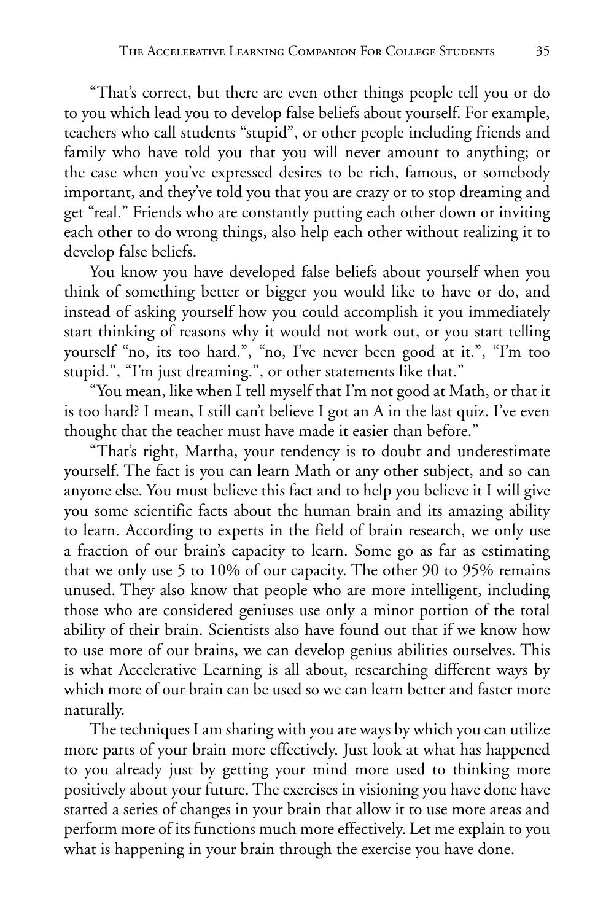"That's correct, but there are even other things people tell you or do to you which lead you to develop false beliefs about yourself. For example, teachers who call students "stupid", or other people including friends and family who have told you that you will never amount to anything; or the case when you've expressed desires to be rich, famous, or somebody important, and they've told you that you are crazy or to stop dreaming and get "real." Friends who are constantly putting each other down or inviting each other to do wrong things, also help each other without realizing it to develop false beliefs.

You know you have developed false beliefs about yourself when you think of something better or bigger you would like to have or do, and instead of asking yourself how you could accomplish it you immediately start thinking of reasons why it would not work out, or you start telling yourself "no, its too hard.", "no, I've never been good at it.", "I'm too stupid.", "I'm just dreaming.", or other statements like that."

"You mean, like when I tell myself that I'm not good at Math, or that it is too hard? I mean, I still can't believe I got an A in the last quiz. I've even thought that the teacher must have made it easier than before."

"That's right, Martha, your tendency is to doubt and underestimate yourself. The fact is you can learn Math or any other subject, and so can anyone else. You must believe this fact and to help you believe it I will give you some scientific facts about the human brain and its amazing ability to learn. According to experts in the field of brain research, we only use a fraction of our brain's capacity to learn. Some go as far as estimating that we only use 5 to 10% of our capacity. The other 90 to 95% remains unused. They also know that people who are more intelligent, including those who are considered geniuses use only a minor portion of the total ability of their brain. Scientists also have found out that if we know how to use more of our brains, we can develop genius abilities ourselves. This is what Accelerative Learning is all about, researching different ways by which more of our brain can be used so we can learn better and faster more naturally.

The techniques I am sharing with you are ways by which you can utilize more parts of your brain more effectively. Just look at what has happened to you already just by getting your mind more used to thinking more positively about your future. The exercises in visioning you have done have started a series of changes in your brain that allow it to use more areas and perform more of its functions much more effectively. Let me explain to you what is happening in your brain through the exercise you have done.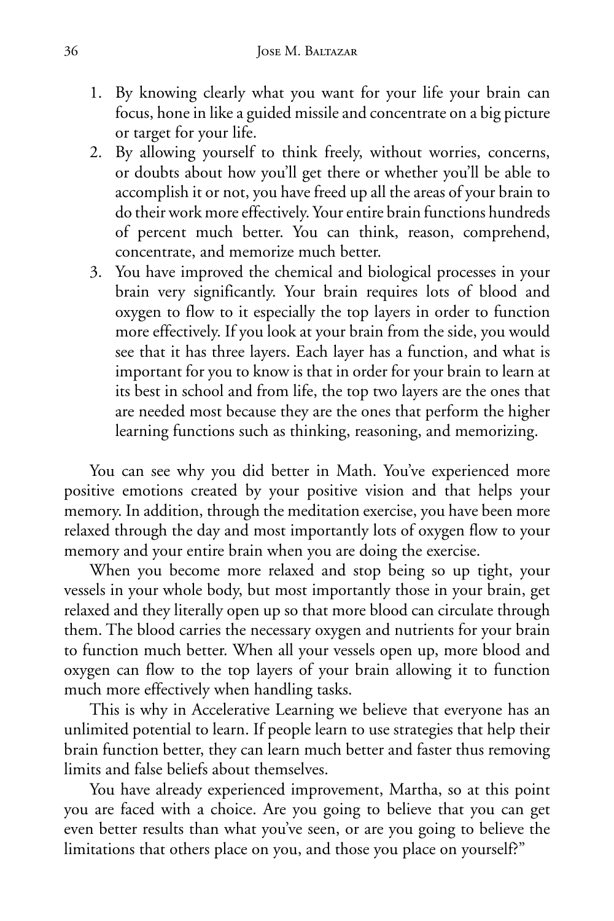- 1. By knowing clearly what you want for your life your brain can focus, hone in like a guided missile and concentrate on a big picture or target for your life.
- 2. By allowing yourself to think freely, without worries, concerns, or doubts about how you'll get there or whether you'll be able to accomplish it or not, you have freed up all the areas of your brain to do their work more effectively. Your entire brain functions hundreds of percent much better. You can think, reason, comprehend, concentrate, and memorize much better.
- 3. You have improved the chemical and biological processes in your brain very significantly. Your brain requires lots of blood and oxygen to flow to it especially the top layers in order to function more effectively. If you look at your brain from the side, you would see that it has three layers. Each layer has a function, and what is important for you to know is that in order for your brain to learn at its best in school and from life, the top two layers are the ones that are needed most because they are the ones that perform the higher learning functions such as thinking, reasoning, and memorizing.

You can see why you did better in Math. You've experienced more positive emotions created by your positive vision and that helps your memory. In addition, through the meditation exercise, you have been more relaxed through the day and most importantly lots of oxygen flow to your memory and your entire brain when you are doing the exercise.

When you become more relaxed and stop being so up tight, your vessels in your whole body, but most importantly those in your brain, get relaxed and they literally open up so that more blood can circulate through them. The blood carries the necessary oxygen and nutrients for your brain to function much better. When all your vessels open up, more blood and oxygen can flow to the top layers of your brain allowing it to function much more effectively when handling tasks.

This is why in Accelerative Learning we believe that everyone has an unlimited potential to learn. If people learn to use strategies that help their brain function better, they can learn much better and faster thus removing limits and false beliefs about themselves.

You have already experienced improvement, Martha, so at this point you are faced with a choice. Are you going to believe that you can get even better results than what you've seen, or are you going to believe the limitations that others place on you, and those you place on yourself?"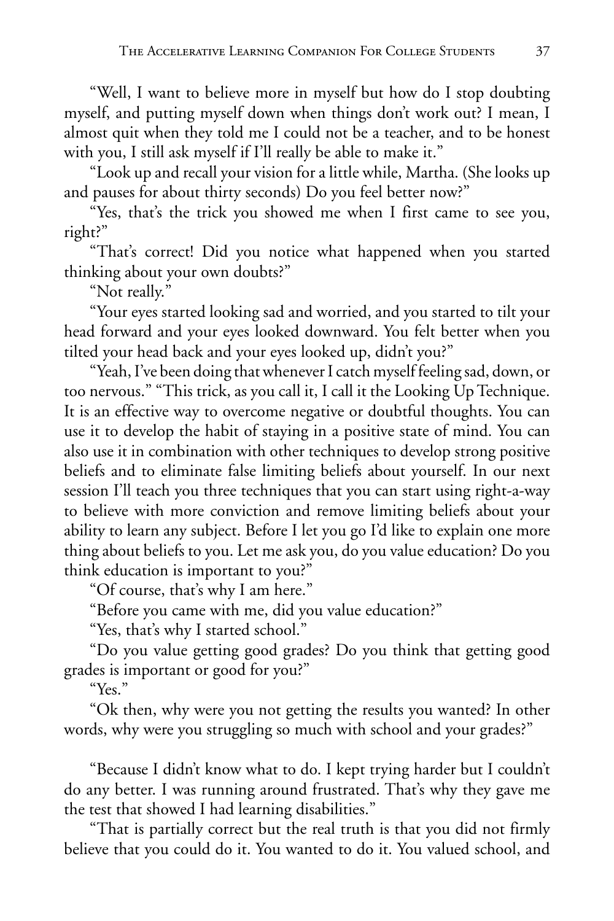"Well, I want to believe more in myself but how do I stop doubting myself, and putting myself down when things don't work out? I mean, I almost quit when they told me I could not be a teacher, and to be honest with you, I still ask myself if I'll really be able to make it."

"Look up and recall your vision for a little while, Martha. (She looks up and pauses for about thirty seconds) Do you feel better now?"

"Yes, that's the trick you showed me when I first came to see you, right?"

"That's correct! Did you notice what happened when you started thinking about your own doubts?"

"Not really."

"Your eyes started looking sad and worried, and you started to tilt your head forward and your eyes looked downward. You felt better when you tilted your head back and your eyes looked up, didn't you?"

"Yeah, I've been doing that whenever I catch myself feeling sad, down, or too nervous." "This trick, as you call it, I call it the Looking Up Technique. It is an effective way to overcome negative or doubtful thoughts. You can use it to develop the habit of staying in a positive state of mind. You can also use it in combination with other techniques to develop strong positive beliefs and to eliminate false limiting beliefs about yourself. In our next session I'll teach you three techniques that you can start using right-a-way to believe with more conviction and remove limiting beliefs about your ability to learn any subject. Before I let you go I'd like to explain one more thing about beliefs to you. Let me ask you, do you value education? Do you think education is important to you?"

"Of course, that's why I am here."

"Before you came with me, did you value education?"

"Yes, that's why I started school."

"Do you value getting good grades? Do you think that getting good grades is important or good for you?"

"Yes."

"Ok then, why were you not getting the results you wanted? In other words, why were you struggling so much with school and your grades?"

"Because I didn't know what to do. I kept trying harder but I couldn't do any better. I was running around frustrated. That's why they gave me the test that showed I had learning disabilities."

"That is partially correct but the real truth is that you did not firmly believe that you could do it. You wanted to do it. You valued school, and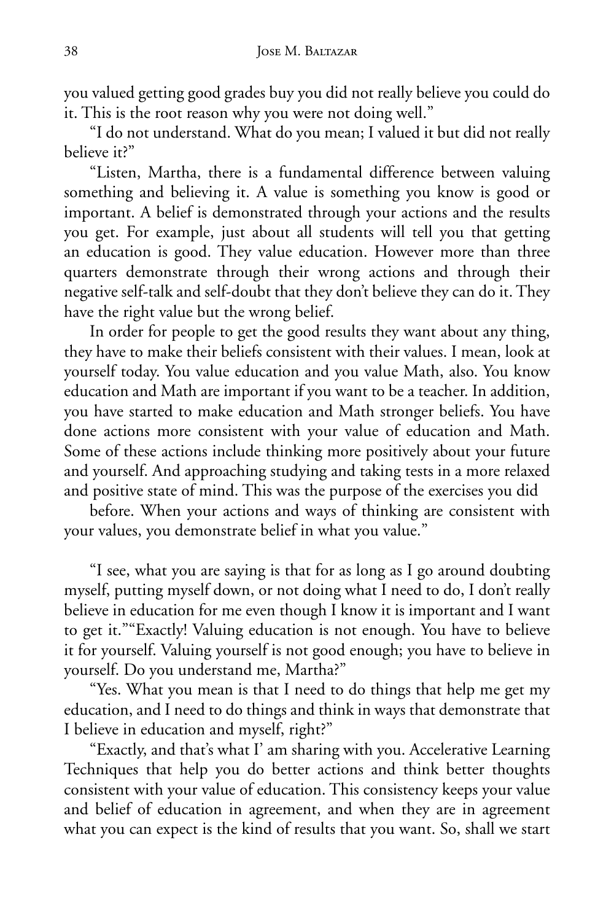you valued getting good grades buy you did not really believe you could do it. This is the root reason why you were not doing well."

"I do not understand. What do you mean; I valued it but did not really believe it?"

"Listen, Martha, there is a fundamental difference between valuing something and believing it. A value is something you know is good or important. A belief is demonstrated through your actions and the results you get. For example, just about all students will tell you that getting an education is good. They value education. However more than three quarters demonstrate through their wrong actions and through their negative self-talk and self-doubt that they don't believe they can do it. They have the right value but the wrong belief.

In order for people to get the good results they want about any thing, they have to make their beliefs consistent with their values. I mean, look at yourself today. You value education and you value Math, also. You know education and Math are important if you want to be a teacher. In addition, you have started to make education and Math stronger beliefs. You have done actions more consistent with your value of education and Math. Some of these actions include thinking more positively about your future and yourself. And approaching studying and taking tests in a more relaxed and positive state of mind. This was the purpose of the exercises you did

before. When your actions and ways of thinking are consistent with your values, you demonstrate belief in what you value."

"I see, what you are saying is that for as long as I go around doubting myself, putting myself down, or not doing what I need to do, I don't really believe in education for me even though I know it is important and I want to get it.""Exactly! Valuing education is not enough. You have to believe it for yourself. Valuing yourself is not good enough; you have to believe in yourself. Do you understand me, Martha?"

"Yes. What you mean is that I need to do things that help me get my education, and I need to do things and think in ways that demonstrate that I believe in education and myself, right?"

"Exactly, and that's what I' am sharing with you. Accelerative Learning Techniques that help you do better actions and think better thoughts consistent with your value of education. This consistency keeps your value and belief of education in agreement, and when they are in agreement what you can expect is the kind of results that you want. So, shall we start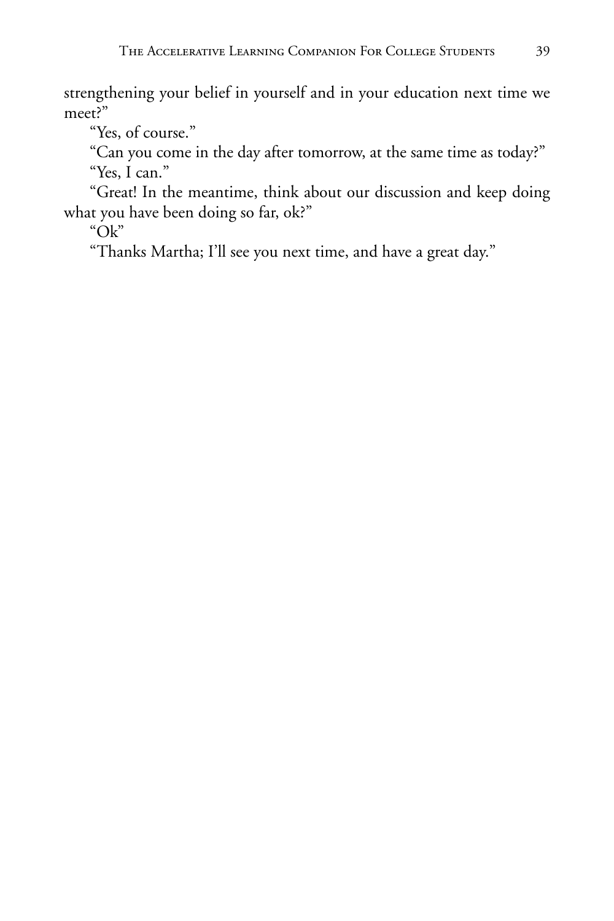strengthening your belief in yourself and in your education next time we meet?"

"Yes, of course."

"Can you come in the day after tomorrow, at the same time as today?" "Yes, I can."

"Great! In the meantime, think about our discussion and keep doing what you have been doing so far, ok?"

"Ok"

"Thanks Martha; I'll see you next time, and have a great day."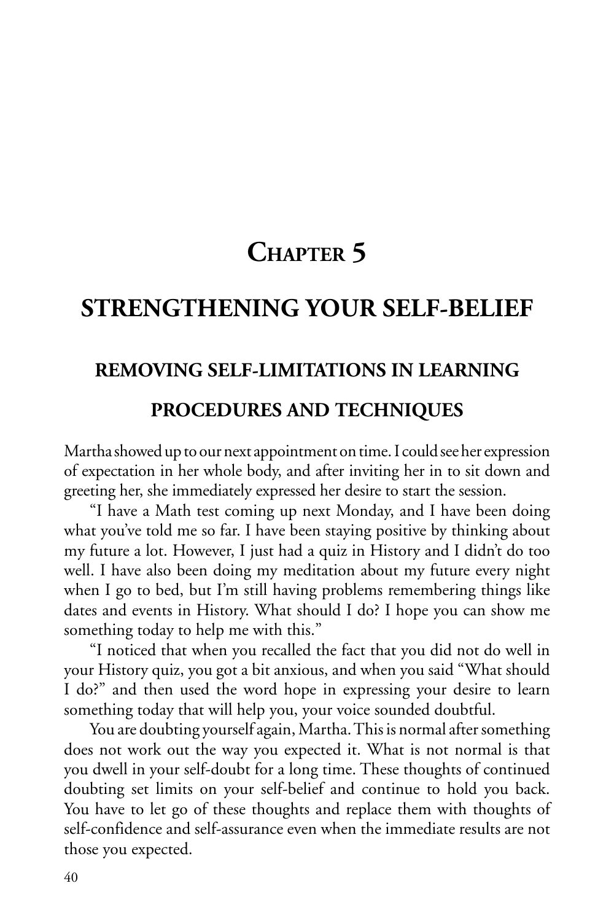# **CHAPTER 5**

## **STRENGTHENING YOUR SELF-BELIEF**

## **REMOVING SELF-LIMITATIONS IN LEARNING**

#### **PROCEDURES AND TECHNIQUES**

Martha showed up to our next appointment on time. I could see her expression of expectation in her whole body, and after inviting her in to sit down and greeting her, she immediately expressed her desire to start the session.

"I have a Math test coming up next Monday, and I have been doing what you've told me so far. I have been staying positive by thinking about my future a lot. However, I just had a quiz in History and I didn't do too well. I have also been doing my meditation about my future every night when I go to bed, but I'm still having problems remembering things like dates and events in History. What should I do? I hope you can show me something today to help me with this."

"I noticed that when you recalled the fact that you did not do well in your History quiz, you got a bit anxious, and when you said "What should I do?" and then used the word hope in expressing your desire to learn something today that will help you, your voice sounded doubtful.

You are doubting yourself again, Martha. This is normal after something does not work out the way you expected it. What is not normal is that you dwell in your self-doubt for a long time. These thoughts of continued doubting set limits on your self-belief and continue to hold you back. You have to let go of these thoughts and replace them with thoughts of self-confidence and self-assurance even when the immediate results are not those you expected.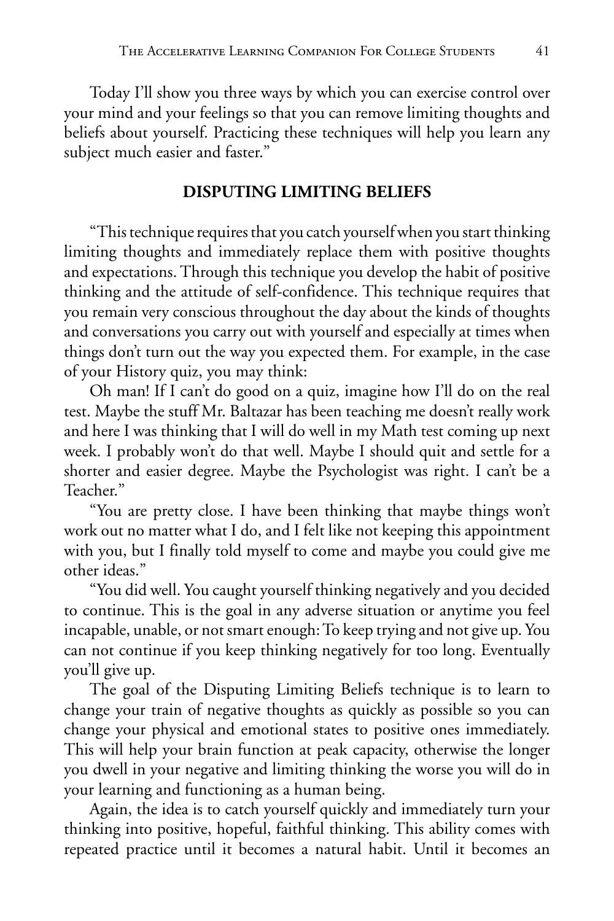Today I'll show you three ways by which you can exercise control over your mind and your feelings so that you can remove limiting thoughts and beliefs about yourself. Practicing these techniques will help you learn any subject much easier and faster."

#### **DISPUTING LIMITING BELIEFS**

"This technique requires that you catch yourself when you start thinking limiting thoughts and immediately replace them with positive thoughts and expectations. Through this technique you develop the habit of positive thinking and the attitude of self-confidence. This technique requires that you remain very conscious throughout the day about the kinds of thoughts and conversations you carry out with yourself and especially at times when things don't turn out the way you expected them. For example, in the case of your History quiz, you may think:

Oh man! If I can't do good on a quiz, imagine how I'll do on the real test. Maybe the stuff Mr. Baltazar has been teaching me doesn't really work and here I was thinking that I will do well in my Math test coming up next week. I probably won't do that well. Maybe I should quit and settle for a shorter and easier degree. Maybe the Psychologist was right. I can't be a Teacher."

"You are pretty close. I have been thinking that maybe things won't work out no matter what I do, and I felt like not keeping this appointment with you, but I finally told myself to come and maybe you could give me other ideas."

"You did well. You caught yourself thinking negatively and you decided to continue. This is the goal in any adverse situation or anytime you feel incapable, unable, or not smart enough: To keep trying and not give up. You can not continue if you keep thinking negatively for too long. Eventually you'll give up.

The goal of the Disputing Limiting Beliefs technique is to learn to change your train of negative thoughts as quickly as possible so you can change your physical and emotional states to positive ones immediately. This will help your brain function at peak capacity, otherwise the longer you dwell in your negative and limiting thinking the worse you will do in your learning and functioning as a human being.

Again, the idea is to catch yourself quickly and immediately turn your thinking into positive, hopeful, faithful thinking. This ability comes with repeated practice until it becomes a natural habit. Until it becomes an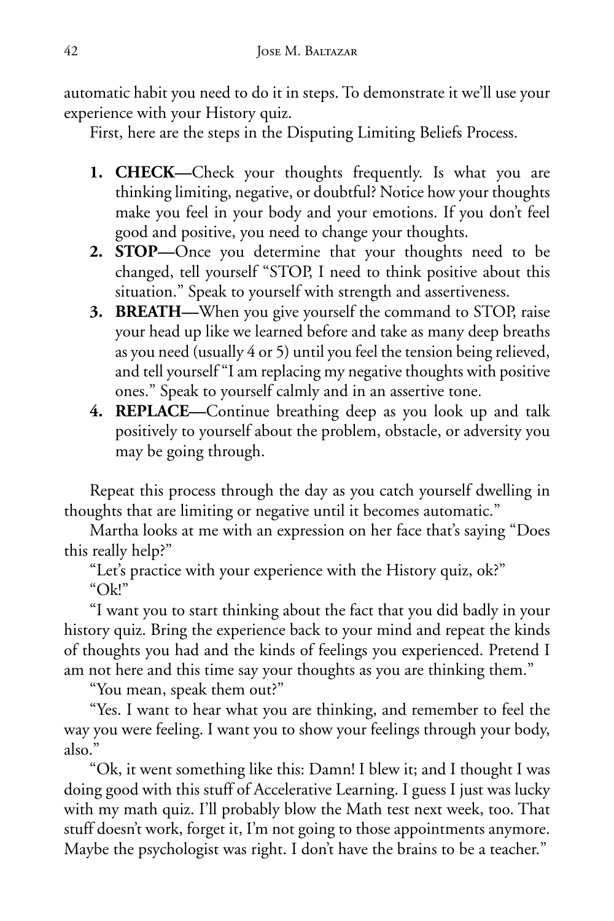automatic habit you need to do it in steps. To demonstrate it we'll use your experience with your History quiz.

First, here are the steps in the Disputing Limiting Beliefs Process.

- **1. CHECK—**Check your thoughts frequently. Is what you are thinking limiting, negative, or doubtful? Notice how your thoughts make you feel in your body and your emotions. If you don't feel good and positive, you need to change your thoughts.
- **2. STOP—**Once you determine that your thoughts need to be changed, tell yourself "STOP, I need to think positive about this situation." Speak to yourself with strength and assertiveness.
- **3. BREATH—**When you give yourself the command to STOP, raise your head up like we learned before and take as many deep breaths as you need (usually 4 or 5) until you feel the tension being relieved, and tell yourself "I am replacing my negative thoughts with positive ones." Speak to yourself calmly and in an assertive tone.
- **4. REPLACE—**Continue breathing deep as you look up and talk positively to yourself about the problem, obstacle, or adversity you may be going through.

Repeat this process through the day as you catch yourself dwelling in thoughts that are limiting or negative until it becomes automatic."

Martha looks at me with an expression on her face that's saying "Does this really help?"

"Let's practice with your experience with the History quiz, ok?" "Ok!"

"I want you to start thinking about the fact that you did badly in your history quiz. Bring the experience back to your mind and repeat the kinds of thoughts you had and the kinds of feelings you experienced. Pretend I am not here and this time say your thoughts as you are thinking them."

"You mean, speak them out?"

"Yes. I want to hear what you are thinking, and remember to feel the way you were feeling. I want you to show your feelings through your body, also."

"Ok, it went something like this: Damn! I blew it; and I thought I was doing good with this stuff of Accelerative Learning. I guess I just was lucky with my math quiz. I'll probably blow the Math test next week, too. That stuff doesn't work, forget it, I'm not going to those appointments anymore. Maybe the psychologist was right. I don't have the brains to be a teacher."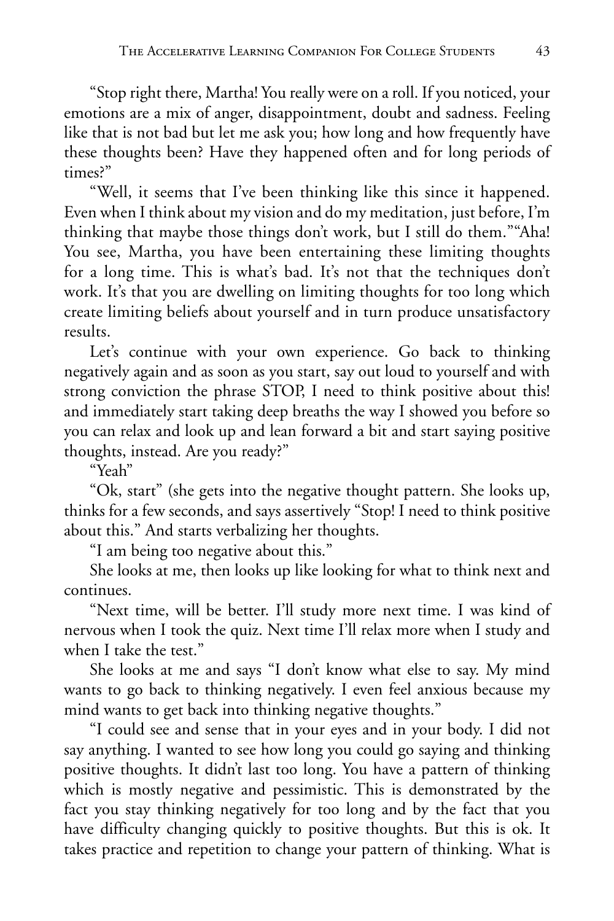"Stop right there, Martha! You really were on a roll. If you noticed, your emotions are a mix of anger, disappointment, doubt and sadness. Feeling like that is not bad but let me ask you; how long and how frequently have these thoughts been? Have they happened often and for long periods of times?"

"Well, it seems that I've been thinking like this since it happened. Even when I think about my vision and do my meditation, just before, I'm thinking that maybe those things don't work, but I still do them.""Aha! You see, Martha, you have been entertaining these limiting thoughts for a long time. This is what's bad. It's not that the techniques don't work. It's that you are dwelling on limiting thoughts for too long which create limiting beliefs about yourself and in turn produce unsatisfactory results.

Let's continue with your own experience. Go back to thinking negatively again and as soon as you start, say out loud to yourself and with strong conviction the phrase STOP, I need to think positive about this! and immediately start taking deep breaths the way I showed you before so you can relax and look up and lean forward a bit and start saying positive thoughts, instead. Are you ready?"

"Yeah"

"Ok, start" (she gets into the negative thought pattern. She looks up, thinks for a few seconds, and says assertively "Stop! I need to think positive about this." And starts verbalizing her thoughts.

"I am being too negative about this."

She looks at me, then looks up like looking for what to think next and continues.

"Next time, will be better. I'll study more next time. I was kind of nervous when I took the quiz. Next time I'll relax more when I study and when I take the test."

She looks at me and says "I don't know what else to say. My mind wants to go back to thinking negatively. I even feel anxious because my mind wants to get back into thinking negative thoughts."

"I could see and sense that in your eyes and in your body. I did not say anything. I wanted to see how long you could go saying and thinking positive thoughts. It didn't last too long. You have a pattern of thinking which is mostly negative and pessimistic. This is demonstrated by the fact you stay thinking negatively for too long and by the fact that you have difficulty changing quickly to positive thoughts. But this is ok. It takes practice and repetition to change your pattern of thinking. What is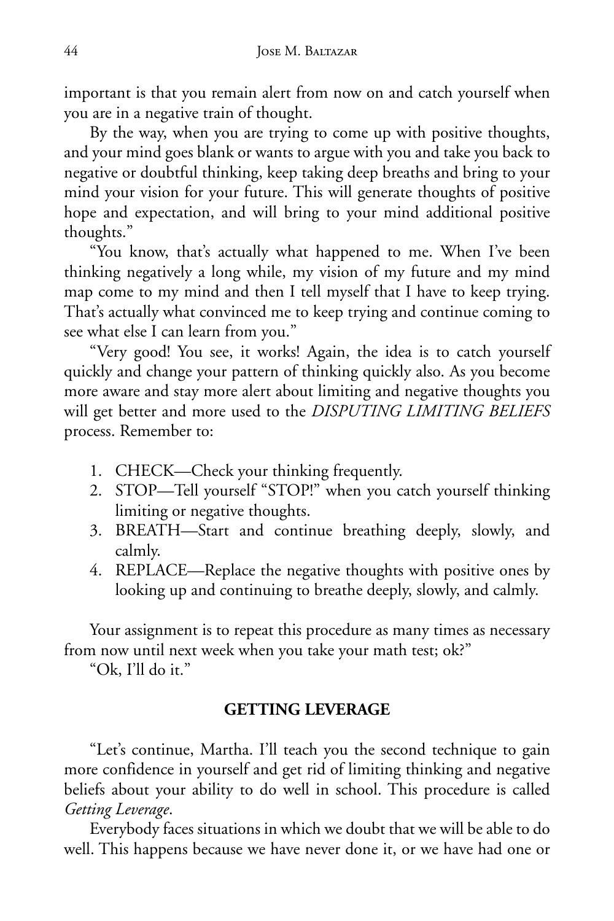important is that you remain alert from now on and catch yourself when you are in a negative train of thought.

By the way, when you are trying to come up with positive thoughts, and your mind goes blank or wants to argue with you and take you back to negative or doubtful thinking, keep taking deep breaths and bring to your mind your vision for your future. This will generate thoughts of positive hope and expectation, and will bring to your mind additional positive thoughts."

"You know, that's actually what happened to me. When I've been thinking negatively a long while, my vision of my future and my mind map come to my mind and then I tell myself that I have to keep trying. That's actually what convinced me to keep trying and continue coming to see what else I can learn from you."

"Very good! You see, it works! Again, the idea is to catch yourself quickly and change your pattern of thinking quickly also. As you become more aware and stay more alert about limiting and negative thoughts you will get better and more used to the *DISPUTING LIMITING BELIEFS* process. Remember to:

- 1. CHECK—Check your thinking frequently.
- 2. STOP—Tell yourself "STOP!" when you catch yourself thinking limiting or negative thoughts.
- 3. BREATH—Start and continue breathing deeply, slowly, and calmly.
- 4. REPLACE—Replace the negative thoughts with positive ones by looking up and continuing to breathe deeply, slowly, and calmly.

Your assignment is to repeat this procedure as many times as necessary from now until next week when you take your math test; ok?"

"Ok, I'll do it."

#### **GETTING LEVERAGE**

"Let's continue, Martha. I'll teach you the second technique to gain more confidence in yourself and get rid of limiting thinking and negative beliefs about your ability to do well in school. This procedure is called *Getting Leverage*.

Everybody faces situations in which we doubt that we will be able to do well. This happens because we have never done it, or we have had one or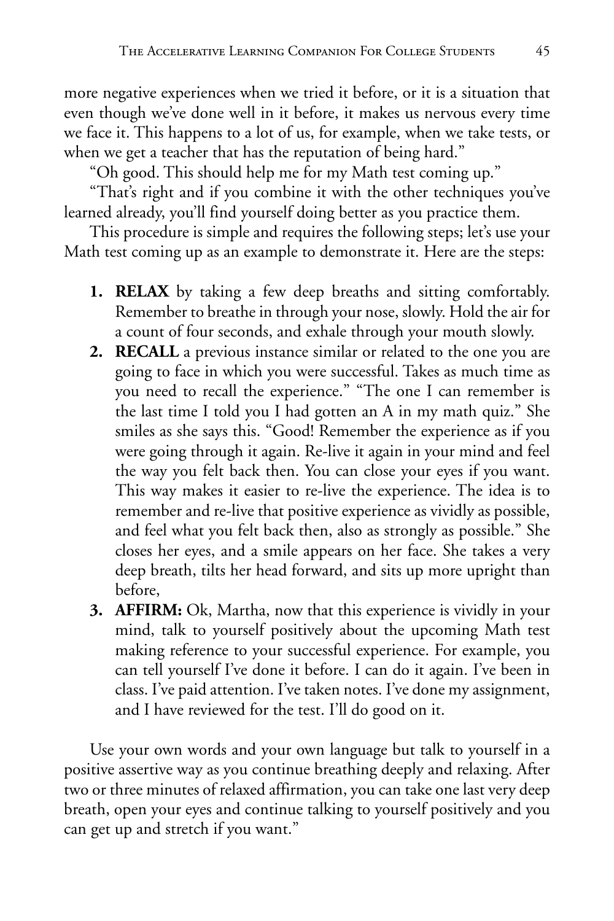more negative experiences when we tried it before, or it is a situation that even though we've done well in it before, it makes us nervous every time we face it. This happens to a lot of us, for example, when we take tests, or when we get a teacher that has the reputation of being hard."

"Oh good. This should help me for my Math test coming up."

"That's right and if you combine it with the other techniques you've learned already, you'll find yourself doing better as you practice them.

This procedure is simple and requires the following steps; let's use your Math test coming up as an example to demonstrate it. Here are the steps:

- **1. RELAX** by taking a few deep breaths and sitting comfortably. Remember to breathe in through your nose, slowly. Hold the air for a count of four seconds, and exhale through your mouth slowly.
- **2. RECALL** a previous instance similar or related to the one you are going to face in which you were successful. Takes as much time as you need to recall the experience." "The one I can remember is the last time I told you I had gotten an A in my math quiz." She smiles as she says this. "Good! Remember the experience as if you were going through it again. Re-live it again in your mind and feel the way you felt back then. You can close your eyes if you want. This way makes it easier to re-live the experience. The idea is to remember and re-live that positive experience as vividly as possible, and feel what you felt back then, also as strongly as possible." She closes her eyes, and a smile appears on her face. She takes a very deep breath, tilts her head forward, and sits up more upright than before,
- **3. AFFIRM:** Ok, Martha, now that this experience is vividly in your mind, talk to yourself positively about the upcoming Math test making reference to your successful experience. For example, you can tell yourself I've done it before. I can do it again. I've been in class. I've paid attention. I've taken notes. I've done my assignment, and I have reviewed for the test. I'll do good on it.

Use your own words and your own language but talk to yourself in a positive assertive way as you continue breathing deeply and relaxing. After two or three minutes of relaxed affirmation, you can take one last very deep breath, open your eyes and continue talking to yourself positively and you can get up and stretch if you want."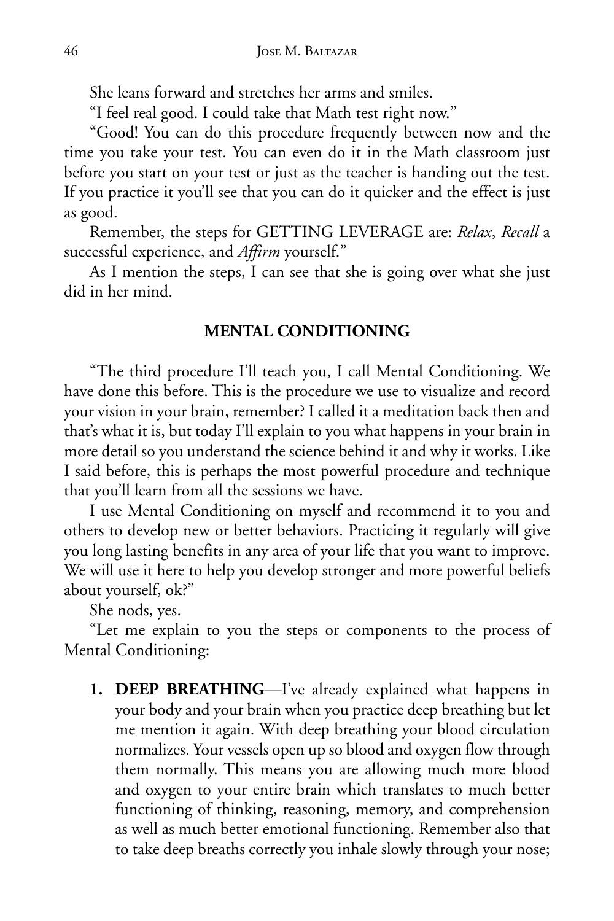She leans forward and stretches her arms and smiles.

"I feel real good. I could take that Math test right now."

"Good! You can do this procedure frequently between now and the time you take your test. You can even do it in the Math classroom just before you start on your test or just as the teacher is handing out the test. If you practice it you'll see that you can do it quicker and the effect is just as good.

Remember, the steps for GETTING LEVERAGE are: *Relax*, *Recall* a successful experience, and *Affirm* yourself."

As I mention the steps, I can see that she is going over what she just did in her mind.

#### **MENTAL CONDITIONING**

"The third procedure I'll teach you, I call Mental Conditioning. We have done this before. This is the procedure we use to visualize and record your vision in your brain, remember? I called it a meditation back then and that's what it is, but today I'll explain to you what happens in your brain in more detail so you understand the science behind it and why it works. Like I said before, this is perhaps the most powerful procedure and technique that you'll learn from all the sessions we have.

I use Mental Conditioning on myself and recommend it to you and others to develop new or better behaviors. Practicing it regularly will give you long lasting benefits in any area of your life that you want to improve. We will use it here to help you develop stronger and more powerful beliefs about yourself, ok?"

She nods, yes.

"Let me explain to you the steps or components to the process of Mental Conditioning:

**1. DEEP BREATHING**—I've already explained what happens in your body and your brain when you practice deep breathing but let me mention it again. With deep breathing your blood circulation normalizes. Your vessels open up so blood and oxygen flow through them normally. This means you are allowing much more blood and oxygen to your entire brain which translates to much better functioning of thinking, reasoning, memory, and comprehension as well as much better emotional functioning. Remember also that to take deep breaths correctly you inhale slowly through your nose;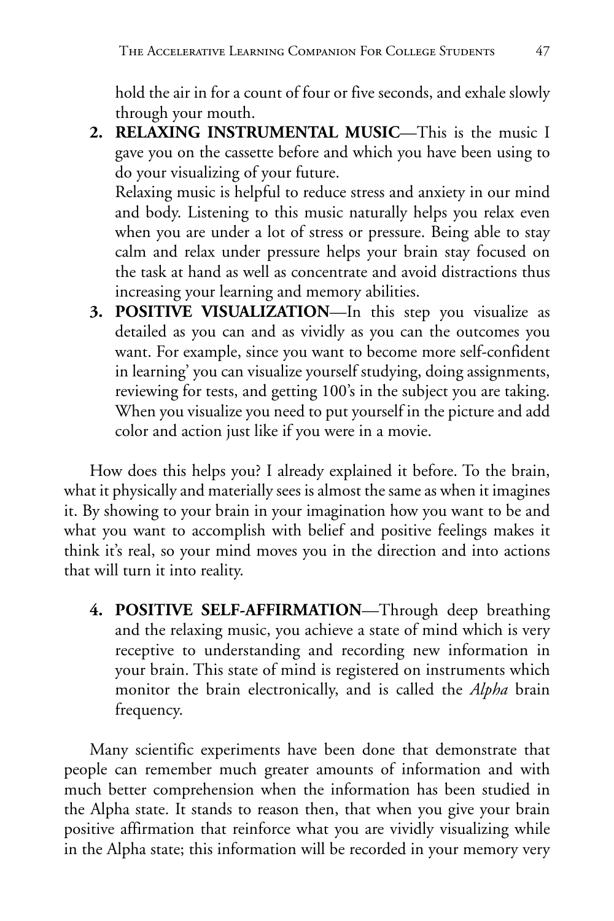hold the air in for a count of four or five seconds, and exhale slowly through your mouth.

**2. RELAXING INSTRUMENTAL MUSIC**—This is the music I gave you on the cassette before and which you have been using to do your visualizing of your future.

 Relaxing music is helpful to reduce stress and anxiety in our mind and body. Listening to this music naturally helps you relax even when you are under a lot of stress or pressure. Being able to stay calm and relax under pressure helps your brain stay focused on the task at hand as well as concentrate and avoid distractions thus increasing your learning and memory abilities.

**3. POSITIVE VISUALIZATION**—In this step you visualize as detailed as you can and as vividly as you can the outcomes you want. For example, since you want to become more self-confident in learning' you can visualize yourself studying, doing assignments, reviewing for tests, and getting 100's in the subject you are taking. When you visualize you need to put yourself in the picture and add color and action just like if you were in a movie.

How does this helps you? I already explained it before. To the brain, what it physically and materially sees is almost the same as when it imagines it. By showing to your brain in your imagination how you want to be and what you want to accomplish with belief and positive feelings makes it think it's real, so your mind moves you in the direction and into actions that will turn it into reality.

**4. POSITIVE SELF-AFFIRMATION**—Through deep breathing and the relaxing music, you achieve a state of mind which is very receptive to understanding and recording new information in your brain. This state of mind is registered on instruments which monitor the brain electronically, and is called the *Alpha* brain frequency.

Many scientific experiments have been done that demonstrate that people can remember much greater amounts of information and with much better comprehension when the information has been studied in the Alpha state. It stands to reason then, that when you give your brain positive affirmation that reinforce what you are vividly visualizing while in the Alpha state; this information will be recorded in your memory very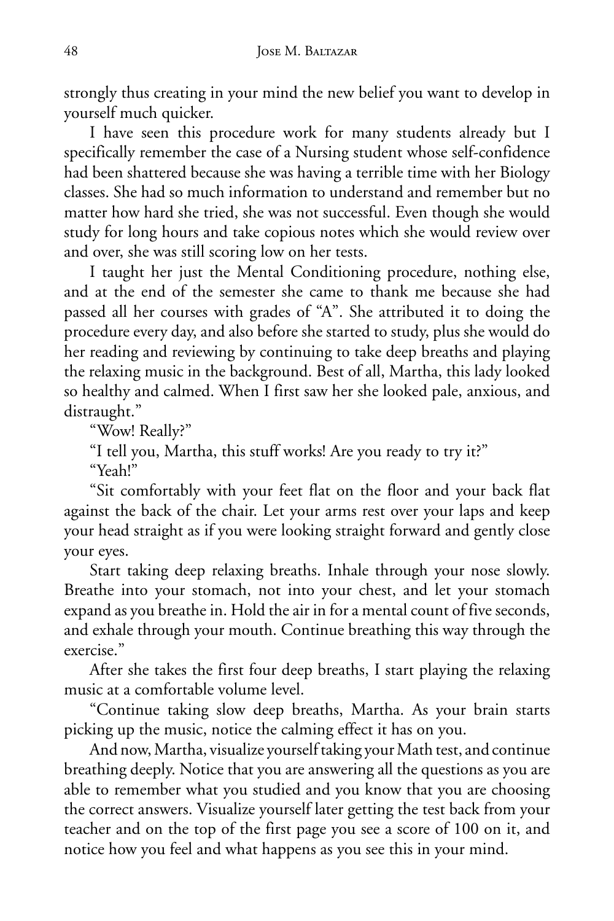strongly thus creating in your mind the new belief you want to develop in yourself much quicker.

I have seen this procedure work for many students already but I specifically remember the case of a Nursing student whose self-confidence had been shattered because she was having a terrible time with her Biology classes. She had so much information to understand and remember but no matter how hard she tried, she was not successful. Even though she would study for long hours and take copious notes which she would review over and over, she was still scoring low on her tests.

I taught her just the Mental Conditioning procedure, nothing else, and at the end of the semester she came to thank me because she had passed all her courses with grades of "A". She attributed it to doing the procedure every day, and also before she started to study, plus she would do her reading and reviewing by continuing to take deep breaths and playing the relaxing music in the background. Best of all, Martha, this lady looked so healthy and calmed. When I first saw her she looked pale, anxious, and distraught."

"Wow! Really?"

"I tell you, Martha, this stuff works! Are you ready to try it?"

"Yeah!"

"Sit comfortably with your feet flat on the floor and your back flat against the back of the chair. Let your arms rest over your laps and keep your head straight as if you were looking straight forward and gently close your eyes.

Start taking deep relaxing breaths. Inhale through your nose slowly. Breathe into your stomach, not into your chest, and let your stomach expand as you breathe in. Hold the air in for a mental count of five seconds, and exhale through your mouth. Continue breathing this way through the exercise."

After she takes the first four deep breaths, I start playing the relaxing music at a comfortable volume level.

"Continue taking slow deep breaths, Martha. As your brain starts picking up the music, notice the calming effect it has on you.

And now, Martha, visualize yourself taking your Math test, and continue breathing deeply. Notice that you are answering all the questions as you are able to remember what you studied and you know that you are choosing the correct answers. Visualize yourself later getting the test back from your teacher and on the top of the first page you see a score of 100 on it, and notice how you feel and what happens as you see this in your mind.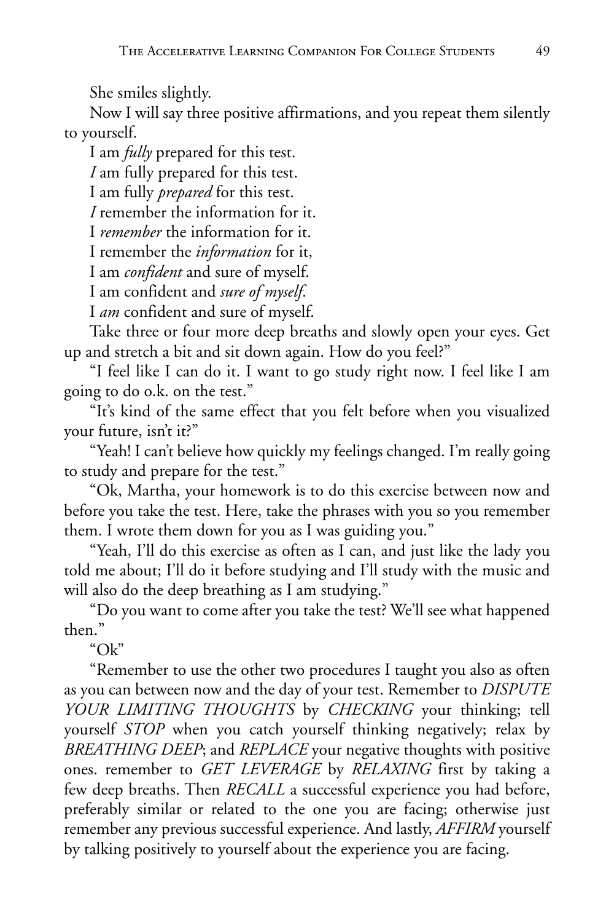She smiles slightly.

Now I will say three positive affirmations, and you repeat them silently to yourself.

I am *fully* prepared for this test.

*I* am fully prepared for this test.

I am fully *prepared* for this test.

*I* remember the information for it.

I *remember* the information for it.

I remember the *information* for it,

I am *confident* and sure of myself.

I am confident and *sure of myself*.

I *am* confident and sure of myself.

Take three or four more deep breaths and slowly open your eyes. Get up and stretch a bit and sit down again. How do you feel?"

"I feel like I can do it. I want to go study right now. I feel like I am going to do o.k. on the test."

"It's kind of the same effect that you felt before when you visualized your future, isn't it?"

"Yeah! I can't believe how quickly my feelings changed. I'm really going to study and prepare for the test."

"Ok, Martha, your homework is to do this exercise between now and before you take the test. Here, take the phrases with you so you remember them. I wrote them down for you as I was guiding you."

"Yeah, I'll do this exercise as often as I can, and just like the lady you told me about; I'll do it before studying and I'll study with the music and will also do the deep breathing as I am studying."

"Do you want to come after you take the test? We'll see what happened then."

"Ok"

"Remember to use the other two procedures I taught you also as often as you can between now and the day of your test. Remember to *DISPUTE YOUR LIMITING THOUGHTS* by *CHECKING* your thinking; tell yourself *STOP* when you catch yourself thinking negatively; relax by *BREATHING DEEP*; and *REPLACE* your negative thoughts with positive ones. remember to *GET LEVERAGE* by *RELAXING* first by taking a few deep breaths. Then *RECALL* a successful experience you had before, preferably similar or related to the one you are facing; otherwise just remember any previous successful experience. And lastly, *AFFIRM* yourself by talking positively to yourself about the experience you are facing.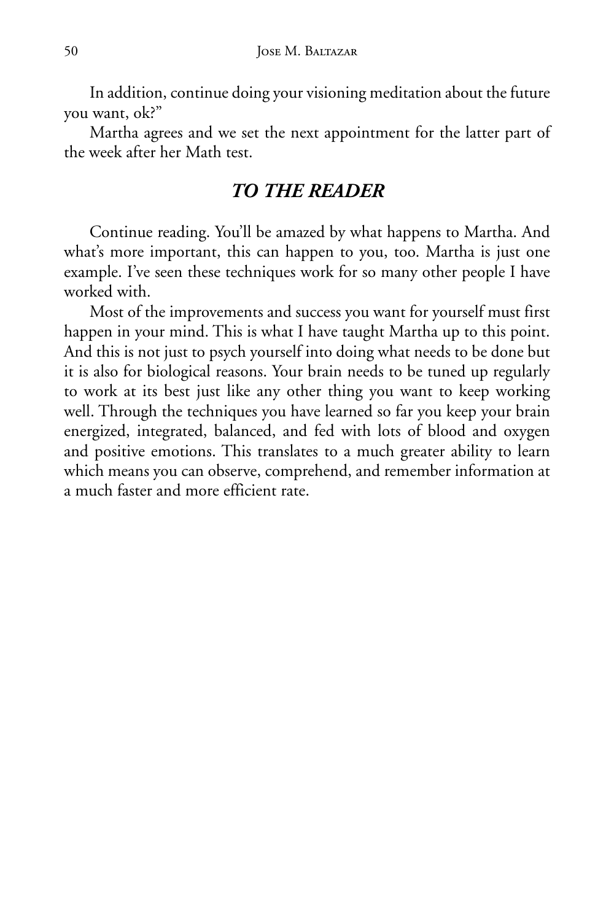In addition, continue doing your visioning meditation about the future you want, ok?"

Martha agrees and we set the next appointment for the latter part of the week after her Math test.

#### *TO THE READER*

Continue reading. You'll be amazed by what happens to Martha. And what's more important, this can happen to you, too. Martha is just one example. I've seen these techniques work for so many other people I have worked with.

Most of the improvements and success you want for yourself must first happen in your mind. This is what I have taught Martha up to this point. And this is not just to psych yourself into doing what needs to be done but it is also for biological reasons. Your brain needs to be tuned up regularly to work at its best just like any other thing you want to keep working well. Through the techniques you have learned so far you keep your brain energized, integrated, balanced, and fed with lots of blood and oxygen and positive emotions. This translates to a much greater ability to learn which means you can observe, comprehend, and remember information at a much faster and more efficient rate.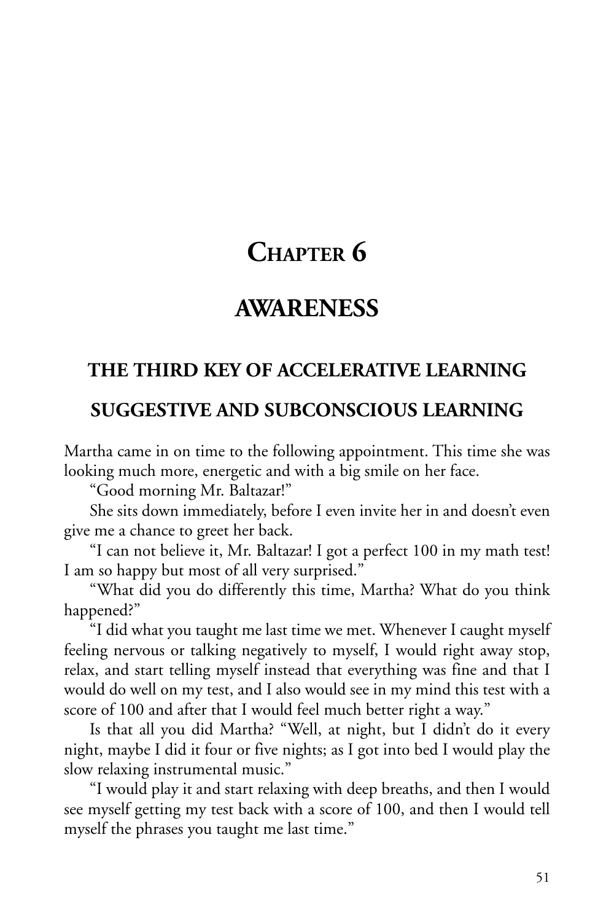# **CHAPTER 6**

## **AWARENESS**

### **THE THIRD KEY OF ACCELERATIVE LEARNING**

### **SUGGESTIVE AND SUBCONSCIOUS LEARNING**

Martha came in on time to the following appointment. This time she was looking much more, energetic and with a big smile on her face.

"Good morning Mr. Baltazar!"

She sits down immediately, before I even invite her in and doesn't even give me a chance to greet her back.

"I can not believe it, Mr. Baltazar! I got a perfect 100 in my math test! I am so happy but most of all very surprised."

"What did you do differently this time, Martha? What do you think happened?"

"I did what you taught me last time we met. Whenever I caught myself feeling nervous or talking negatively to myself, I would right away stop, relax, and start telling myself instead that everything was fine and that I would do well on my test, and I also would see in my mind this test with a score of 100 and after that I would feel much better right a way."

Is that all you did Martha? "Well, at night, but I didn't do it every night, maybe I did it four or five nights; as I got into bed I would play the slow relaxing instrumental music."

"I would play it and start relaxing with deep breaths, and then I would see myself getting my test back with a score of 100, and then I would tell myself the phrases you taught me last time."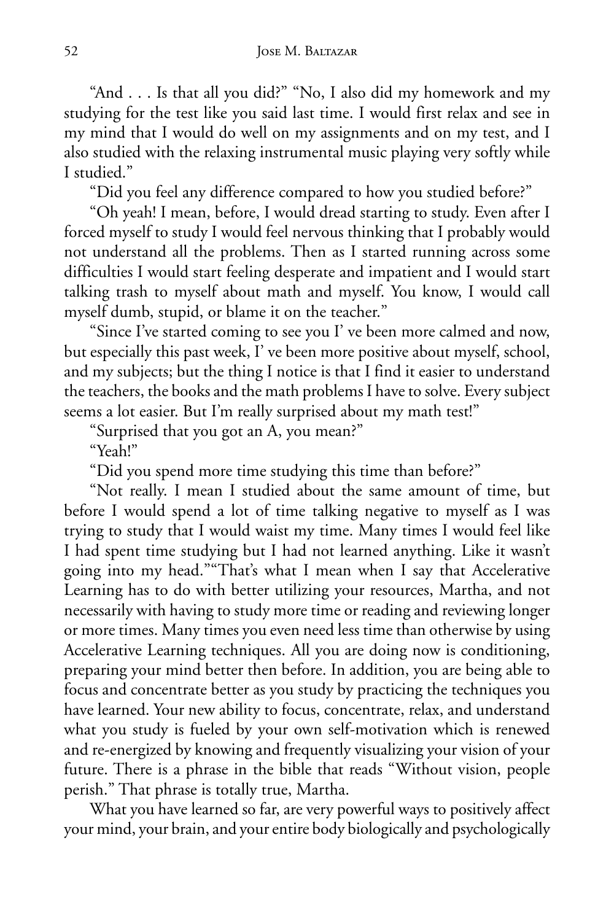"And . . . Is that all you did?" "No, I also did my homework and my studying for the test like you said last time. I would first relax and see in my mind that I would do well on my assignments and on my test, and I also studied with the relaxing instrumental music playing very softly while I studied."

"Did you feel any difference compared to how you studied before?"

"Oh yeah! I mean, before, I would dread starting to study. Even after I forced myself to study I would feel nervous thinking that I probably would not understand all the problems. Then as I started running across some difficulties I would start feeling desperate and impatient and I would start talking trash to myself about math and myself. You know, I would call myself dumb, stupid, or blame it on the teacher."

"Since I've started coming to see you I' ve been more calmed and now, but especially this past week, I' ve been more positive about myself, school, and my subjects; but the thing I notice is that I find it easier to understand the teachers, the books and the math problems I have to solve. Every subject seems a lot easier. But I'm really surprised about my math test!"

"Surprised that you got an A, you mean?"

"Yeah!"

"Did you spend more time studying this time than before?"

"Not really. I mean I studied about the same amount of time, but before I would spend a lot of time talking negative to myself as I was trying to study that I would waist my time. Many times I would feel like I had spent time studying but I had not learned anything. Like it wasn't going into my head.""That's what I mean when I say that Accelerative Learning has to do with better utilizing your resources, Martha, and not necessarily with having to study more time or reading and reviewing longer or more times. Many times you even need less time than otherwise by using Accelerative Learning techniques. All you are doing now is conditioning, preparing your mind better then before. In addition, you are being able to focus and concentrate better as you study by practicing the techniques you have learned. Your new ability to focus, concentrate, relax, and understand what you study is fueled by your own self-motivation which is renewed and re-energized by knowing and frequently visualizing your vision of your future. There is a phrase in the bible that reads "Without vision, people perish." That phrase is totally true, Martha.

What you have learned so far, are very powerful ways to positively affect your mind, your brain, and your entire body biologically and psychologically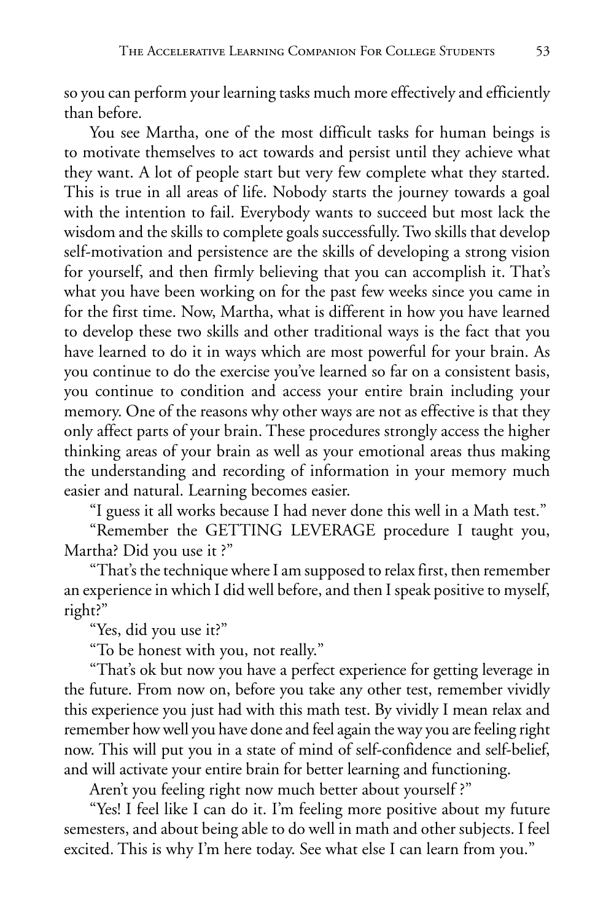so you can perform your learning tasks much more effectively and efficiently than before.

You see Martha, one of the most difficult tasks for human beings is to motivate themselves to act towards and persist until they achieve what they want. A lot of people start but very few complete what they started. This is true in all areas of life. Nobody starts the journey towards a goal with the intention to fail. Everybody wants to succeed but most lack the wisdom and the skills to complete goals successfully. Two skills that develop self-motivation and persistence are the skills of developing a strong vision for yourself, and then firmly believing that you can accomplish it. That's what you have been working on for the past few weeks since you came in for the first time. Now, Martha, what is different in how you have learned to develop these two skills and other traditional ways is the fact that you have learned to do it in ways which are most powerful for your brain. As you continue to do the exercise you've learned so far on a consistent basis, you continue to condition and access your entire brain including your memory. One of the reasons why other ways are not as effective is that they only affect parts of your brain. These procedures strongly access the higher thinking areas of your brain as well as your emotional areas thus making the understanding and recording of information in your memory much easier and natural. Learning becomes easier.

"I guess it all works because I had never done this well in a Math test."

"Remember the GETTING LEVERAGE procedure I taught you, Martha? Did you use it ?"

"That's the technique where I am supposed to relax first, then remember an experience in which I did well before, and then I speak positive to myself, right?"

"Yes, did you use it?"

"To be honest with you, not really."

"That's ok but now you have a perfect experience for getting leverage in the future. From now on, before you take any other test, remember vividly this experience you just had with this math test. By vividly I mean relax and remember how well you have done and feel again the way you are feeling right now. This will put you in a state of mind of self-confidence and self-belief, and will activate your entire brain for better learning and functioning.

Aren't you feeling right now much better about yourself ?"

"Yes! I feel like I can do it. I'm feeling more positive about my future semesters, and about being able to do well in math and other subjects. I feel excited. This is why I'm here today. See what else I can learn from you."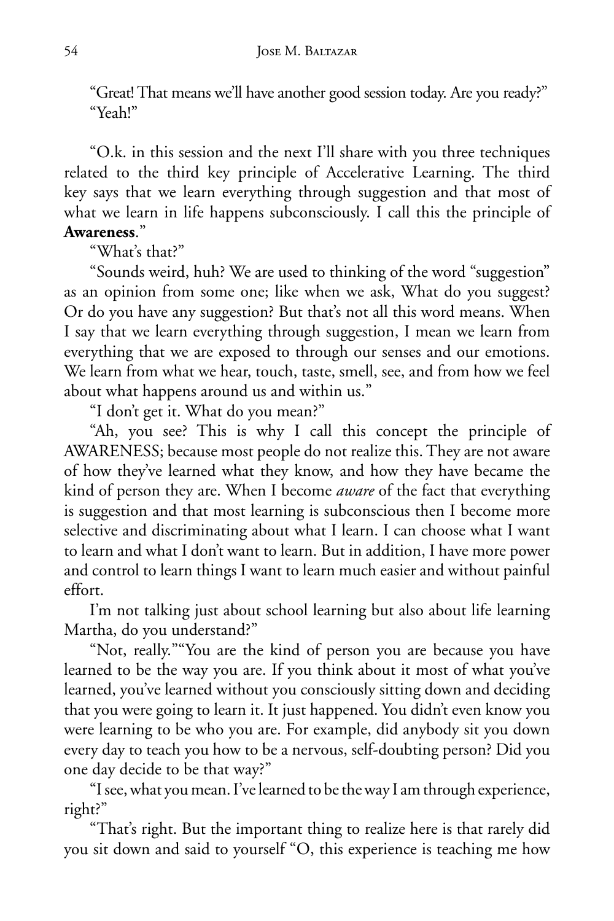"Great! That means we'll have another good session today. Are you ready?" "Yeah!"

"O.k. in this session and the next I'll share with you three techniques related to the third key principle of Accelerative Learning. The third key says that we learn everything through suggestion and that most of what we learn in life happens subconsciously. I call this the principle of **Awareness**."

"What's that?"

"Sounds weird, huh? We are used to thinking of the word "suggestion" as an opinion from some one; like when we ask, What do you suggest? Or do you have any suggestion? But that's not all this word means. When I say that we learn everything through suggestion, I mean we learn from everything that we are exposed to through our senses and our emotions. We learn from what we hear, touch, taste, smell, see, and from how we feel about what happens around us and within us."

"I don't get it. What do you mean?"

"Ah, you see? This is why I call this concept the principle of AWARENESS; because most people do not realize this. They are not aware of how they've learned what they know, and how they have became the kind of person they are. When I become *aware* of the fact that everything is suggestion and that most learning is subconscious then I become more selective and discriminating about what I learn. I can choose what I want to learn and what I don't want to learn. But in addition, I have more power and control to learn things I want to learn much easier and without painful effort.

I'm not talking just about school learning but also about life learning Martha, do you understand?"

"Not, really.""You are the kind of person you are because you have learned to be the way you are. If you think about it most of what you've learned, you've learned without you consciously sitting down and deciding that you were going to learn it. It just happened. You didn't even know you were learning to be who you are. For example, did anybody sit you down every day to teach you how to be a nervous, self-doubting person? Did you one day decide to be that way?"

"I see, what you mean. I've learned to be the way I am through experience, right?"

"That's right. But the important thing to realize here is that rarely did you sit down and said to yourself "O, this experience is teaching me how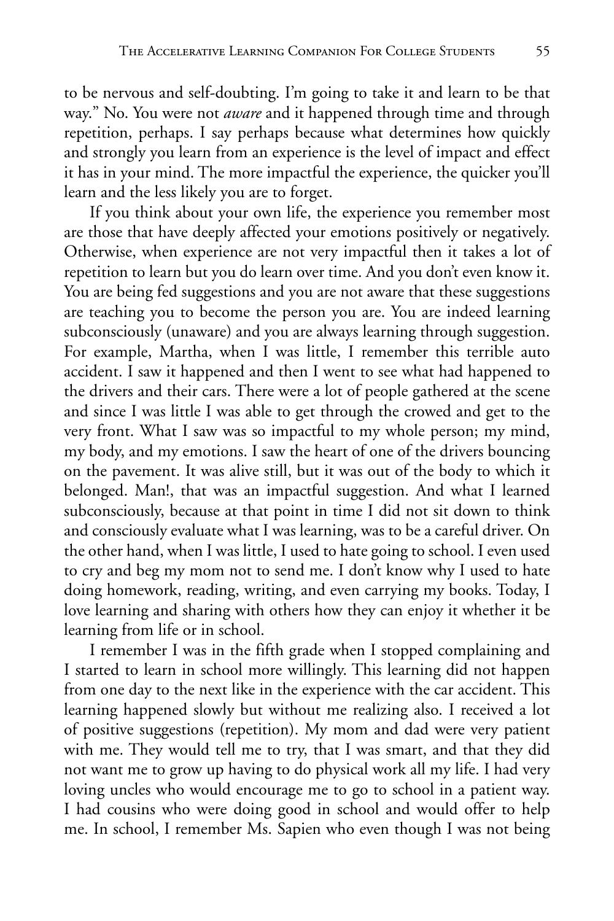to be nervous and self-doubting. I'm going to take it and learn to be that way." No. You were not *aware* and it happened through time and through repetition, perhaps. I say perhaps because what determines how quickly and strongly you learn from an experience is the level of impact and effect it has in your mind. The more impactful the experience, the quicker you'll learn and the less likely you are to forget.

If you think about your own life, the experience you remember most are those that have deeply affected your emotions positively or negatively. Otherwise, when experience are not very impactful then it takes a lot of repetition to learn but you do learn over time. And you don't even know it. You are being fed suggestions and you are not aware that these suggestions are teaching you to become the person you are. You are indeed learning subconsciously (unaware) and you are always learning through suggestion. For example, Martha, when I was little, I remember this terrible auto accident. I saw it happened and then I went to see what had happened to the drivers and their cars. There were a lot of people gathered at the scene and since I was little I was able to get through the crowed and get to the very front. What I saw was so impactful to my whole person; my mind, my body, and my emotions. I saw the heart of one of the drivers bouncing on the pavement. It was alive still, but it was out of the body to which it belonged. Man!, that was an impactful suggestion. And what I learned subconsciously, because at that point in time I did not sit down to think and consciously evaluate what I was learning, was to be a careful driver. On the other hand, when I was little, I used to hate going to school. I even used to cry and beg my mom not to send me. I don't know why I used to hate doing homework, reading, writing, and even carrying my books. Today, I love learning and sharing with others how they can enjoy it whether it be learning from life or in school.

I remember I was in the fifth grade when I stopped complaining and I started to learn in school more willingly. This learning did not happen from one day to the next like in the experience with the car accident. This learning happened slowly but without me realizing also. I received a lot of positive suggestions (repetition). My mom and dad were very patient with me. They would tell me to try, that I was smart, and that they did not want me to grow up having to do physical work all my life. I had very loving uncles who would encourage me to go to school in a patient way. I had cousins who were doing good in school and would offer to help me. In school, I remember Ms. Sapien who even though I was not being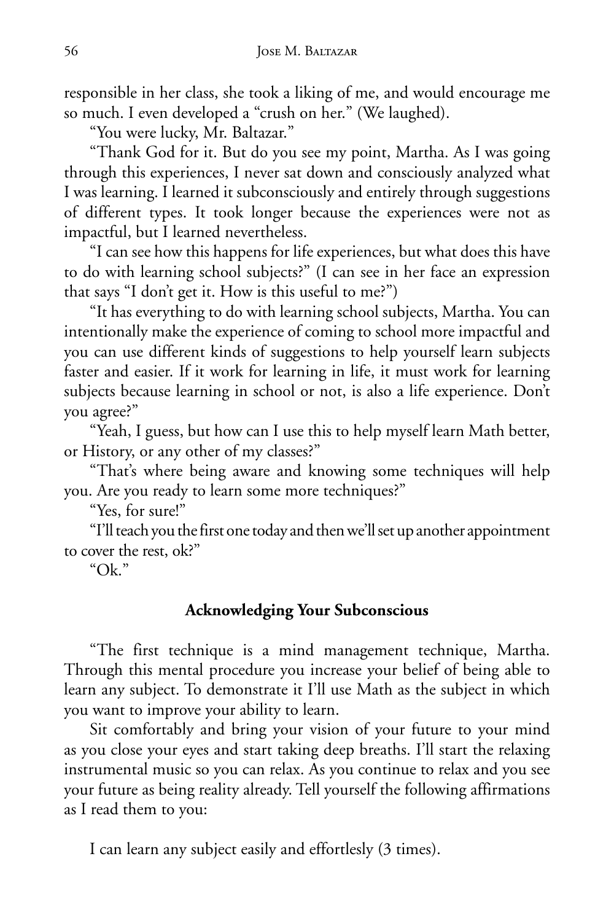responsible in her class, she took a liking of me, and would encourage me so much. I even developed a "crush on her." (We laughed).

"You were lucky, Mr. Baltazar."

"Thank God for it. But do you see my point, Martha. As I was going through this experiences, I never sat down and consciously analyzed what I was learning. I learned it subconsciously and entirely through suggestions of different types. It took longer because the experiences were not as impactful, but I learned nevertheless.

"I can see how this happens for life experiences, but what does this have to do with learning school subjects?" (I can see in her face an expression that says "I don't get it. How is this useful to me?")

"It has everything to do with learning school subjects, Martha. You can intentionally make the experience of coming to school more impactful and you can use different kinds of suggestions to help yourself learn subjects faster and easier. If it work for learning in life, it must work for learning subjects because learning in school or not, is also a life experience. Don't you agree?"

"Yeah, I guess, but how can I use this to help myself learn Math better, or History, or any other of my classes?"

"That's where being aware and knowing some techniques will help you. Are you ready to learn some more techniques?"

"Yes, for sure!"

"I'll teach you the first one today and then we'll set up another appointment to cover the rest, ok?"

"Ok."

#### **Acknowledging Your Subconscious**

"The first technique is a mind management technique, Martha. Through this mental procedure you increase your belief of being able to learn any subject. To demonstrate it I'll use Math as the subject in which you want to improve your ability to learn.

Sit comfortably and bring your vision of your future to your mind as you close your eyes and start taking deep breaths. I'll start the relaxing instrumental music so you can relax. As you continue to relax and you see your future as being reality already. Tell yourself the following affirmations as I read them to you:

I can learn any subject easily and effortlesly (3 times).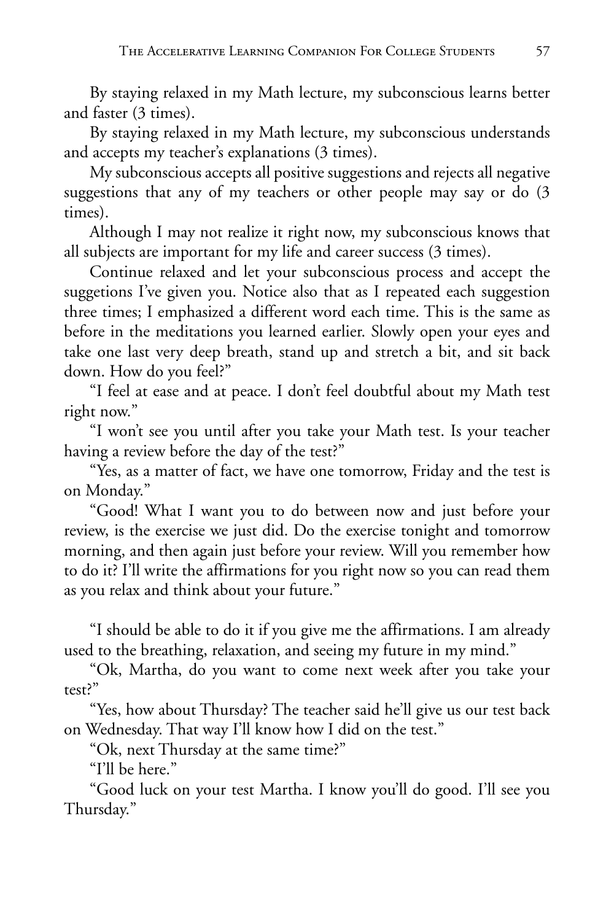By staying relaxed in my Math lecture, my subconscious learns better and faster (3 times).

By staying relaxed in my Math lecture, my subconscious understands and accepts my teacher's explanations (3 times).

My subconscious accepts all positive suggestions and rejects all negative suggestions that any of my teachers or other people may say or do (3 times).

Although I may not realize it right now, my subconscious knows that all subjects are important for my life and career success (3 times).

Continue relaxed and let your subconscious process and accept the suggetions I've given you. Notice also that as I repeated each suggestion three times; I emphasized a different word each time. This is the same as before in the meditations you learned earlier. Slowly open your eyes and take one last very deep breath, stand up and stretch a bit, and sit back down. How do you feel?"

"I feel at ease and at peace. I don't feel doubtful about my Math test right now."

"I won't see you until after you take your Math test. Is your teacher having a review before the day of the test?"

"Yes, as a matter of fact, we have one tomorrow, Friday and the test is on Monday."

"Good! What I want you to do between now and just before your review, is the exercise we just did. Do the exercise tonight and tomorrow morning, and then again just before your review. Will you remember how to do it? I'll write the affirmations for you right now so you can read them as you relax and think about your future."

"I should be able to do it if you give me the affirmations. I am already used to the breathing, relaxation, and seeing my future in my mind."

"Ok, Martha, do you want to come next week after you take your test?"

"Yes, how about Thursday? The teacher said he'll give us our test back on Wednesday. That way I'll know how I did on the test."

"Ok, next Thursday at the same time?"

"I'll be here."

"Good luck on your test Martha. I know you'll do good. I'll see you Thursday."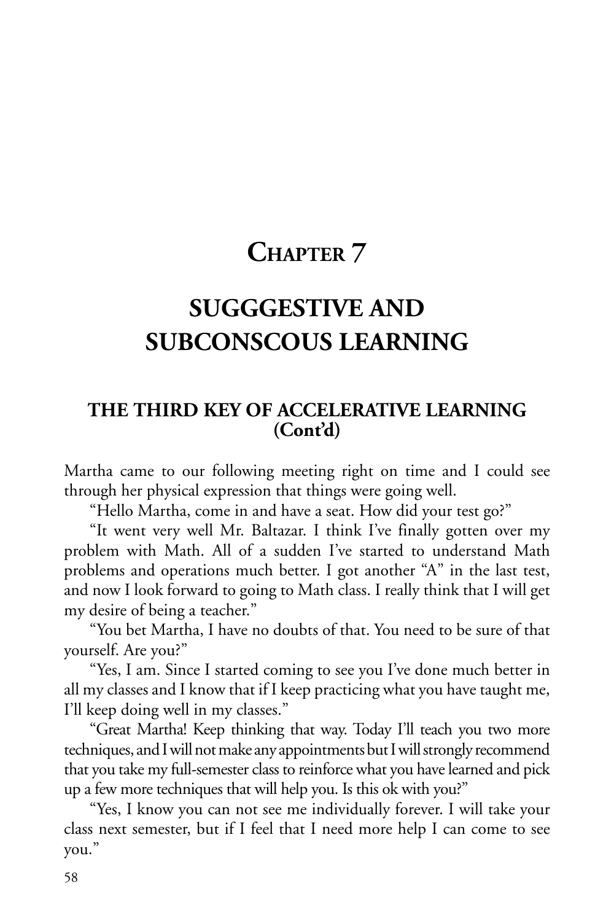# **CHAPTER 7**

# **SUGGGESTIVE AND SUBCONSCOUS LEARNING**

### **THE THIRD KEY OF ACCELERATIVE LEARNING (Cont'd)**

Martha came to our following meeting right on time and I could see through her physical expression that things were going well.

"Hello Martha, come in and have a seat. How did your test go?"

"It went very well Mr. Baltazar. I think I've finally gotten over my problem with Math. All of a sudden I've started to understand Math problems and operations much better. I got another "A" in the last test, and now I look forward to going to Math class. I really think that I will get my desire of being a teacher."

"You bet Martha, I have no doubts of that. You need to be sure of that yourself. Are you?"

"Yes, I am. Since I started coming to see you I've done much better in all my classes and I know that if I keep practicing what you have taught me, I'll keep doing well in my classes."

"Great Martha! Keep thinking that way. Today I'll teach you two more techniques, and I will not make any appointments but I will strongly recommend that you take my full-semester class to reinforce what you have learned and pick up a few more techniques that will help you. Is this ok with you?"

"Yes, I know you can not see me individually forever. I will take your class next semester, but if I feel that I need more help I can come to see you."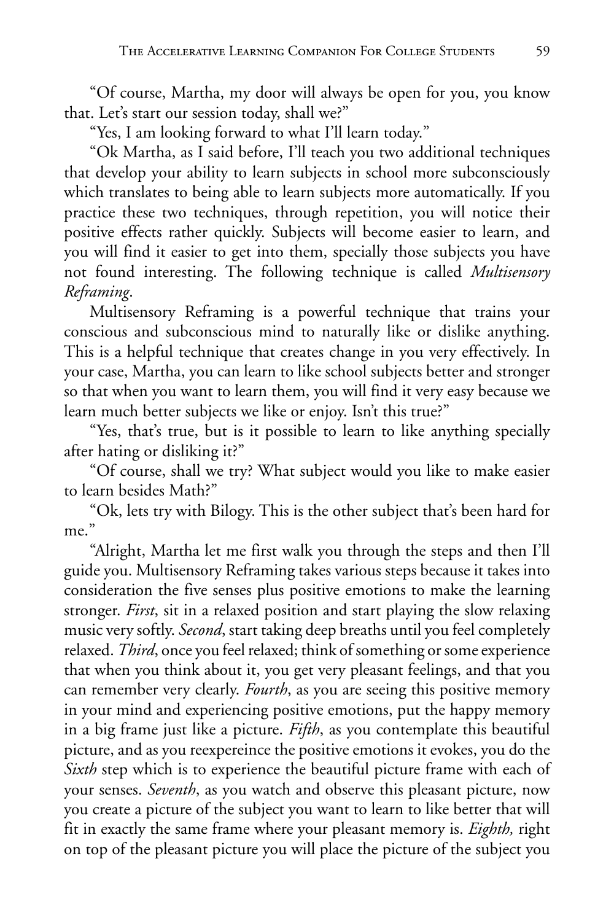"Of course, Martha, my door will always be open for you, you know that. Let's start our session today, shall we?"

"Yes, I am looking forward to what I'll learn today."

"Ok Martha, as I said before, I'll teach you two additional techniques that develop your ability to learn subjects in school more subconsciously which translates to being able to learn subjects more automatically. If you practice these two techniques, through repetition, you will notice their positive effects rather quickly. Subjects will become easier to learn, and you will find it easier to get into them, specially those subjects you have not found interesting. The following technique is called *Multisensory Reframing*.

Multisensory Reframing is a powerful technique that trains your conscious and subconscious mind to naturally like or dislike anything. This is a helpful technique that creates change in you very effectively. In your case, Martha, you can learn to like school subjects better and stronger so that when you want to learn them, you will find it very easy because we learn much better subjects we like or enjoy. Isn't this true?"

"Yes, that's true, but is it possible to learn to like anything specially after hating or disliking it?"

"Of course, shall we try? What subject would you like to make easier to learn besides Math?"

"Ok, lets try with Bilogy. This is the other subject that's been hard for me."

"Alright, Martha let me first walk you through the steps and then I'll guide you. Multisensory Reframing takes various steps because it takes into consideration the five senses plus positive emotions to make the learning stronger. *First*, sit in a relaxed position and start playing the slow relaxing music very softly. *Second*, start taking deep breaths until you feel completely relaxed. *Third*, once you feel relaxed; think of something or some experience that when you think about it, you get very pleasant feelings, and that you can remember very clearly. *Fourth*, as you are seeing this positive memory in your mind and experiencing positive emotions, put the happy memory in a big frame just like a picture. *Fifth*, as you contemplate this beautiful picture, and as you reexpereince the positive emotions it evokes, you do the *Sixth* step which is to experience the beautiful picture frame with each of your senses. *Seventh*, as you watch and observe this pleasant picture, now you create a picture of the subject you want to learn to like better that will fit in exactly the same frame where your pleasant memory is. *Eighth,* right on top of the pleasant picture you will place the picture of the subject you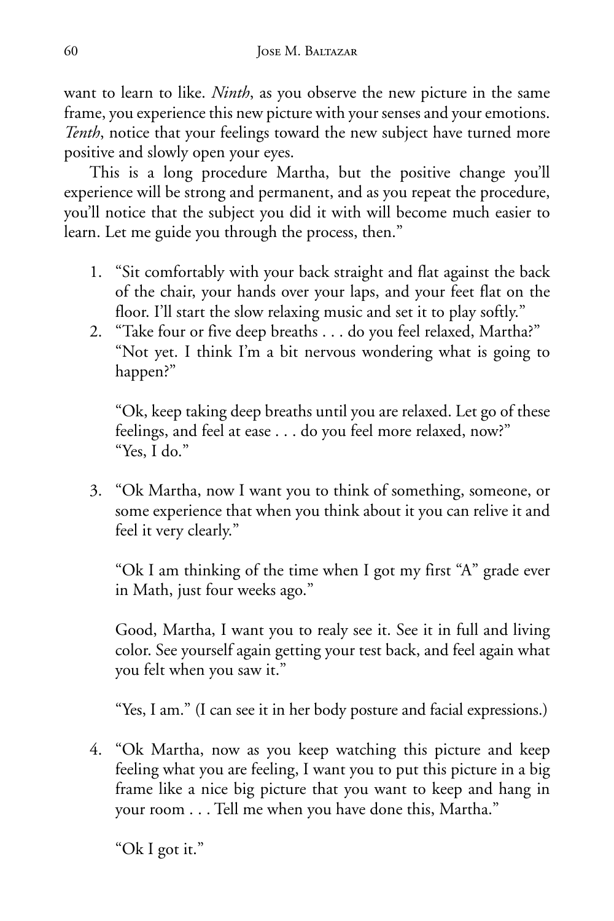want to learn to like. *Ninth*, as you observe the new picture in the same frame, you experience this new picture with your senses and your emotions. *Tenth*, notice that your feelings toward the new subject have turned more positive and slowly open your eyes.

This is a long procedure Martha, but the positive change you'll experience will be strong and permanent, and as you repeat the procedure, you'll notice that the subject you did it with will become much easier to learn. Let me guide you through the process, then."

- 1. "Sit comfortably with your back straight and flat against the back of the chair, your hands over your laps, and your feet flat on the floor. I'll start the slow relaxing music and set it to play softly."
- 2. "Take four or five deep breaths . . . do you feel relaxed, Martha?" "Not yet. I think I'm a bit nervous wondering what is going to happen?"

 "Ok, keep taking deep breaths until you are relaxed. Let go of these feelings, and feel at ease . . . do you feel more relaxed, now?" "Yes, I do."

3. "Ok Martha, now I want you to think of something, someone, or some experience that when you think about it you can relive it and feel it very clearly."

 "Ok I am thinking of the time when I got my first "A" grade ever in Math, just four weeks ago."

 Good, Martha, I want you to realy see it. See it in full and living color. See yourself again getting your test back, and feel again what you felt when you saw it."

"Yes, I am." (I can see it in her body posture and facial expressions.)

4. "Ok Martha, now as you keep watching this picture and keep feeling what you are feeling, I want you to put this picture in a big frame like a nice big picture that you want to keep and hang in your room . . . Tell me when you have done this, Martha."

"Ok I got it."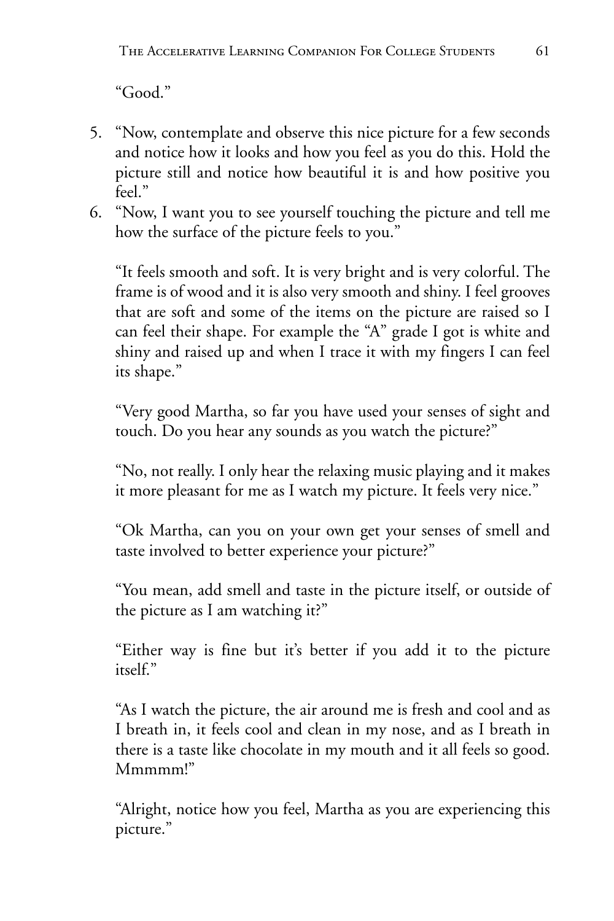"Good."

- 5. "Now, contemplate and observe this nice picture for a few seconds and notice how it looks and how you feel as you do this. Hold the picture still and notice how beautiful it is and how positive you feel."
- 6. "Now, I want you to see yourself touching the picture and tell me how the surface of the picture feels to you."

 "It feels smooth and soft. It is very bright and is very colorful. The frame is of wood and it is also very smooth and shiny. I feel grooves that are soft and some of the items on the picture are raised so I can feel their shape. For example the "A" grade I got is white and shiny and raised up and when I trace it with my fingers I can feel its shape."

 "Very good Martha, so far you have used your senses of sight and touch. Do you hear any sounds as you watch the picture?"

 "No, not really. I only hear the relaxing music playing and it makes it more pleasant for me as I watch my picture. It feels very nice."

 "Ok Martha, can you on your own get your senses of smell and taste involved to better experience your picture?"

 "You mean, add smell and taste in the picture itself, or outside of the picture as I am watching it?"

 "Either way is fine but it's better if you add it to the picture itself."

 "As I watch the picture, the air around me is fresh and cool and as I breath in, it feels cool and clean in my nose, and as I breath in there is a taste like chocolate in my mouth and it all feels so good. Mmmmm!"

 "Alright, notice how you feel, Martha as you are experiencing this picture."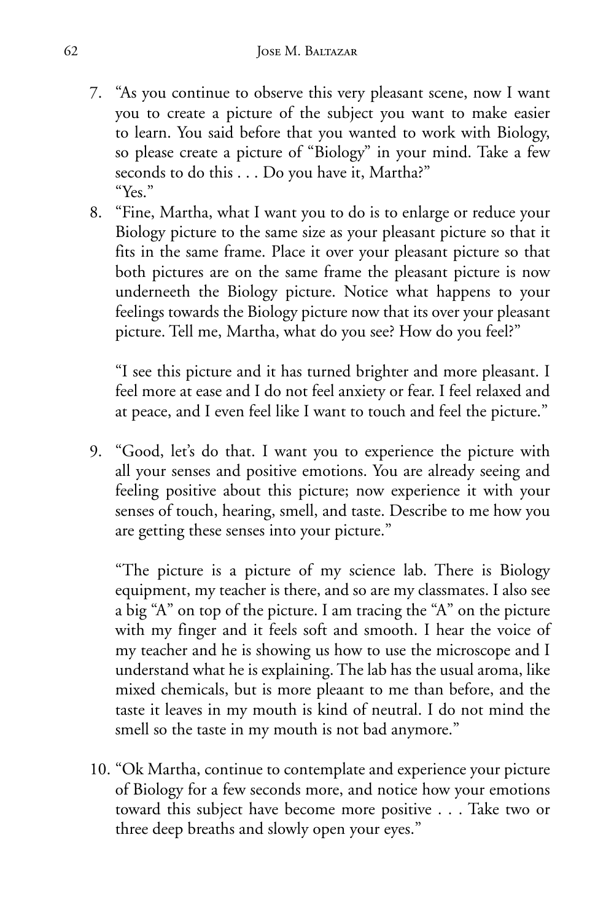- 7. "As you continue to observe this very pleasant scene, now I want you to create a picture of the subject you want to make easier to learn. You said before that you wanted to work with Biology, so please create a picture of "Biology" in your mind. Take a few seconds to do this . . . Do you have it, Martha?" "Yes."
- 8. "Fine, Martha, what I want you to do is to enlarge or reduce your Biology picture to the same size as your pleasant picture so that it fits in the same frame. Place it over your pleasant picture so that both pictures are on the same frame the pleasant picture is now underneeth the Biology picture. Notice what happens to your feelings towards the Biology picture now that its over your pleasant picture. Tell me, Martha, what do you see? How do you feel?"

 "I see this picture and it has turned brighter and more pleasant. I feel more at ease and I do not feel anxiety or fear. I feel relaxed and at peace, and I even feel like I want to touch and feel the picture."

9. "Good, let's do that. I want you to experience the picture with all your senses and positive emotions. You are already seeing and feeling positive about this picture; now experience it with your senses of touch, hearing, smell, and taste. Describe to me how you are getting these senses into your picture."

 "The picture is a picture of my science lab. There is Biology equipment, my teacher is there, and so are my classmates. I also see a big "A" on top of the picture. I am tracing the "A" on the picture with my finger and it feels soft and smooth. I hear the voice of my teacher and he is showing us how to use the microscope and I understand what he is explaining. The lab has the usual aroma, like mixed chemicals, but is more pleaant to me than before, and the taste it leaves in my mouth is kind of neutral. I do not mind the smell so the taste in my mouth is not bad anymore."

10. "Ok Martha, continue to contemplate and experience your picture of Biology for a few seconds more, and notice how your emotions toward this subject have become more positive . . . Take two or three deep breaths and slowly open your eyes."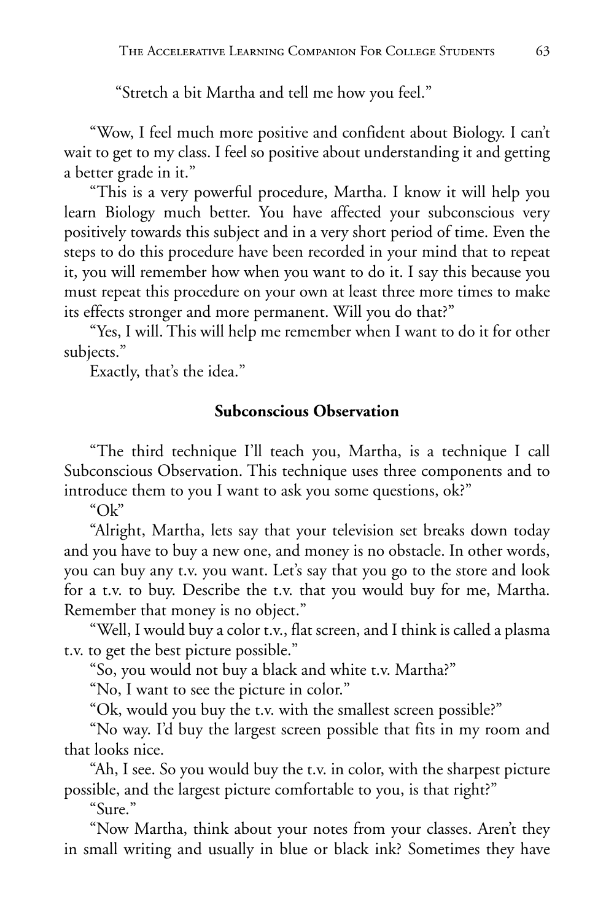"Stretch a bit Martha and tell me how you feel."

"Wow, I feel much more positive and confident about Biology. I can't wait to get to my class. I feel so positive about understanding it and getting a better grade in it."

"This is a very powerful procedure, Martha. I know it will help you learn Biology much better. You have affected your subconscious very positively towards this subject and in a very short period of time. Even the steps to do this procedure have been recorded in your mind that to repeat it, you will remember how when you want to do it. I say this because you must repeat this procedure on your own at least three more times to make its effects stronger and more permanent. Will you do that?"

"Yes, I will. This will help me remember when I want to do it for other subjects."

Exactly, that's the idea."

#### **Subconscious Observation**

"The third technique I'll teach you, Martha, is a technique I call Subconscious Observation. This technique uses three components and to introduce them to you I want to ask you some questions, ok?"

" $Ok$ "

"Alright, Martha, lets say that your television set breaks down today and you have to buy a new one, and money is no obstacle. In other words, you can buy any t.v. you want. Let's say that you go to the store and look for a t.v. to buy. Describe the t.v. that you would buy for me, Martha. Remember that money is no object."

"Well, I would buy a color t.v., flat screen, and I think is called a plasma t.v. to get the best picture possible."

"So, you would not buy a black and white t.v. Martha?"

"No, I want to see the picture in color."

"Ok, would you buy the t.v. with the smallest screen possible?"

"No way. I'd buy the largest screen possible that fits in my room and that looks nice.

"Ah, I see. So you would buy the t.v. in color, with the sharpest picture possible, and the largest picture comfortable to you, is that right?"

"Sure."

"Now Martha, think about your notes from your classes. Aren't they in small writing and usually in blue or black ink? Sometimes they have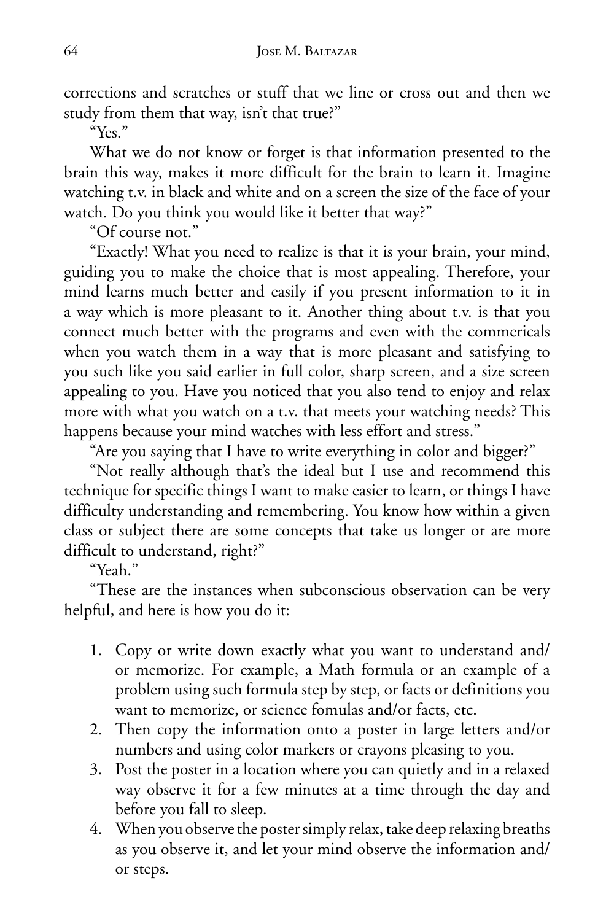corrections and scratches or stuff that we line or cross out and then we study from them that way, isn't that true?"

"Yes."

What we do not know or forget is that information presented to the brain this way, makes it more difficult for the brain to learn it. Imagine watching t.v. in black and white and on a screen the size of the face of your watch. Do you think you would like it better that way?"

"Of course not."

"Exactly! What you need to realize is that it is your brain, your mind, guiding you to make the choice that is most appealing. Therefore, your mind learns much better and easily if you present information to it in a way which is more pleasant to it. Another thing about t.v. is that you connect much better with the programs and even with the commericals when you watch them in a way that is more pleasant and satisfying to you such like you said earlier in full color, sharp screen, and a size screen appealing to you. Have you noticed that you also tend to enjoy and relax more with what you watch on a t.v. that meets your watching needs? This happens because your mind watches with less effort and stress."

"Are you saying that I have to write everything in color and bigger?"

"Not really although that's the ideal but I use and recommend this technique for specific things I want to make easier to learn, or things I have difficulty understanding and remembering. You know how within a given class or subject there are some concepts that take us longer or are more difficult to understand, right?"

"Yeah."

"These are the instances when subconscious observation can be very helpful, and here is how you do it:

- 1. Copy or write down exactly what you want to understand and/ or memorize. For example, a Math formula or an example of a problem using such formula step by step, or facts or definitions you want to memorize, or science fomulas and/or facts, etc.
- 2. Then copy the information onto a poster in large letters and/or numbers and using color markers or crayons pleasing to you.
- 3. Post the poster in a location where you can quietly and in a relaxed way observe it for a few minutes at a time through the day and before you fall to sleep.
- 4. When you observe the poster simply relax, take deep relaxing breaths as you observe it, and let your mind observe the information and/ or steps.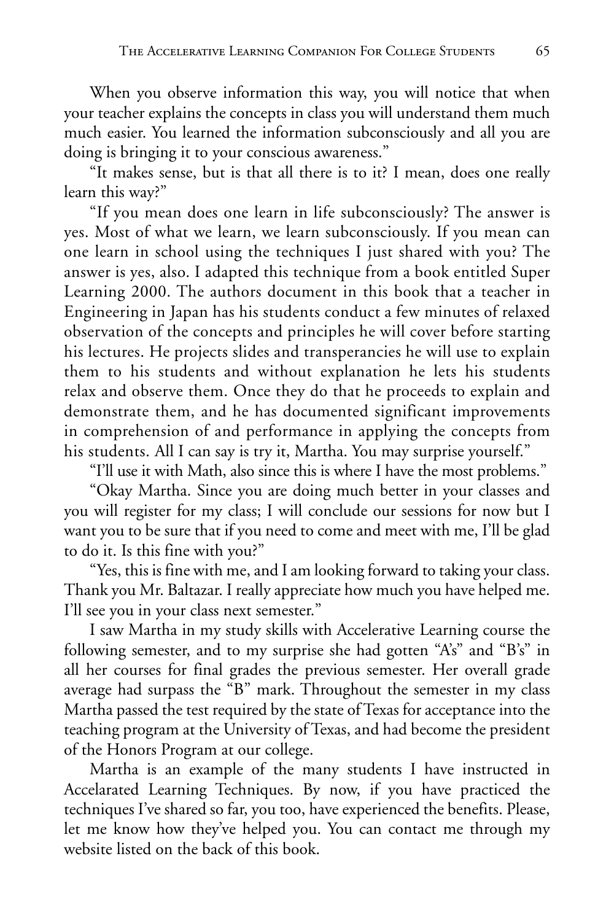When you observe information this way, you will notice that when your teacher explains the concepts in class you will understand them much much easier. You learned the information subconsciously and all you are doing is bringing it to your conscious awareness."

"It makes sense, but is that all there is to it? I mean, does one really learn this way?"

"If you mean does one learn in life subconsciously? The answer is yes. Most of what we learn, we learn subconsciously. If you mean can one learn in school using the techniques I just shared with you? The answer is yes, also. I adapted this technique from a book entitled Super Learning 2000. The authors document in this book that a teacher in Engineering in Japan has his students conduct a few minutes of relaxed observation of the concepts and principles he will cover before starting his lectures. He projects slides and transperancies he will use to explain them to his students and without explanation he lets his students relax and observe them. Once they do that he proceeds to explain and demonstrate them, and he has documented significant improvements in comprehension of and performance in applying the concepts from his students. All I can say is try it, Martha. You may surprise yourself."

"I'll use it with Math, also since this is where I have the most problems."

"Okay Martha. Since you are doing much better in your classes and you will register for my class; I will conclude our sessions for now but I want you to be sure that if you need to come and meet with me, I'll be glad to do it. Is this fine with you?"

"Yes, this is fine with me, and I am looking forward to taking your class. Thank you Mr. Baltazar. I really appreciate how much you have helped me. I'll see you in your class next semester."

I saw Martha in my study skills with Accelerative Learning course the following semester, and to my surprise she had gotten "A's" and "B's" in all her courses for final grades the previous semester. Her overall grade average had surpass the "B" mark. Throughout the semester in my class Martha passed the test required by the state of Texas for acceptance into the teaching program at the University of Texas, and had become the president of the Honors Program at our college.

Martha is an example of the many students I have instructed in Accelarated Learning Techniques. By now, if you have practiced the techniques I've shared so far, you too, have experienced the benefits. Please, let me know how they've helped you. You can contact me through my website listed on the back of this book.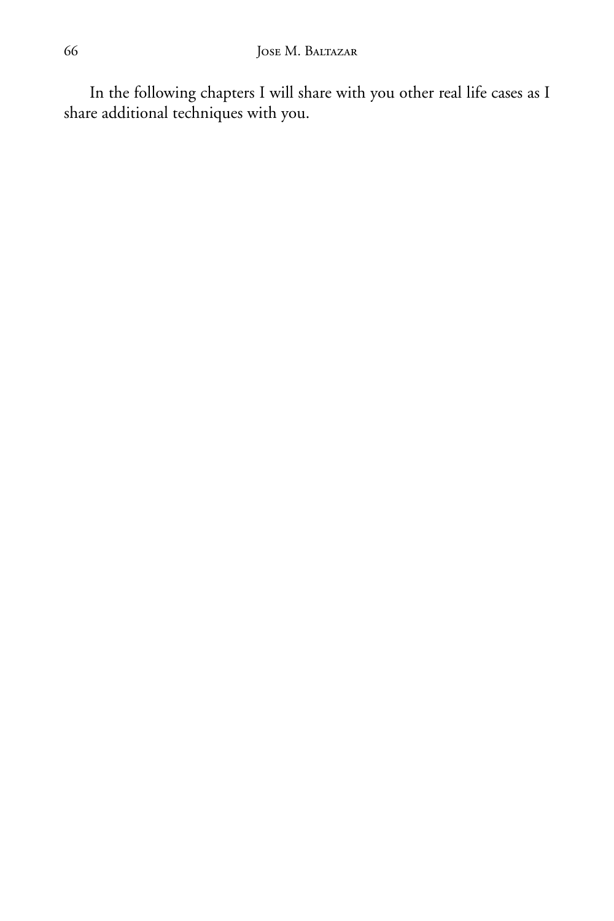In the following chapters I will share with you other real life cases as I share additional techniques with you.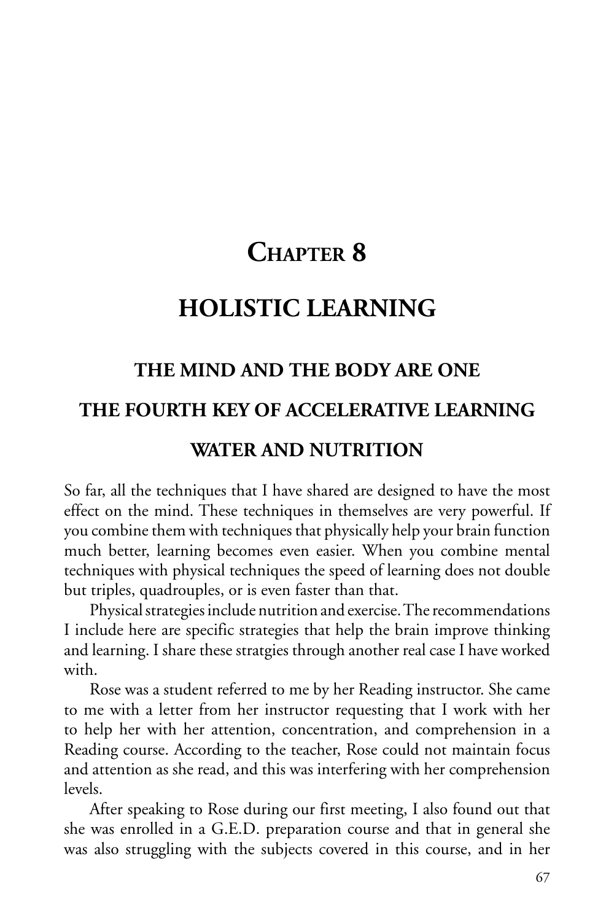# **CHAPTER 8**

## **HOLISTIC LEARNING**

### **THE MIND AND THE BODY ARE ONE**

### **THE FOURTH KEY OF ACCELERATIVE LEARNING**

### **WATER AND NUTRITION**

So far, all the techniques that I have shared are designed to have the most effect on the mind. These techniques in themselves are very powerful. If you combine them with techniques that physically help your brain function much better, learning becomes even easier. When you combine mental techniques with physical techniques the speed of learning does not double but triples, quadrouples, or is even faster than that.

Physical strategies include nutrition and exercise. The recommendations I include here are specific strategies that help the brain improve thinking and learning. I share these stratgies through another real case I have worked with.

Rose was a student referred to me by her Reading instructor. She came to me with a letter from her instructor requesting that I work with her to help her with her attention, concentration, and comprehension in a Reading course. According to the teacher, Rose could not maintain focus and attention as she read, and this was interfering with her comprehension levels.

After speaking to Rose during our first meeting, I also found out that she was enrolled in a G.E.D. preparation course and that in general she was also struggling with the subjects covered in this course, and in her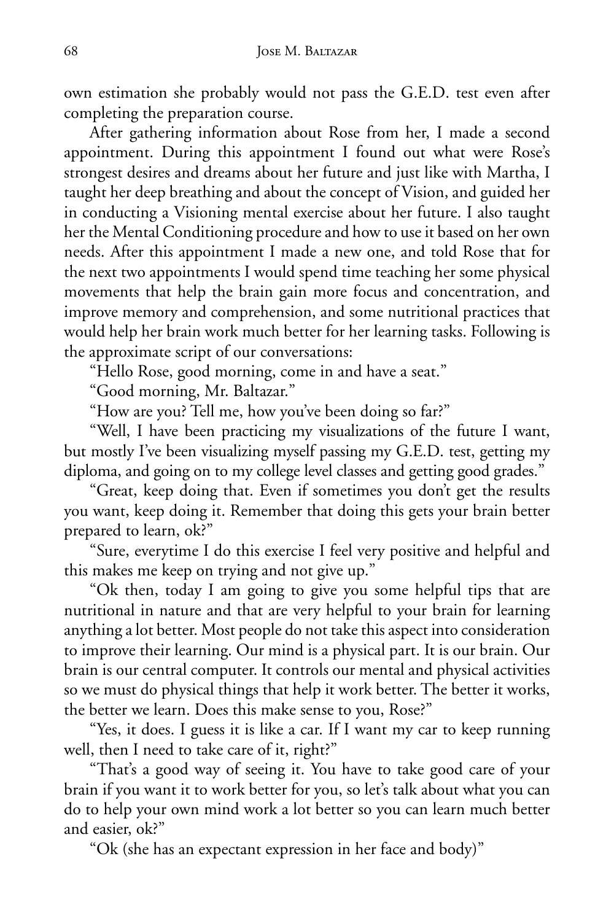own estimation she probably would not pass the G.E.D. test even after completing the preparation course.

After gathering information about Rose from her, I made a second appointment. During this appointment I found out what were Rose's strongest desires and dreams about her future and just like with Martha, I taught her deep breathing and about the concept of Vision, and guided her in conducting a Visioning mental exercise about her future. I also taught her the Mental Conditioning procedure and how to use it based on her own needs. After this appointment I made a new one, and told Rose that for the next two appointments I would spend time teaching her some physical movements that help the brain gain more focus and concentration, and improve memory and comprehension, and some nutritional practices that would help her brain work much better for her learning tasks. Following is the approximate script of our conversations:

"Hello Rose, good morning, come in and have a seat."

"Good morning, Mr. Baltazar."

"How are you? Tell me, how you've been doing so far?"

"Well, I have been practicing my visualizations of the future I want, but mostly I've been visualizing myself passing my G.E.D. test, getting my diploma, and going on to my college level classes and getting good grades."

"Great, keep doing that. Even if sometimes you don't get the results you want, keep doing it. Remember that doing this gets your brain better prepared to learn, ok?"

"Sure, everytime I do this exercise I feel very positive and helpful and this makes me keep on trying and not give up."

"Ok then, today I am going to give you some helpful tips that are nutritional in nature and that are very helpful to your brain for learning anything a lot better. Most people do not take this aspect into consideration to improve their learning. Our mind is a physical part. It is our brain. Our brain is our central computer. It controls our mental and physical activities so we must do physical things that help it work better. The better it works, the better we learn. Does this make sense to you, Rose?"

"Yes, it does. I guess it is like a car. If I want my car to keep running well, then I need to take care of it, right?"

"That's a good way of seeing it. You have to take good care of your brain if you want it to work better for you, so let's talk about what you can do to help your own mind work a lot better so you can learn much better and easier, ok?"

"Ok (she has an expectant expression in her face and body)"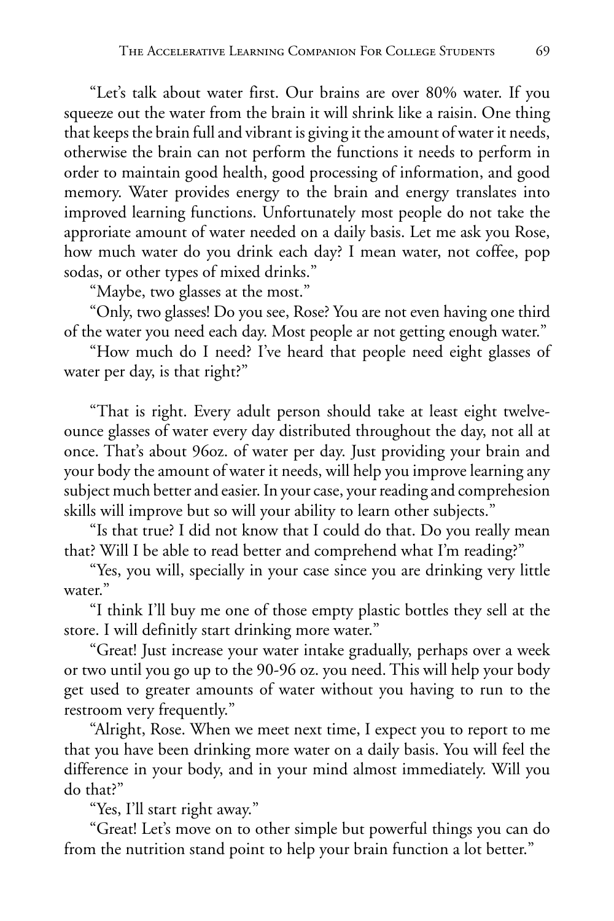"Let's talk about water first. Our brains are over 80% water. If you squeeze out the water from the brain it will shrink like a raisin. One thing that keeps the brain full and vibrant is giving it the amount of water it needs, otherwise the brain can not perform the functions it needs to perform in order to maintain good health, good processing of information, and good memory. Water provides energy to the brain and energy translates into improved learning functions. Unfortunately most people do not take the approriate amount of water needed on a daily basis. Let me ask you Rose, how much water do you drink each day? I mean water, not coffee, pop sodas, or other types of mixed drinks."

"Maybe, two glasses at the most."

"Only, two glasses! Do you see, Rose? You are not even having one third of the water you need each day. Most people ar not getting enough water."

"How much do I need? I've heard that people need eight glasses of water per day, is that right?"

"That is right. Every adult person should take at least eight twelveounce glasses of water every day distributed throughout the day, not all at once. That's about 96oz. of water per day. Just providing your brain and your body the amount of water it needs, will help you improve learning any subject much better and easier. In your case, your reading and comprehesion skills will improve but so will your ability to learn other subjects."

"Is that true? I did not know that I could do that. Do you really mean that? Will I be able to read better and comprehend what I'm reading?"

"Yes, you will, specially in your case since you are drinking very little water."

"I think I'll buy me one of those empty plastic bottles they sell at the store. I will definitly start drinking more water."

"Great! Just increase your water intake gradually, perhaps over a week or two until you go up to the 90-96 oz. you need. This will help your body get used to greater amounts of water without you having to run to the restroom very frequently."

"Alright, Rose. When we meet next time, I expect you to report to me that you have been drinking more water on a daily basis. You will feel the difference in your body, and in your mind almost immediately. Will you do that?"

"Yes, I'll start right away."

"Great! Let's move on to other simple but powerful things you can do from the nutrition stand point to help your brain function a lot better."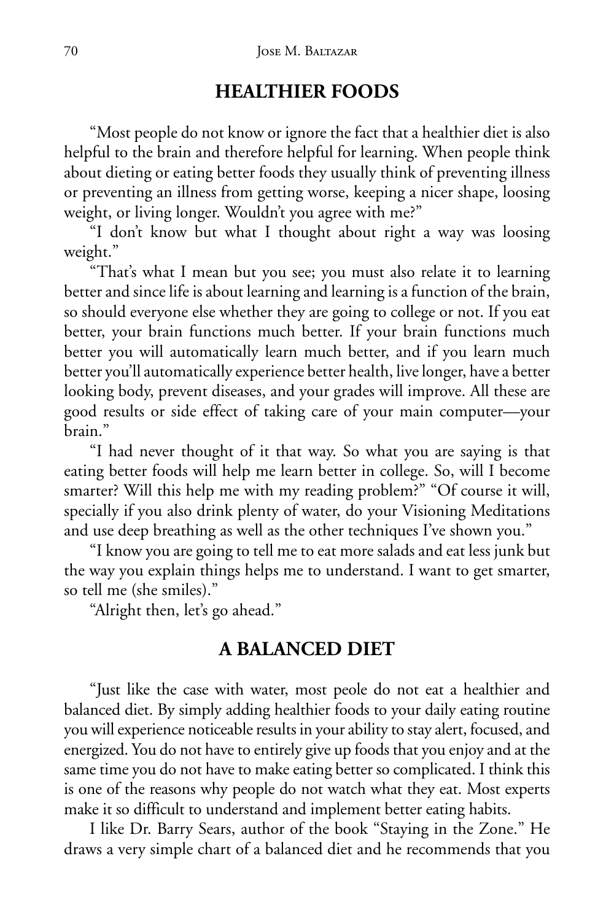### **HEALTHIER FOODS**

"Most people do not know or ignore the fact that a healthier diet is also helpful to the brain and therefore helpful for learning. When people think about dieting or eating better foods they usually think of preventing illness or preventing an illness from getting worse, keeping a nicer shape, loosing weight, or living longer. Wouldn't you agree with me?"

"I don't know but what I thought about right a way was loosing weight."

"That's what I mean but you see; you must also relate it to learning better and since life is about learning and learning is a function of the brain, so should everyone else whether they are going to college or not. If you eat better, your brain functions much better. If your brain functions much better you will automatically learn much better, and if you learn much better you'll automatically experience better health, live longer, have a better looking body, prevent diseases, and your grades will improve. All these are good results or side effect of taking care of your main computer—your brain."

"I had never thought of it that way. So what you are saying is that eating better foods will help me learn better in college. So, will I become smarter? Will this help me with my reading problem?" "Of course it will, specially if you also drink plenty of water, do your Visioning Meditations and use deep breathing as well as the other techniques I've shown you."

"I know you are going to tell me to eat more salads and eat less junk but the way you explain things helps me to understand. I want to get smarter, so tell me (she smiles)."

"Alright then, let's go ahead."

#### **A BALANCED DIET**

"Just like the case with water, most peole do not eat a healthier and balanced diet. By simply adding healthier foods to your daily eating routine you will experience noticeable results in your ability to stay alert, focused, and energized. You do not have to entirely give up foods that you enjoy and at the same time you do not have to make eating better so complicated. I think this is one of the reasons why people do not watch what they eat. Most experts make it so difficult to understand and implement better eating habits.

I like Dr. Barry Sears, author of the book "Staying in the Zone." He draws a very simple chart of a balanced diet and he recommends that you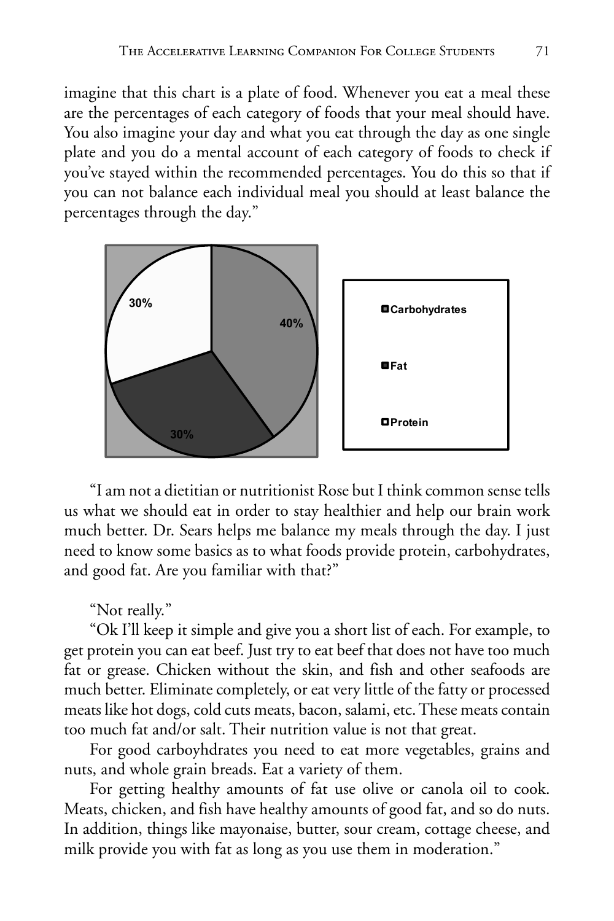imagine that this chart is a plate of food. Whenever you eat a meal these are the percentages of each category of foods that your meal should have. You also imagine your day and what you eat through the day as one single plate and you do a mental account of each category of foods to check if you've stayed within the recommended percentages. You do this so that if you can not balance each individual meal you should at least balance the percentages through the day."



"I am not a dietitian or nutritionist Rose but I think common sense tells us what we should eat in order to stay healthier and help our brain work much better. Dr. Sears helps me balance my meals through the day. I just need to know some basics as to what foods provide protein, carbohydrates, and good fat. Are you familiar with that?"

#### "Not really."

"Ok I'll keep it simple and give you a short list of each. For example, to get protein you can eat beef. Just try to eat beef that does not have too much fat or grease. Chicken without the skin, and fish and other seafoods are much better. Eliminate completely, or eat very little of the fatty or processed meats like hot dogs, cold cuts meats, bacon, salami, etc. These meats contain too much fat and/or salt. Their nutrition value is not that great.

For good carboyhdrates you need to eat more vegetables, grains and nuts, and whole grain breads. Eat a variety of them.

For getting healthy amounts of fat use olive or canola oil to cook. Meats, chicken, and fish have healthy amounts of good fat, and so do nuts. In addition, things like mayonaise, butter, sour cream, cottage cheese, and milk provide you with fat as long as you use them in moderation."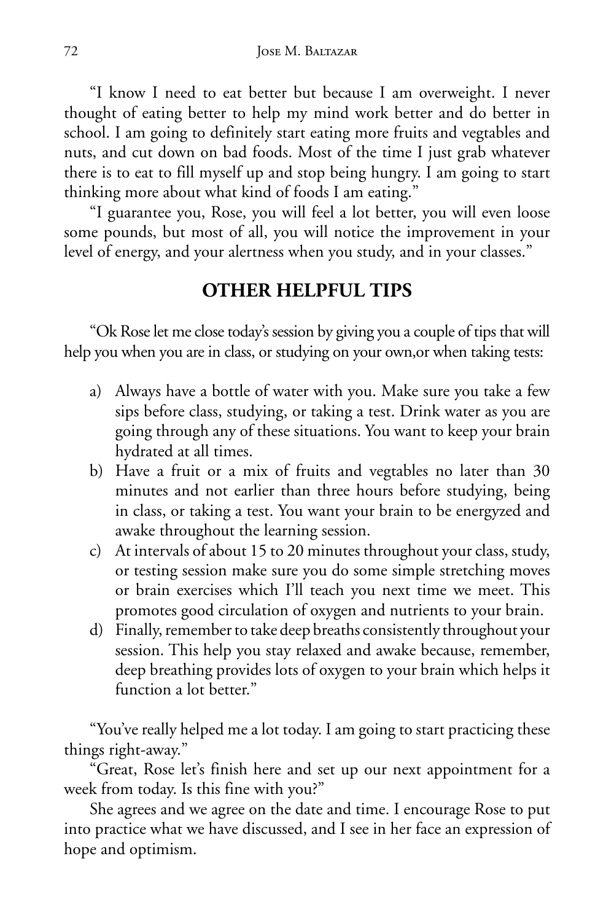"I know I need to eat better but because I am overweight. I never thought of eating better to help my mind work better and do better in school. I am going to definitely start eating more fruits and vegtables and nuts, and cut down on bad foods. Most of the time I just grab whatever there is to eat to fill myself up and stop being hungry. I am going to start thinking more about what kind of foods I am eating."

"I guarantee you, Rose, you will feel a lot better, you will even loose some pounds, but most of all, you will notice the improvement in your level of energy, and your alertness when you study, and in your classes."

### **OTHER HELPFUL TIPS**

"Ok Rose let me close today's session by giving you a couple of tips that will help you when you are in class, or studying on your own,or when taking tests:

- a) Always have a bottle of water with you. Make sure you take a few sips before class, studying, or taking a test. Drink water as you are going through any of these situations. You want to keep your brain hydrated at all times.
- b) Have a fruit or a mix of fruits and vegtables no later than 30 minutes and not earlier than three hours before studying, being in class, or taking a test. You want your brain to be energyzed and awake throughout the learning session.
- c) At intervals of about 15 to 20 minutes throughout your class, study, or testing session make sure you do some simple stretching moves or brain exercises which I'll teach you next time we meet. This promotes good circulation of oxygen and nutrients to your brain.
- d) Finally, remember to take deep breaths consistently throughout your session. This help you stay relaxed and awake because, remember, deep breathing provides lots of oxygen to your brain which helps it function a lot better."

"You've really helped me a lot today. I am going to start practicing these things right-away."

"Great, Rose let's finish here and set up our next appointment for a week from today. Is this fine with you?"

She agrees and we agree on the date and time. I encourage Rose to put into practice what we have discussed, and I see in her face an expression of hope and optimism.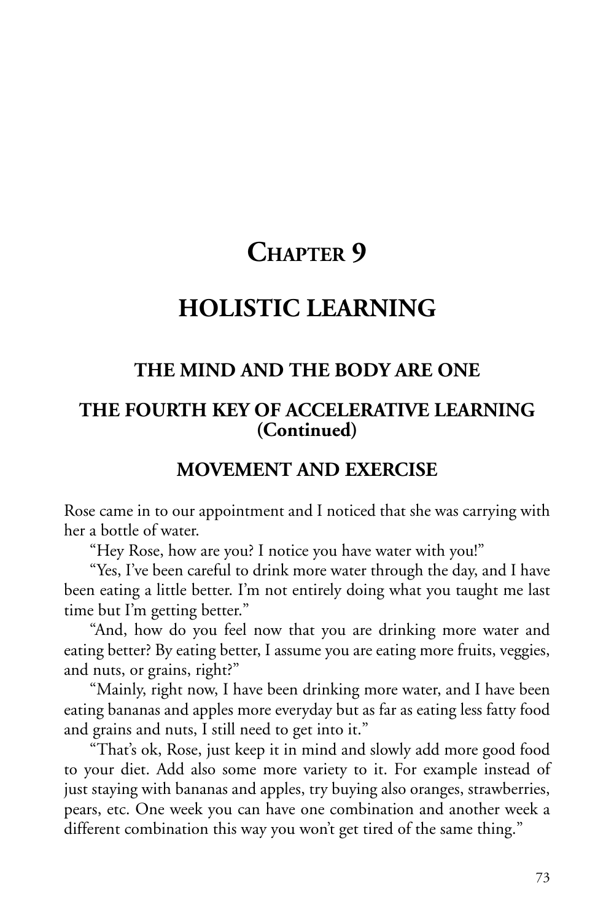# **CHAPTER 9**

## **HOLISTIC LEARNING**

## **THE MIND AND THE BODY ARE ONE**

## **THE FOURTH KEY OF ACCELERATIVE LEARNING (Continued)**

## **MOVEMENT AND EXERCISE**

Rose came in to our appointment and I noticed that she was carrying with her a bottle of water.

"Hey Rose, how are you? I notice you have water with you!"

"Yes, I've been careful to drink more water through the day, and I have been eating a little better. I'm not entirely doing what you taught me last time but I'm getting better."

"And, how do you feel now that you are drinking more water and eating better? By eating better, I assume you are eating more fruits, veggies, and nuts, or grains, right?"

"Mainly, right now, I have been drinking more water, and I have been eating bananas and apples more everyday but as far as eating less fatty food and grains and nuts, I still need to get into it."

"That's ok, Rose, just keep it in mind and slowly add more good food to your diet. Add also some more variety to it. For example instead of just staying with bananas and apples, try buying also oranges, strawberries, pears, etc. One week you can have one combination and another week a different combination this way you won't get tired of the same thing."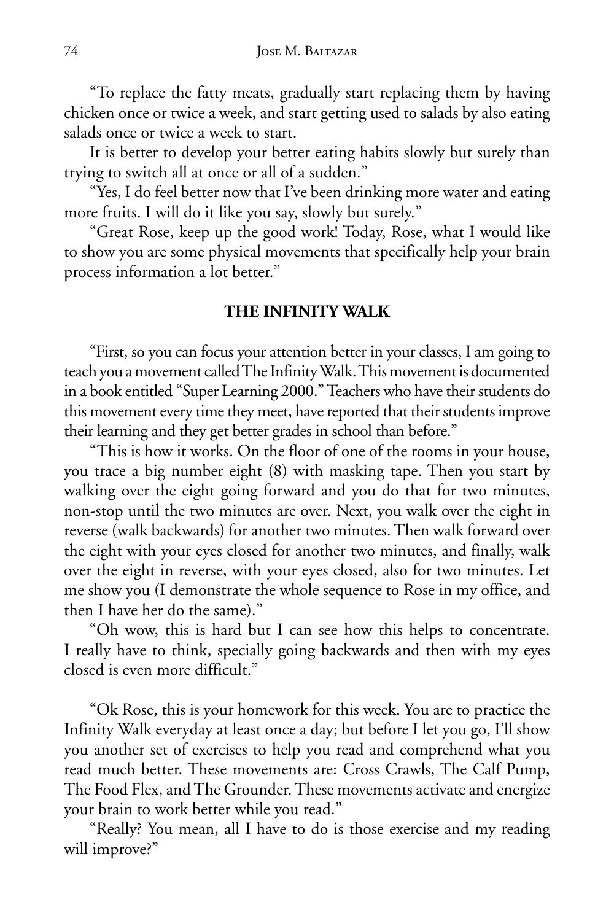"To replace the fatty meats, gradually start replacing them by having chicken once or twice a week, and start getting used to salads by also eating salads once or twice a week to start.

It is better to develop your better eating habits slowly but surely than trying to switch all at once or all of a sudden."

"Yes, I do feel better now that I've been drinking more water and eating more fruits. I will do it like you say, slowly but surely."

"Great Rose, keep up the good work! Today, Rose, what I would like to show you are some physical movements that specifically help your brain process information a lot better."

#### **THE INFINITY WALK**

"First, so you can focus your attention better in your classes, I am going to teach you a movement called The Infinity Walk. This movement is documented in a book entitled "Super Learning 2000." Teachers who have their students do this movement every time they meet, have reported that their students improve their learning and they get better grades in school than before."

"This is how it works. On the floor of one of the rooms in your house, you trace a big number eight (8) with masking tape. Then you start by walking over the eight going forward and you do that for two minutes, non-stop until the two minutes are over. Next, you walk over the eight in reverse (walk backwards) for another two minutes. Then walk forward over the eight with your eyes closed for another two minutes, and finally, walk over the eight in reverse, with your eyes closed, also for two minutes. Let me show you (I demonstrate the whole sequence to Rose in my office, and then I have her do the same)."

"Oh wow, this is hard but I can see how this helps to concentrate. I really have to think, specially going backwards and then with my eyes closed is even more difficult."

"Ok Rose, this is your homework for this week. You are to practice the Infinity Walk everyday at least once a day; but before I let you go, I'll show you another set of exercises to help you read and comprehend what you read much better. These movements are: Cross Crawls, The Calf Pump, The Food Flex, and The Grounder. These movements activate and energize your brain to work better while you read."

"Really? You mean, all I have to do is those exercise and my reading will improve?"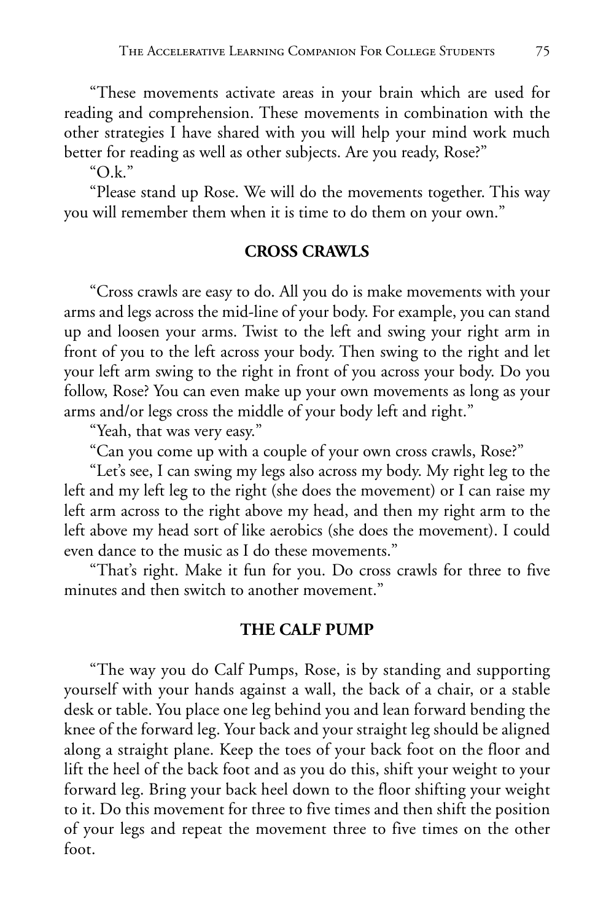"These movements activate areas in your brain which are used for reading and comprehension. These movements in combination with the other strategies I have shared with you will help your mind work much better for reading as well as other subjects. Are you ready, Rose?"

"O.k."

"Please stand up Rose. We will do the movements together. This way you will remember them when it is time to do them on your own."

#### **CROSS CRAWLS**

"Cross crawls are easy to do. All you do is make movements with your arms and legs across the mid-line of your body. For example, you can stand up and loosen your arms. Twist to the left and swing your right arm in front of you to the left across your body. Then swing to the right and let your left arm swing to the right in front of you across your body. Do you follow, Rose? You can even make up your own movements as long as your arms and/or legs cross the middle of your body left and right."

"Yeah, that was very easy."

"Can you come up with a couple of your own cross crawls, Rose?"

"Let's see, I can swing my legs also across my body. My right leg to the left and my left leg to the right (she does the movement) or I can raise my left arm across to the right above my head, and then my right arm to the left above my head sort of like aerobics (she does the movement). I could even dance to the music as I do these movements."

"That's right. Make it fun for you. Do cross crawls for three to five minutes and then switch to another movement."

#### **THE CALF PUMP**

"The way you do Calf Pumps, Rose, is by standing and supporting yourself with your hands against a wall, the back of a chair, or a stable desk or table. You place one leg behind you and lean forward bending the knee of the forward leg. Your back and your straight leg should be aligned along a straight plane. Keep the toes of your back foot on the floor and lift the heel of the back foot and as you do this, shift your weight to your forward leg. Bring your back heel down to the floor shifting your weight to it. Do this movement for three to five times and then shift the position of your legs and repeat the movement three to five times on the other foot.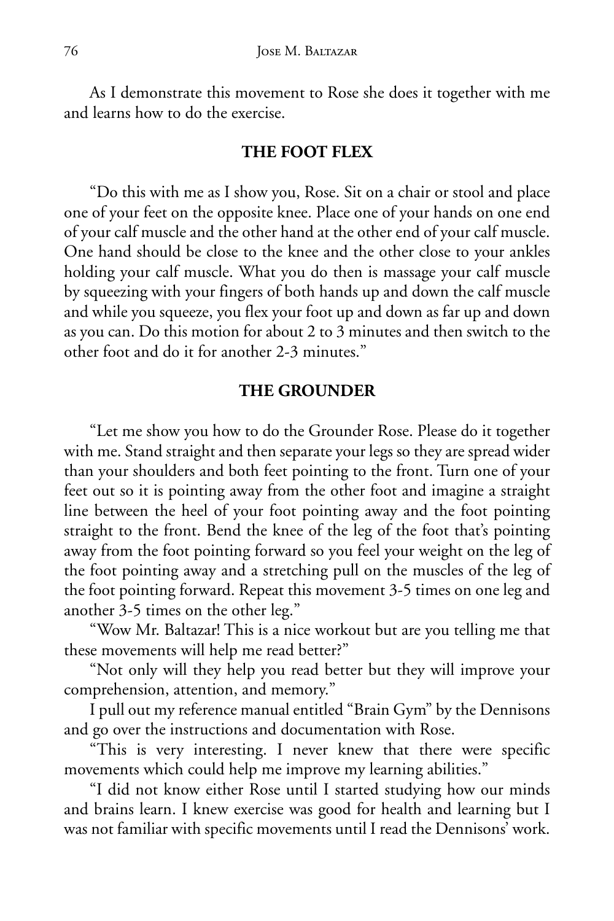As I demonstrate this movement to Rose she does it together with me and learns how to do the exercise.

#### **THE FOOT FLEX**

"Do this with me as I show you, Rose. Sit on a chair or stool and place one of your feet on the opposite knee. Place one of your hands on one end of your calf muscle and the other hand at the other end of your calf muscle. One hand should be close to the knee and the other close to your ankles holding your calf muscle. What you do then is massage your calf muscle by squeezing with your fingers of both hands up and down the calf muscle and while you squeeze, you flex your foot up and down as far up and down as you can. Do this motion for about 2 to 3 minutes and then switch to the other foot and do it for another 2-3 minutes."

#### **THE GROUNDER**

"Let me show you how to do the Grounder Rose. Please do it together with me. Stand straight and then separate your legs so they are spread wider than your shoulders and both feet pointing to the front. Turn one of your feet out so it is pointing away from the other foot and imagine a straight line between the heel of your foot pointing away and the foot pointing straight to the front. Bend the knee of the leg of the foot that's pointing away from the foot pointing forward so you feel your weight on the leg of the foot pointing away and a stretching pull on the muscles of the leg of the foot pointing forward. Repeat this movement 3-5 times on one leg and another 3-5 times on the other leg."

"Wow Mr. Baltazar! This is a nice workout but are you telling me that these movements will help me read better?"

"Not only will they help you read better but they will improve your comprehension, attention, and memory."

I pull out my reference manual entitled "Brain Gym" by the Dennisons and go over the instructions and documentation with Rose.

"This is very interesting. I never knew that there were specific movements which could help me improve my learning abilities."

"I did not know either Rose until I started studying how our minds and brains learn. I knew exercise was good for health and learning but I was not familiar with specific movements until I read the Dennisons' work.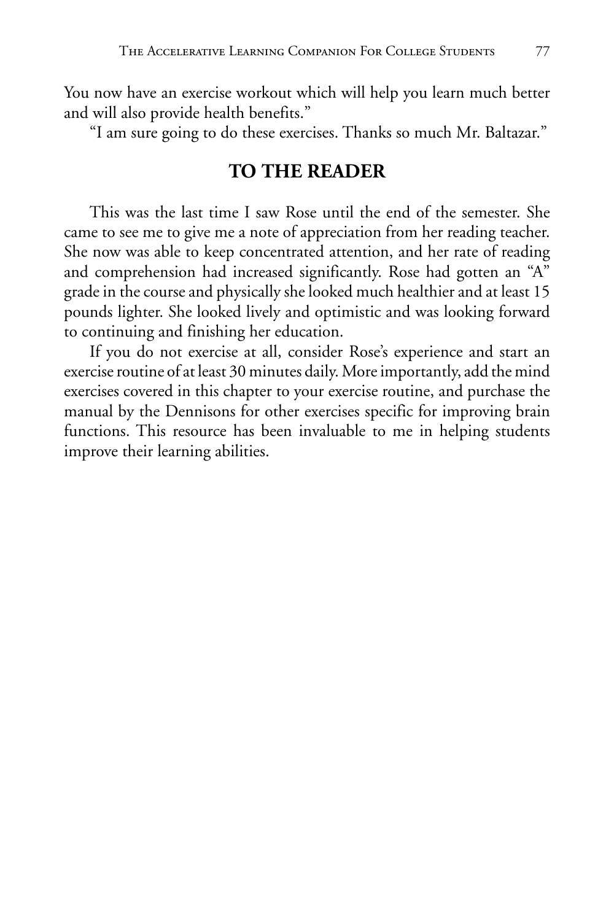You now have an exercise workout which will help you learn much better and will also provide health benefits."

"I am sure going to do these exercises. Thanks so much Mr. Baltazar."

## **TO THE READER**

This was the last time I saw Rose until the end of the semester. She came to see me to give me a note of appreciation from her reading teacher. She now was able to keep concentrated attention, and her rate of reading and comprehension had increased significantly. Rose had gotten an "A" grade in the course and physically she looked much healthier and at least 15 pounds lighter. She looked lively and optimistic and was looking forward to continuing and finishing her education.

If you do not exercise at all, consider Rose's experience and start an exercise routine of at least 30 minutes daily. More importantly, add the mind exercises covered in this chapter to your exercise routine, and purchase the manual by the Dennisons for other exercises specific for improving brain functions. This resource has been invaluable to me in helping students improve their learning abilities.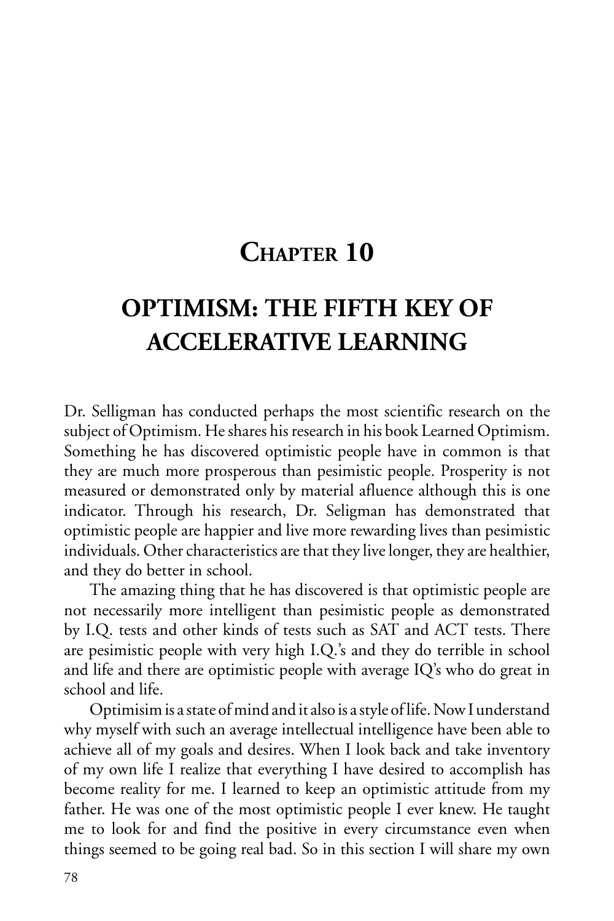# **CHAPTER 10**

# **OPTIMISM: THE FIFTH KEY OF ACCELERATIVE LEARNING**

Dr. Selligman has conducted perhaps the most scientific research on the subject of Optimism. He shares his research in his book Learned Optimism. Something he has discovered optimistic people have in common is that they are much more prosperous than pesimistic people. Prosperity is not measured or demonstrated only by material afluence although this is one indicator. Through his research, Dr. Seligman has demonstrated that optimistic people are happier and live more rewarding lives than pesimistic individuals. Other characteristics are that they live longer, they are healthier, and they do better in school.

The amazing thing that he has discovered is that optimistic people are not necessarily more intelligent than pesimistic people as demonstrated by I.Q. tests and other kinds of tests such as SAT and ACT tests. There are pesimistic people with very high I.Q.'s and they do terrible in school and life and there are optimistic people with average IQ's who do great in school and life.

Optimisim is a state of mind and it also is a style of life. Now I understand why myself with such an average intellectual intelligence have been able to achieve all of my goals and desires. When I look back and take inventory of my own life I realize that everything I have desired to accomplish has become reality for me. I learned to keep an optimistic attitude from my father. He was one of the most optimistic people I ever knew. He taught me to look for and find the positive in every circumstance even when things seemed to be going real bad. So in this section I will share my own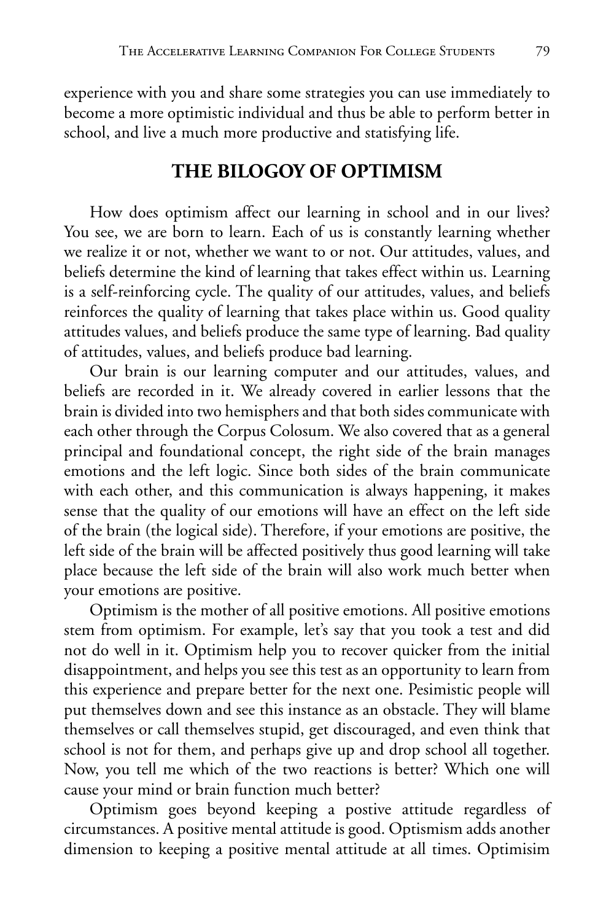experience with you and share some strategies you can use immediately to become a more optimistic individual and thus be able to perform better in school, and live a much more productive and statisfying life.

### **THE BILOGOY OF OPTIMISM**

How does optimism affect our learning in school and in our lives? You see, we are born to learn. Each of us is constantly learning whether we realize it or not, whether we want to or not. Our attitudes, values, and beliefs determine the kind of learning that takes effect within us. Learning is a self-reinforcing cycle. The quality of our attitudes, values, and beliefs reinforces the quality of learning that takes place within us. Good quality attitudes values, and beliefs produce the same type of learning. Bad quality of attitudes, values, and beliefs produce bad learning.

Our brain is our learning computer and our attitudes, values, and beliefs are recorded in it. We already covered in earlier lessons that the brain is divided into two hemisphers and that both sides communicate with each other through the Corpus Colosum. We also covered that as a general principal and foundational concept, the right side of the brain manages emotions and the left logic. Since both sides of the brain communicate with each other, and this communication is always happening, it makes sense that the quality of our emotions will have an effect on the left side of the brain (the logical side). Therefore, if your emotions are positive, the left side of the brain will be affected positively thus good learning will take place because the left side of the brain will also work much better when your emotions are positive.

Optimism is the mother of all positive emotions. All positive emotions stem from optimism. For example, let's say that you took a test and did not do well in it. Optimism help you to recover quicker from the initial disappointment, and helps you see this test as an opportunity to learn from this experience and prepare better for the next one. Pesimistic people will put themselves down and see this instance as an obstacle. They will blame themselves or call themselves stupid, get discouraged, and even think that school is not for them, and perhaps give up and drop school all together. Now, you tell me which of the two reactions is better? Which one will cause your mind or brain function much better?

Optimism goes beyond keeping a postive attitude regardless of circumstances. A positive mental attitude is good. Optismism adds another dimension to keeping a positive mental attitude at all times. Optimisim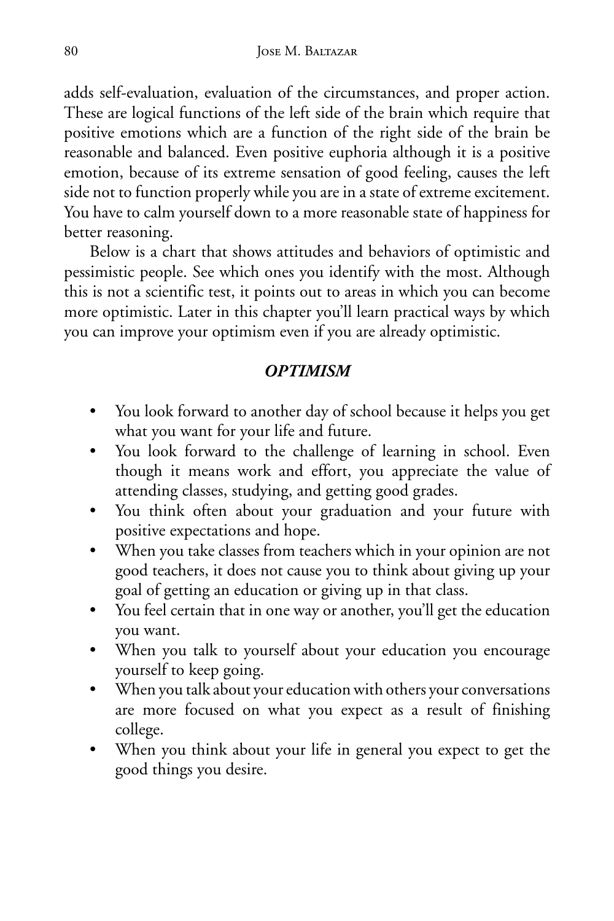adds self-evaluation, evaluation of the circumstances, and proper action. These are logical functions of the left side of the brain which require that positive emotions which are a function of the right side of the brain be reasonable and balanced. Even positive euphoria although it is a positive emotion, because of its extreme sensation of good feeling, causes the left side not to function properly while you are in a state of extreme excitement. You have to calm yourself down to a more reasonable state of happiness for better reasoning.

Below is a chart that shows attitudes and behaviors of optimistic and pessimistic people. See which ones you identify with the most. Although this is not a scientific test, it points out to areas in which you can become more optimistic. Later in this chapter you'll learn practical ways by which you can improve your optimism even if you are already optimistic.

#### *OPTIMISM*

- You look forward to another day of school because it helps you get what you want for your life and future.
- You look forward to the challenge of learning in school. Even though it means work and effort, you appreciate the value of attending classes, studying, and getting good grades.
- You think often about your graduation and your future with positive expectations and hope.
- When you take classes from teachers which in your opinion are not good teachers, it does not cause you to think about giving up your goal of getting an education or giving up in that class.
- You feel certain that in one way or another, you'll get the education you want.
- When you talk to yourself about your education you encourage yourself to keep going.
- When you talk about your education with others your conversations are more focused on what you expect as a result of finishing college.
- When you think about your life in general you expect to get the good things you desire.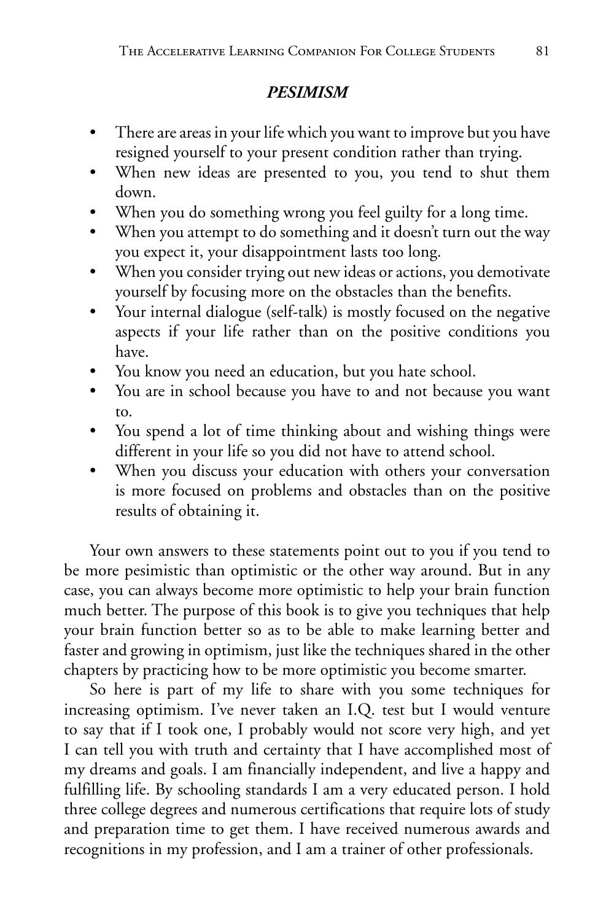### *PESIMISM*

- There are areas in your life which you want to improve but you have resigned yourself to your present condition rather than trying.
- When new ideas are presented to you, you tend to shut them down.
- When you do something wrong you feel guilty for a long time.
- When you attempt to do something and it doesn't turn out the way you expect it, your disappointment lasts too long.
- When you consider trying out new ideas or actions, you demotivate yourself by focusing more on the obstacles than the benefits.
- Your internal dialogue (self-talk) is mostly focused on the negative aspects if your life rather than on the positive conditions you have.
- You know you need an education, but you hate school.
- You are in school because you have to and not because you want to.
- You spend a lot of time thinking about and wishing things were different in your life so you did not have to attend school.
- When you discuss your education with others your conversation is more focused on problems and obstacles than on the positive results of obtaining it.

Your own answers to these statements point out to you if you tend to be more pesimistic than optimistic or the other way around. But in any case, you can always become more optimistic to help your brain function much better. The purpose of this book is to give you techniques that help your brain function better so as to be able to make learning better and faster and growing in optimism, just like the techniques shared in the other chapters by practicing how to be more optimistic you become smarter.

So here is part of my life to share with you some techniques for increasing optimism. I've never taken an I.Q. test but I would venture to say that if I took one, I probably would not score very high, and yet I can tell you with truth and certainty that I have accomplished most of my dreams and goals. I am financially independent, and live a happy and fulfilling life. By schooling standards I am a very educated person. I hold three college degrees and numerous certifications that require lots of study and preparation time to get them. I have received numerous awards and recognitions in my profession, and I am a trainer of other professionals.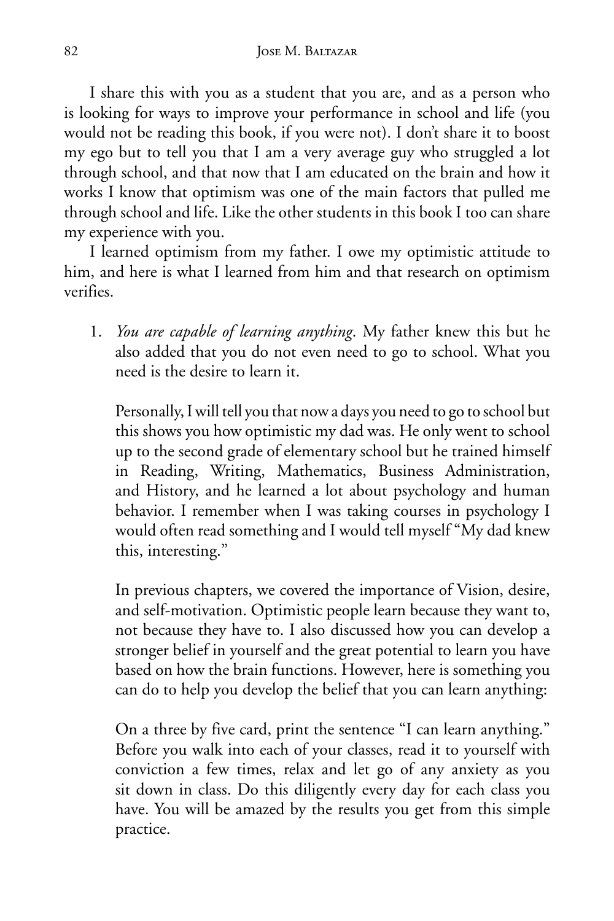I share this with you as a student that you are, and as a person who is looking for ways to improve your performance in school and life (you would not be reading this book, if you were not). I don't share it to boost my ego but to tell you that I am a very average guy who struggled a lot through school, and that now that I am educated on the brain and how it works I know that optimism was one of the main factors that pulled me through school and life. Like the other students in this book I too can share my experience with you.

I learned optimism from my father. I owe my optimistic attitude to him, and here is what I learned from him and that research on optimism verifies.

1. *You are capable of learning anything*. My father knew this but he also added that you do not even need to go to school. What you need is the desire to learn it.

 Personally, I will tell you that now a days you need to go to school but this shows you how optimistic my dad was. He only went to school up to the second grade of elementary school but he trained himself in Reading, Writing, Mathematics, Business Administration, and History, and he learned a lot about psychology and human behavior. I remember when I was taking courses in psychology I would often read something and I would tell myself "My dad knew this, interesting."

 In previous chapters, we covered the importance of Vision, desire, and self-motivation. Optimistic people learn because they want to, not because they have to. I also discussed how you can develop a stronger belief in yourself and the great potential to learn you have based on how the brain functions. However, here is something you can do to help you develop the belief that you can learn anything:

 On a three by five card, print the sentence "I can learn anything." Before you walk into each of your classes, read it to yourself with conviction a few times, relax and let go of any anxiety as you sit down in class. Do this diligently every day for each class you have. You will be amazed by the results you get from this simple practice.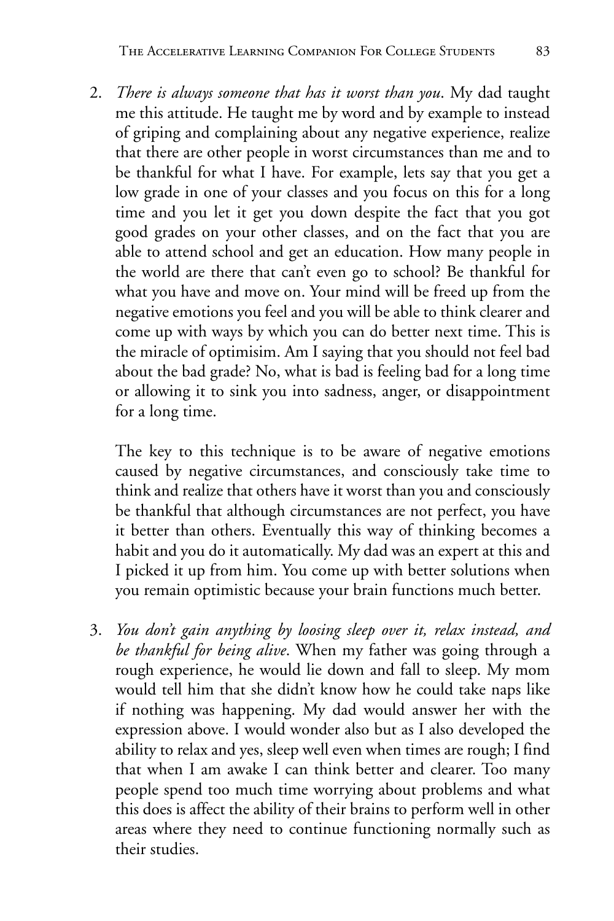2. *There is always someone that has it worst than you*. My dad taught me this attitude. He taught me by word and by example to instead of griping and complaining about any negative experience, realize that there are other people in worst circumstances than me and to be thankful for what I have. For example, lets say that you get a low grade in one of your classes and you focus on this for a long time and you let it get you down despite the fact that you got good grades on your other classes, and on the fact that you are able to attend school and get an education. How many people in the world are there that can't even go to school? Be thankful for what you have and move on. Your mind will be freed up from the negative emotions you feel and you will be able to think clearer and come up with ways by which you can do better next time. This is the miracle of optimisim. Am I saying that you should not feel bad about the bad grade? No, what is bad is feeling bad for a long time or allowing it to sink you into sadness, anger, or disappointment for a long time.

 The key to this technique is to be aware of negative emotions caused by negative circumstances, and consciously take time to think and realize that others have it worst than you and consciously be thankful that although circumstances are not perfect, you have it better than others. Eventually this way of thinking becomes a habit and you do it automatically. My dad was an expert at this and I picked it up from him. You come up with better solutions when you remain optimistic because your brain functions much better.

3. *You don't gain anything by loosing sleep over it, relax instead, and be thankful for being alive*. When my father was going through a rough experience, he would lie down and fall to sleep. My mom would tell him that she didn't know how he could take naps like if nothing was happening. My dad would answer her with the expression above. I would wonder also but as I also developed the ability to relax and yes, sleep well even when times are rough; I find that when I am awake I can think better and clearer. Too many people spend too much time worrying about problems and what this does is affect the ability of their brains to perform well in other areas where they need to continue functioning normally such as their studies.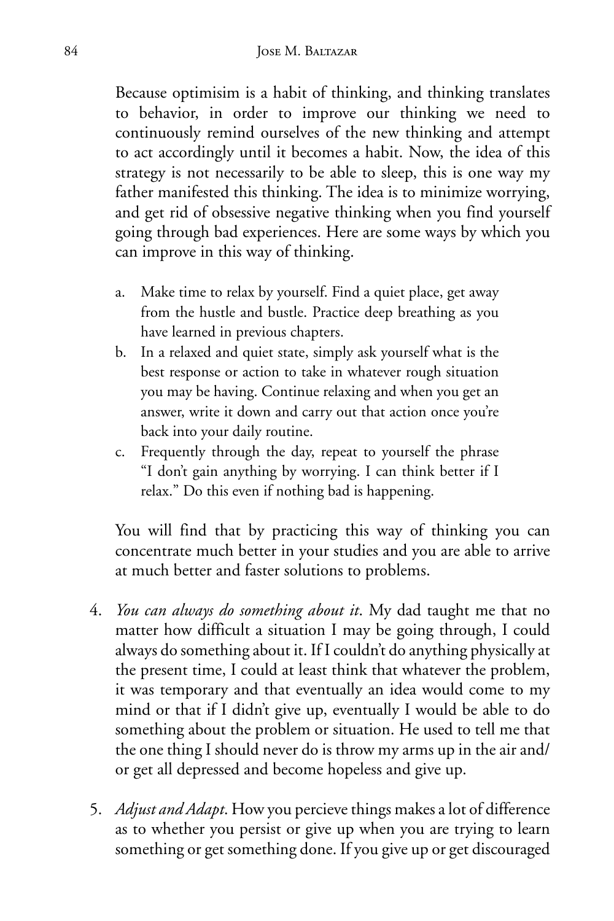Because optimisim is a habit of thinking, and thinking translates to behavior, in order to improve our thinking we need to continuously remind ourselves of the new thinking and attempt to act accordingly until it becomes a habit. Now, the idea of this strategy is not necessarily to be able to sleep, this is one way my father manifested this thinking. The idea is to minimize worrying, and get rid of obsessive negative thinking when you find yourself going through bad experiences. Here are some ways by which you can improve in this way of thinking.

- a. Make time to relax by yourself. Find a quiet place, get away from the hustle and bustle. Practice deep breathing as you have learned in previous chapters.
- b. In a relaxed and quiet state, simply ask yourself what is the best response or action to take in whatever rough situation you may be having. Continue relaxing and when you get an answer, write it down and carry out that action once you're back into your daily routine.
- c. Frequently through the day, repeat to yourself the phrase "I don't gain anything by worrying. I can think better if I relax." Do this even if nothing bad is happening.

 You will find that by practicing this way of thinking you can concentrate much better in your studies and you are able to arrive at much better and faster solutions to problems.

- 4. *You can always do something about it*. My dad taught me that no matter how difficult a situation I may be going through, I could always do something about it. If I couldn't do anything physically at the present time, I could at least think that whatever the problem, it was temporary and that eventually an idea would come to my mind or that if I didn't give up, eventually I would be able to do something about the problem or situation. He used to tell me that the one thing I should never do is throw my arms up in the air and/ or get all depressed and become hopeless and give up.
- 5. *Adjust and Adapt*. How you percieve things makes a lot of difference as to whether you persist or give up when you are trying to learn something or get something done. If you give up or get discouraged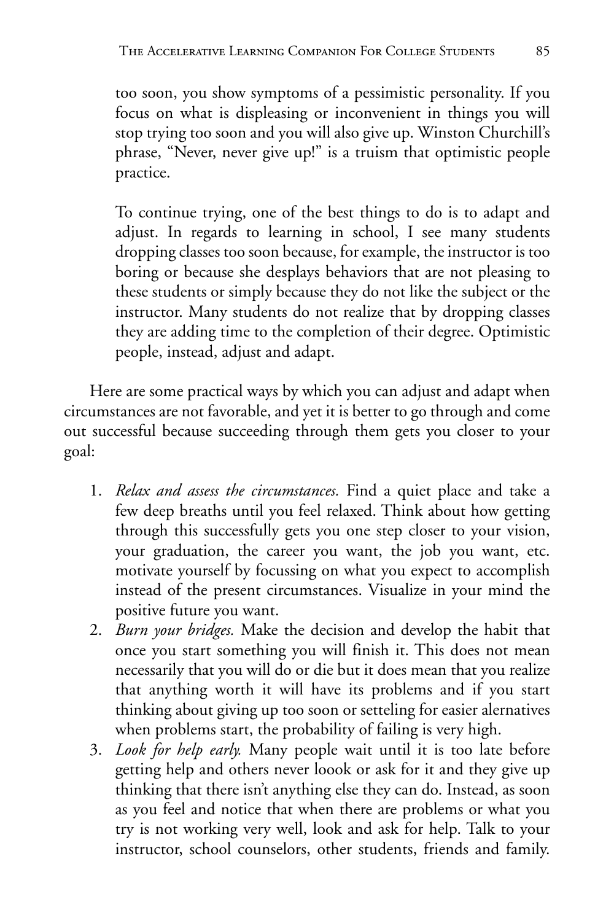too soon, you show symptoms of a pessimistic personality. If you focus on what is displeasing or inconvenient in things you will stop trying too soon and you will also give up. Winston Churchill's phrase, "Never, never give up!" is a truism that optimistic people practice.

 To continue trying, one of the best things to do is to adapt and adjust. In regards to learning in school, I see many students dropping classes too soon because, for example, the instructor is too boring or because she desplays behaviors that are not pleasing to these students or simply because they do not like the subject or the instructor. Many students do not realize that by dropping classes they are adding time to the completion of their degree. Optimistic people, instead, adjust and adapt.

Here are some practical ways by which you can adjust and adapt when circumstances are not favorable, and yet it is better to go through and come out successful because succeeding through them gets you closer to your goal:

- 1. *Relax and assess the circumstances.* Find a quiet place and take a few deep breaths until you feel relaxed. Think about how getting through this successfully gets you one step closer to your vision, your graduation, the career you want, the job you want, etc. motivate yourself by focussing on what you expect to accomplish instead of the present circumstances. Visualize in your mind the positive future you want.
- 2. *Burn your bridges.* Make the decision and develop the habit that once you start something you will finish it. This does not mean necessarily that you will do or die but it does mean that you realize that anything worth it will have its problems and if you start thinking about giving up too soon or setteling for easier alernatives when problems start, the probability of failing is very high.
- 3. *Look for help early.* Many people wait until it is too late before getting help and others never loook or ask for it and they give up thinking that there isn't anything else they can do. Instead, as soon as you feel and notice that when there are problems or what you try is not working very well, look and ask for help. Talk to your instructor, school counselors, other students, friends and family.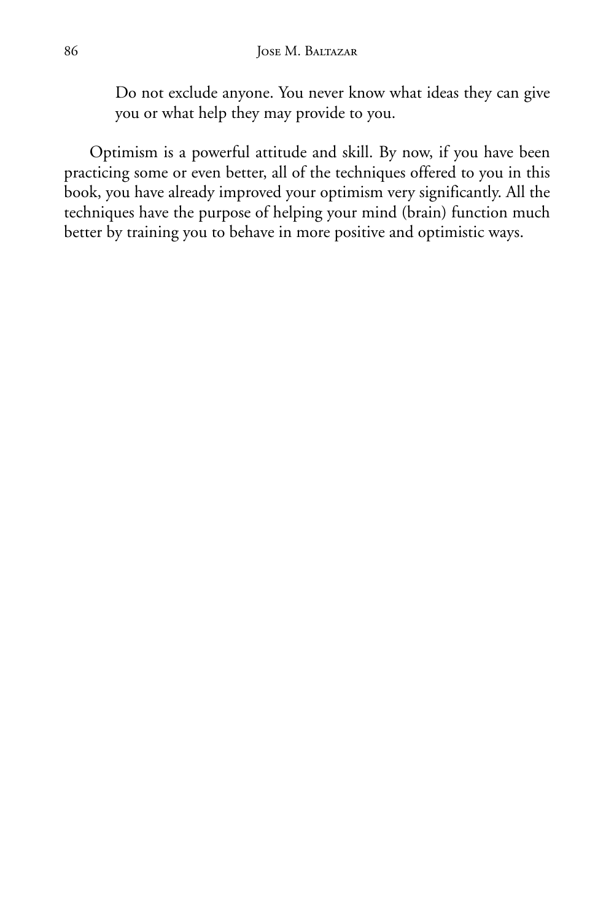Do not exclude anyone. You never know what ideas they can give you or what help they may provide to you.

Optimism is a powerful attitude and skill. By now, if you have been practicing some or even better, all of the techniques offered to you in this book, you have already improved your optimism very significantly. All the techniques have the purpose of helping your mind (brain) function much better by training you to behave in more positive and optimistic ways.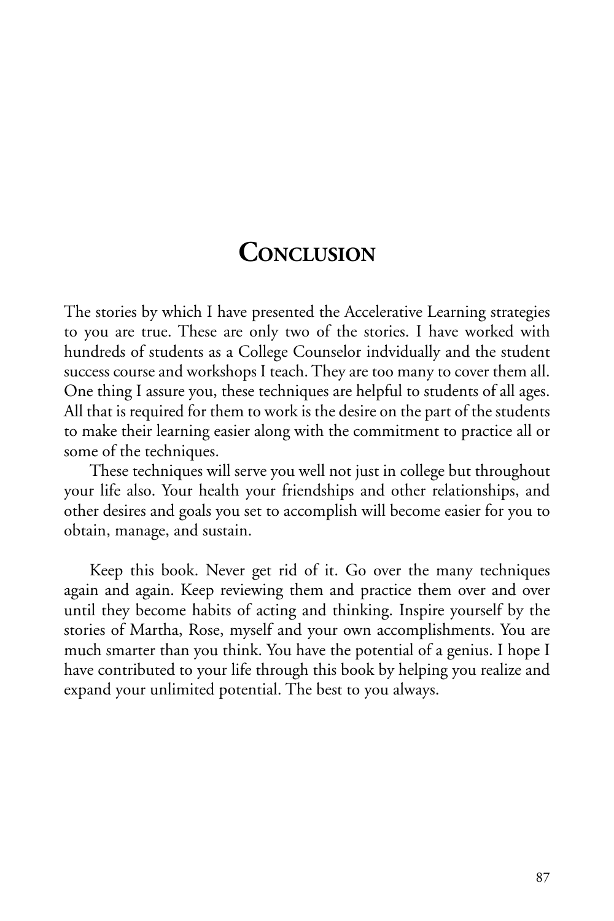## **CONCLUSION**

The stories by which I have presented the Accelerative Learning strategies to you are true. These are only two of the stories. I have worked with hundreds of students as a College Counselor indvidually and the student success course and workshops I teach. They are too many to cover them all. One thing I assure you, these techniques are helpful to students of all ages. All that is required for them to work is the desire on the part of the students to make their learning easier along with the commitment to practice all or some of the techniques.

These techniques will serve you well not just in college but throughout your life also. Your health your friendships and other relationships, and other desires and goals you set to accomplish will become easier for you to obtain, manage, and sustain.

Keep this book. Never get rid of it. Go over the many techniques again and again. Keep reviewing them and practice them over and over until they become habits of acting and thinking. Inspire yourself by the stories of Martha, Rose, myself and your own accomplishments. You are much smarter than you think. You have the potential of a genius. I hope I have contributed to your life through this book by helping you realize and expand your unlimited potential. The best to you always.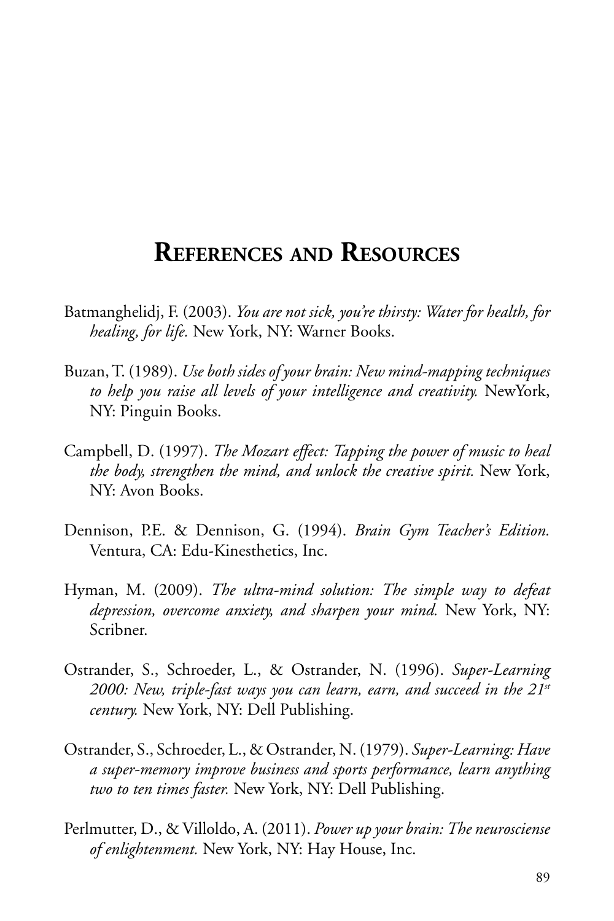## **REFERENCES AND RESOURCES**

- Batmanghelidj, F. (2003). *You are not sick, you're thirsty: Water for health, for healing, for life.* New York, NY: Warner Books.
- Buzan, T. (1989). *Use both sides of your brain: New mind-mappingtechniques to help you raise all levels of your intelligence and creativity.* NewYork, NY: Pinguin Books.
- Campbell, D. (1997). *The Mozart effect: Tapping the power of music to heal the body, strengthen the mind, and unlock the creative spirit.* New York, NY: Avon Books.
- Dennison, P.E. & Dennison, G. (1994). *Brain Gym Teacher's Edition.*  Ventura, CA: Edu-Kinesthetics, Inc.
- Hyman, M. (2009). *The ultra-mind solution: The simple way to defeat depression, overcome anxiety, and sharpen your mind.* New York, NY: Scribner.
- Ostrander, S., Schroeder, L., & Ostrander, N. (1996). *Super-Learning 2000: New, triple-fast ways you can learn, earn, and succeed in the 21st century.* New York, NY: Dell Publishing.
- Ostrander, S., Schroeder, L., & Ostrander, N. (1979). *Super-Learning: Have a super-memory improve business and sports performance, learn anything two to ten times faster.* New York, NY: Dell Publishing.
- Perlmutter, D., & Villoldo, A. (2011). *Power up your brain: The neurosciense of enlightenment.* New York, NY: Hay House, Inc.